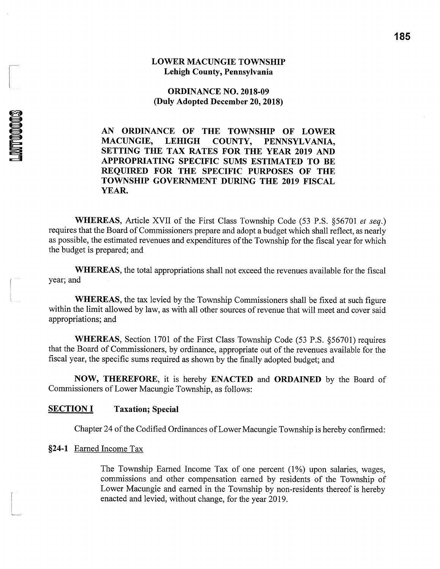#### **LOWER MACUNGIE TOWNSHIP** Lehigh County, Pennsylvania

**ORDINANCE NO. 2018-09** (Duly Adopted December 20, 2018)

AN ORDINANCE OF THE TOWNSHIP OF LOWER **MACUNGIE, LEHIGH** COUNTY, PENNSYLVANIA, SETTING THE TAX RATES FOR THE YEAR 2019 AND APPROPRIATING SPECIFIC SUMS ESTIMATED TO BE REQUIRED FOR THE SPECIFIC PURPOSES OF THE TOWNSHIP GOVERNMENT DURING THE 2019 FISCAL YEAR.

WHEREAS, Article XVII of the First Class Township Code (53 P.S. §56701 et seq.) requires that the Board of Commissioners prepare and adopt a budget which shall reflect, as nearly as possible, the estimated revenues and expenditures of the Township for the fiscal year for which the budget is prepared; and

WHEREAS, the total appropriations shall not exceed the revenues available for the fiscal year; and

**WHEREAS**, the tax levied by the Township Commissioners shall be fixed at such figure within the limit allowed by law, as with all other sources of revenue that will meet and cover said appropriations; and

**WHEREAS, Section 1701 of the First Class Township Code (53 P.S. §56701) requires** that the Board of Commissioners, by ordinance, appropriate out of the revenues available for the fiscal year, the specific sums required as shown by the finally adopted budget; and

NOW, THEREFORE, it is hereby ENACTED and ORDAINED by the Board of Commissioners of Lower Macungie Township, as follows:

#### **SECTION I Taxation**; Special

Chapter 24 of the Codified Ordinances of Lower Macungie Township is hereby confirmed:

#### §24-1 Earned Income Tax

**LMT00003** 

The Township Earned Income Tax of one percent (1%) upon salaries, wages, commissions and other compensation earned by residents of the Township of Lower Macungie and earned in the Township by non-residents thereof is hereby enacted and levied, without change, for the year 2019.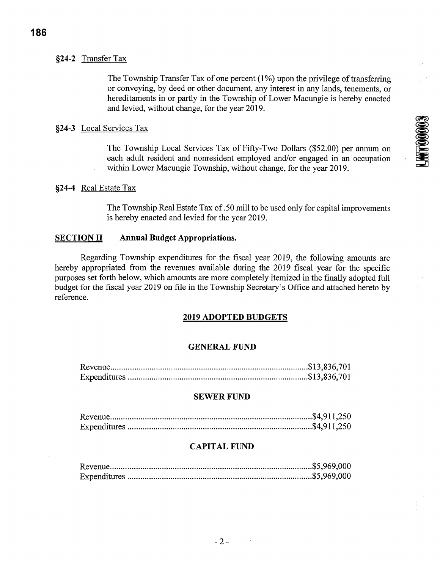#### §24-2 Transfer Tax

The Township Transfer Tax of one percent (1%) upon the privilege of transferring or conveying, by deed or other document, any interest in any lands, tenements, or hereditaments in or partly in the Township of Lower Macungie is hereby enacted and levied, without change, for the year 2019.

#### §24-3 Local Services Tax

The Township Local Services Tax of Fifty-Two Dollars (\$52.00) per annum on each adult resident and nonresident employed and/or engaged in an occupation within Lower Macungie Township, without change, for the year 2019.

#### §24-4 Real Estate Tax

The Township Real Estate Tax of .50 mill to be used only for capital improvements is hereby enacted and levied for the year 2019.

#### **Annual Budget Appropriations. SECTION II**

Regarding Township expenditures for the fiscal year 2019, the following amounts are hereby appropriated from the revenues available during the 2019 fiscal year for the specific purposes set forth below, which amounts are more completely itemized in the finally adopted full budget for the fiscal year 2019 on file in the Township Secretary's Office and attached hereto by reference.

#### **2019 ADOPTED BUDGETS**

#### **GENERAL FUND**

#### **SEWER FUND**

#### **CAPITAL FUND**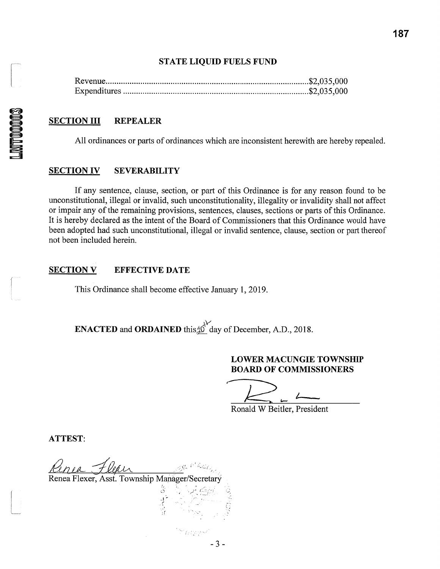#### **STATE LIQUID FUELS FUND**

#### **SECTION III REPEALER**

All ordinances or parts of ordinances which are inconsistent herewith are hereby repealed.

#### **SECTION IV SEVERABILITY**

If any sentence, clause, section, or part of this Ordinance is for any reason found to be unconstitutional, illegal or invalid, such unconstitutionality, illegality or invalidity shall not affect or impair any of the remaining provisions, sentences, clauses, sections or parts of this Ordinance. It is hereby declared as the intent of the Board of Commissioners that this Ordinance would have been adopted had such unconstitutional, illegal or invalid sentence, clause, section or part thereof not been included herein.

#### **SECTION V EFFECTIVE DATE**

This Ordinance shall become effective January 1, 2019.

**ENACTED** and **ORDAINED** this  $\phi$  day of December, A.D., 2018.

'*Istoryk* 

 $-3-$ 

#### **LOWER MACUNGIE TOWNSHIP BOARD OF COMMISSIONERS**

Ronald W Beitler, President

**ATTEST:** 

Renea Flexer, Asst. Township Manager/Secretary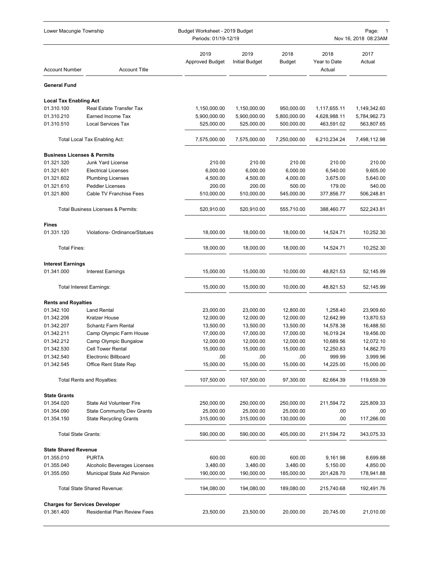| Lower Macungie Township                   |                                     |                                | Budget Worksheet - 2019 Budget<br>Periods: 01/19-12/19 |                       |                                | Page: 1<br>Nov 16, 2018 08:23AM |  |  |
|-------------------------------------------|-------------------------------------|--------------------------------|--------------------------------------------------------|-----------------------|--------------------------------|---------------------------------|--|--|
| <b>Account Number</b>                     | <b>Account Title</b>                | 2019<br><b>Approved Budget</b> | 2019<br><b>Initial Budget</b>                          | 2018<br><b>Budget</b> | 2018<br>Year to Date<br>Actual | 2017<br>Actual                  |  |  |
| <b>General Fund</b>                       |                                     |                                |                                                        |                       |                                |                                 |  |  |
| <b>Local Tax Enabling Act</b>             |                                     |                                |                                                        |                       |                                |                                 |  |  |
| 01.310.100                                | Real Estate Transfer Tax            | 1,150,000.00                   | 1,150,000.00                                           | 950,000.00            | 1,117,655.11                   | 1,149,342.60                    |  |  |
| 01.310.210                                | Earned Income Tax                   | 5,900,000.00                   | 5,900,000.00                                           | 5,800,000.00          | 4,628,988.11                   | 5,784,962.73                    |  |  |
| 01.310.510                                | <b>Local Services Tax</b>           | 525,000.00                     | 525,000.00                                             | 500,000.00            | 463,591.02                     | 563,807.65                      |  |  |
|                                           | Total Local Tax Enabling Act:       | 7,575,000.00                   | 7,575,000.00                                           | 7,250,000.00          | 6,210,234.24                   | 7,498,112.98                    |  |  |
| <b>Business Licenses &amp; Permits</b>    |                                     |                                |                                                        |                       |                                |                                 |  |  |
| 01.321.320                                | Junk Yard License                   | 210.00                         | 210.00                                                 | 210.00                | 210.00                         | 210.00                          |  |  |
| 01.321.601                                | <b>Electrical Licenses</b>          | 6,000.00                       | 6,000.00                                               | 6,000.00              | 6,540.00                       | 9,605.00                        |  |  |
| 01.321.602                                | <b>Plumbing Licenses</b>            | 4,500.00                       | 4,500.00                                               | 4,000.00              | 3,675.00                       | 5,640.00                        |  |  |
| 01.321.610                                | <b>Peddler Licenses</b>             | 200.00                         | 200.00                                                 | 500.00                | 179.00                         | 540.00                          |  |  |
| 01.321.800                                | Cable TV Franchise Fees             | 510,000.00                     | 510,000.00                                             | 545,000.00            | 377,856.77                     | 506,248.81                      |  |  |
|                                           | Total Business Licenses & Permits:  | 520,910.00                     | 520,910.00                                             | 555,710.00            | 388,460.77                     | 522,243.81                      |  |  |
| <b>Fines</b>                              |                                     |                                |                                                        |                       |                                |                                 |  |  |
| 01.331.120                                | Violations- Ordinance/Statues       | 18,000.00                      | 18,000.00                                              | 18,000.00             | 14,524.71                      | 10,252.30                       |  |  |
| <b>Total Fines:</b>                       |                                     | 18,000.00                      | 18,000.00                                              | 18,000.00             | 14,524.71                      | 10,252.30                       |  |  |
| <b>Interest Earnings</b>                  |                                     |                                |                                                        |                       |                                |                                 |  |  |
| 01.341.000                                | <b>Interest Earnings</b>            | 15,000.00                      | 15,000.00                                              | 10,000.00             | 48,821.53                      | 52,145.99                       |  |  |
|                                           | <b>Total Interest Earnings:</b>     | 15,000.00                      | 15,000.00                                              | 10,000.00             | 48,821.53                      | 52,145.99                       |  |  |
| <b>Rents and Royalties</b>                |                                     |                                |                                                        |                       |                                |                                 |  |  |
| 01.342.100                                | <b>Land Rental</b>                  | 23,000.00                      | 23,000.00                                              | 12,800.00             | 1,258.40                       | 23,909.60                       |  |  |
| 01.342.206                                | Kratzer House                       | 12,000.00                      | 12,000.00                                              | 12,000.00             | 12,642.99                      | 13,870.53                       |  |  |
| 01.342.207                                | Schantz Farm Rental                 | 13,500.00                      | 13,500.00                                              | 13,500.00             | 14,578.38                      | 16,488.50                       |  |  |
| 01.342.211                                | Camp Olympic Farm House             | 17,000.00                      | 17,000.00                                              | 17,000.00             | 16,019.24                      | 19,456.00                       |  |  |
| 01.342.212                                | Camp Olympic Bungalow               | 12,000.00                      | 12,000.00                                              | 12,000.00             | 10,689.56                      | 12,072.10                       |  |  |
| 01.342.530                                | <b>Cell Tower Rental</b>            | 15,000.00                      | 15,000.00                                              | 15,000.00             | 12,250.83                      | 14,862.70                       |  |  |
| 01.342.540                                | <b>Electronic Billboard</b>         | .00                            | .00                                                    | .00                   | 999.99                         | 3,999.96                        |  |  |
| 01.342.545                                | Office Rent State Rep               | 15,000.00                      | 15,000.00                                              | 15,000.00             | 14,225.00                      | 15,000.00                       |  |  |
|                                           | <b>Total Rents and Royalties:</b>   | 107,500.00                     | 107,500.00                                             | 97,300.00             | 82,664.39                      | 119,659.39                      |  |  |
| <b>State Grants</b>                       |                                     |                                |                                                        |                       |                                |                                 |  |  |
| 01.354.020                                | <b>State Aid Volunteer Fire</b>     | 250,000.00                     | 250,000.00                                             | 250,000.00            | 211,594.72                     | 225,809.33                      |  |  |
| 01.354.090                                | <b>State Community Dev Grants</b>   | 25,000.00                      | 25,000.00                                              | 25,000.00             | .00                            | .00.                            |  |  |
| 01.354.150                                | <b>State Recycling Grants</b>       | 315,000.00                     | 315,000.00                                             | 130,000.00            | .00                            | 117,266.00                      |  |  |
| <b>Total State Grants:</b>                |                                     | 590,000.00                     | 590,000.00                                             | 405,000.00            | 211,594.72                     | 343,075.33                      |  |  |
|                                           |                                     |                                |                                                        |                       |                                |                                 |  |  |
| <b>State Shared Revenue</b><br>01.355.010 | <b>PURTA</b>                        | 600.00                         | 600.00                                                 | 600.00                | 9,161.98                       | 8,699.88                        |  |  |
| 01.355.040                                | Alcoholic Beverages Licenses        | 3,480.00                       | 3,480.00                                               | 3,480.00              | 5,150.00                       | 4,850.00                        |  |  |
| 01.355.050                                | Municipal State Aid Pension         | 190,000.00                     | 190,000.00                                             | 185,000.00            | 201,428.70                     | 178,941.88                      |  |  |
|                                           | Total State Shared Revenue:         | 194,080.00                     | 194,080.00                                             | 189,080.00            | 215,740.68                     | 192,491.76                      |  |  |
| <b>Charges for Services Developer</b>     |                                     |                                |                                                        |                       |                                |                                 |  |  |
| 01.361.400                                | <b>Residential Plan Review Fees</b> | 23,500.00                      | 23,500.00                                              | 20,000.00             | 20,745.00                      | 21,010.00                       |  |  |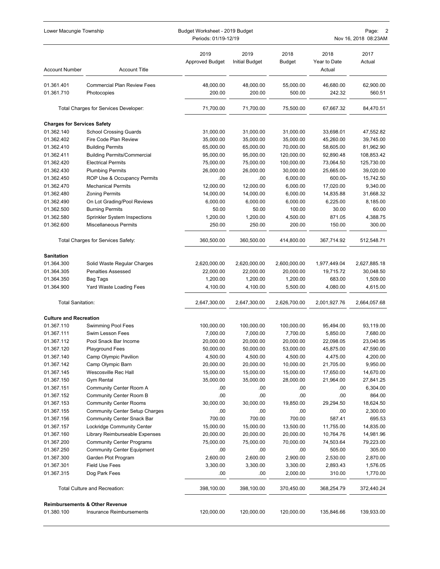| Lower Macungie Township            |                                           | Budget Worksheet - 2019 Budget<br>Periods: 01/19-12/19 |                               |                       | Page:<br>2<br>Nov 16, 2018 08:23AM |                      |  |
|------------------------------------|-------------------------------------------|--------------------------------------------------------|-------------------------------|-----------------------|------------------------------------|----------------------|--|
| <b>Account Number</b>              | <b>Account Title</b>                      | 2019<br><b>Approved Budget</b>                         | 2019<br><b>Initial Budget</b> | 2018<br><b>Budget</b> | 2018<br>Year to Date<br>Actual     | 2017<br>Actual       |  |
| 01.361.401                         | <b>Commercial Plan Review Fees</b>        | 48,000.00                                              | 48,000.00                     | 55,000.00             | 46,680.00                          | 62,900.00            |  |
| 01.361.710                         | Photocopies                               | 200.00                                                 | 200.00                        | 500.00                | 242.32                             | 560.51               |  |
|                                    | Total Charges for Services Developer:     | 71,700.00                                              | 71,700.00                     | 75,500.00             | 67,667.32                          | 84,470.51            |  |
| <b>Charges for Services Safety</b> |                                           |                                                        |                               |                       |                                    |                      |  |
| 01.362.140                         | <b>School Crossing Guards</b>             | 31,000.00                                              | 31,000.00                     | 31,000.00             | 33,698.01                          | 47,552.82            |  |
| 01.362.402                         | Fire Code Plan Review                     | 35,000.00                                              | 35,000.00                     | 35,000.00             | 45,260.00                          | 39,745.00            |  |
| 01.362.410                         | <b>Building Permits</b>                   | 65,000.00                                              | 65,000.00                     | 70,000.00             | 58,605.00                          | 81,962.90            |  |
| 01.362.411                         | <b>Building Permits/Commercial</b>        | 95,000.00                                              | 95,000.00                     | 120,000.00            | 92,890.48                          | 108,853.42           |  |
| 01.362.420                         | <b>Electrical Permits</b>                 | 75,000.00                                              | 75,000.00                     | 100,000.00            | 73,064.50                          | 125,730.00           |  |
| 01.362.430                         | <b>Plumbing Permits</b>                   | 26,000.00                                              | 26,000.00                     | 30,000.00             | 25,665.00                          | 39,020.00            |  |
| 01.362.450                         | ROP Use & Occupancy Permits               | .00                                                    | .00                           | 6,000.00              | 600.00-                            | 15,742.50            |  |
| 01.362.470                         | <b>Mechanical Permits</b>                 | 12,000.00                                              | 12,000.00                     | 6,000.00              | 17,020.00                          | 9,340.00             |  |
| 01.362.480                         | <b>Zoning Permits</b>                     | 14,000.00                                              | 14,000.00                     | 6,000.00              | 14,835.88                          | 31,668.32            |  |
| 01.362.490                         | On Lot Grading/Pool Reviews               | 6,000.00                                               | 6,000.00                      | 6,000.00              | 6,225.00                           | 8,185.00             |  |
| 01.362.500                         | <b>Burning Permits</b>                    | 50.00                                                  | 50.00                         | 100.00                | 30.00                              | 60.00                |  |
| 01.362.580                         | Sprinkler System Inspections              | 1,200.00                                               | 1,200.00                      | 4,500.00              | 871.05                             | 4,388.75             |  |
| 01.362.600                         | <b>Miscellaneous Permits</b>              | 250.00                                                 | 250.00                        | 200.00                | 150.00                             | 300.00               |  |
|                                    | Total Charges for Services Safety:        | 360,500.00                                             | 360,500.00                    | 414,800.00            | 367,714.92                         | 512,548.71           |  |
| <b>Sanitation</b>                  |                                           |                                                        |                               |                       |                                    |                      |  |
| 01.364.300                         | Solid Waste Regular Charges               | 2,620,000.00                                           | 2,620,000.00                  | 2,600,000.00          | 1,977,449.04                       | 2,627,885.18         |  |
| 01.364.305                         | <b>Penalties Assessed</b>                 | 22,000.00                                              | 22,000.00                     | 20,000.00             | 19,715.72                          | 30,048.50            |  |
| 01.364.350                         | Bag Tags                                  | 1,200.00                                               | 1,200.00                      | 1,200.00              | 683.00                             | 1,509.00             |  |
| 01.364.900                         | Yard Waste Loading Fees                   | 4,100.00                                               | 4,100.00                      | 5,500.00              | 4,080.00                           | 4,615.00             |  |
| <b>Total Sanitation:</b>           |                                           | 2,647,300.00                                           | 2,647,300.00                  | 2,626,700.00          | 2,001,927.76                       | 2,664,057.68         |  |
| <b>Culture and Recreation</b>      |                                           |                                                        |                               |                       |                                    |                      |  |
| 01.367.110                         | Swimming Pool Fees                        | 100,000.00                                             | 100,000.00                    | 100,000.00            | 95,494.00                          | 93,119.00            |  |
| 01.367.111                         | Swim Lesson Fees                          | 7,000.00                                               | 7,000.00                      | 7,700.00              | 5,850.00                           | 7,680.00             |  |
| 01.367.112                         | Pool Snack Bar Income                     | 20,000.00                                              | 20,000.00                     | 20,000.00             | 22,098.05                          | 23,040.95            |  |
| 01.367.120                         | Playground Fees                           | 50,000.00                                              | 50,000.00                     | 53,000.00             | 45,875.00                          | 47,590.00            |  |
| 01.367.140                         | Camp Olympic Pavilion                     | 4,500.00                                               | 4,500.00                      | 4,500.00              | 4,475.00                           | 4,200.00             |  |
| 01.367.142                         | Camp Olympic Barn                         | 20,000.00                                              | 20,000.00                     | 10,000.00             | 21,705.00                          | 9,950.00             |  |
| 01.367.145                         | Wescosville Rec Hall                      | 15,000.00                                              | 15,000.00                     | 15,000.00             | 17,650.00                          | 14,670.00            |  |
| 01.367.150                         | <b>Gym Rental</b>                         | 35,000.00                                              | 35,000.00                     | 28,000.00             | 21,964.00                          | 27,841.25            |  |
| 01.367.151                         | Community Center Room A                   | .00                                                    | .00                           | .00                   | .00                                | 6,304.00             |  |
| 01.367.152                         | Community Center Room B                   | .00                                                    | .00                           | .00                   | .00                                | 864.00               |  |
| 01.367.153                         | <b>Community Center Rooms</b>             | 30,000.00                                              | 30,000.00                     | 19,850.00             | 29,294.50                          | 18,624.50            |  |
| 01.367.155                         | <b>Community Center Setup Charges</b>     | .00                                                    | .00                           | .00                   | .00                                | 2,300.00             |  |
| 01.367.156                         | Community Center Snack Bar                | 700.00                                                 | 700.00                        | 700.00                | 587.41                             | 695.53               |  |
| 01.367.157                         | Lockridge Community Center                | 15,000.00                                              | 15,000.00                     | 13,500.00             | 11,755.00                          | 14,835.00            |  |
| 01.367.160                         | Library Reimburseable Expenses            | 20,000.00                                              | 20,000.00                     | 20,000.00             | 10,764.76                          | 14,981.96            |  |
| 01.367.200                         | <b>Community Center Programs</b>          | 75,000.00                                              | 75,000.00                     | 70,000.00             | 74,503.64                          | 79,223.00            |  |
| 01.367.250                         | <b>Community Center Equipment</b>         | .00                                                    | .00                           | .00                   | 505.00                             | 305.00               |  |
| 01.367.300                         | Garden Plot Program                       | 2,600.00                                               | 2,600.00                      | 2,900.00              | 2,530.00                           | 2,870.00             |  |
| 01.367.301<br>01.367.315           | <b>Field Use Fees</b><br>Dog Park Fees    | 3,300.00<br>.00                                        | 3,300.00<br>.00               | 3,300.00<br>2,000.00  | 2,893.43<br>310.00                 | 1,576.05<br>1,770.00 |  |
|                                    |                                           |                                                        |                               |                       |                                    |                      |  |
|                                    | Total Culture and Recreation:             | 398,100.00                                             | 398,100.00                    | 370,450.00            | 368,254.79                         | 372,440.24           |  |
|                                    | <b>Reimbursements &amp; Other Revenue</b> |                                                        |                               |                       |                                    |                      |  |
| 01.380.100                         | Insurance Reimbursements                  | 120,000.00                                             | 120,000.00                    | 120,000.00            | 135,846.66                         | 139,933.00           |  |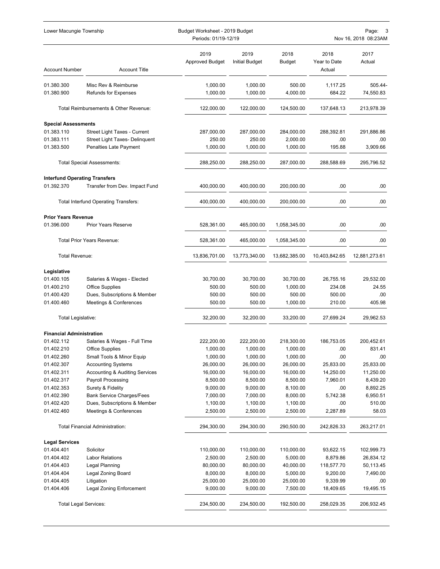| Lower Macungie Township                            |                                                       | Budget Worksheet - 2019 Budget<br>Periods: 01/19-12/19 |                        |                      | Page:<br>3<br>Nov 16, 2018 08:23AM |                      |
|----------------------------------------------------|-------------------------------------------------------|--------------------------------------------------------|------------------------|----------------------|------------------------------------|----------------------|
| <b>Account Number</b>                              | <b>Account Title</b>                                  | 2019<br><b>Approved Budget</b>                         | 2019<br>Initial Budget | 2018<br>Budget       | 2018<br>Year to Date<br>Actual     | 2017<br>Actual       |
| 01.380.300                                         | Misc Rev & Reimburse                                  | 1,000.00                                               | 1,000.00               | 500.00               | 1,117.25                           | 505.44-              |
| 01.380.900                                         | <b>Refunds for Expenses</b>                           | 1,000.00                                               | 1,000.00               | 4,000.00             | 684.22                             | 74,550.83            |
|                                                    | Total Reimbursements & Other Revenue:                 | 122,000.00                                             | 122,000.00             | 124,500.00           | 137,648.13                         | 213,978.39           |
| <b>Special Assessments</b>                         |                                                       |                                                        |                        |                      |                                    |                      |
| 01.383.110                                         | Street Light Taxes - Current                          | 287,000.00                                             | 287,000.00             | 284,000.00           | 288,392.81                         | 291,886.86           |
| 01.383.111                                         | Street Light Taxes- Delinquent                        | 250.00                                                 | 250.00                 | 2,000.00             | .00                                | .00                  |
| 01.383.500                                         | Penalties Late Payment                                | 1,000.00                                               | 1,000.00               | 1,000.00             | 195.88                             | 3,909.66             |
|                                                    | <b>Total Special Assessments:</b>                     | 288,250.00                                             | 288,250.00             | 287,000.00           | 288,588.69                         | 295,796.52           |
| <b>Interfund Operating Transfers</b><br>01.392.370 | Transfer from Dev. Impact Fund                        | 400,000.00                                             | 400,000.00             | 200,000.00           | .00                                | .00                  |
|                                                    | <b>Total Interfund Operating Transfers:</b>           | 400,000.00                                             | 400,000.00             | 200,000.00           | .00                                | .00                  |
| <b>Prior Years Revenue</b>                         |                                                       |                                                        |                        |                      |                                    |                      |
| 01.396.000                                         | <b>Prior Years Reserve</b>                            | 528,361.00                                             | 465,000.00             | 1,058,345.00         | .00                                | .00                  |
|                                                    | <b>Total Prior Years Revenue:</b>                     | 528,361.00                                             | 465,000.00             | 1,058,345.00         | .00                                | .00                  |
| Total Revenue:                                     |                                                       | 13,836,701.00                                          | 13,773,340.00          | 13,682,385.00        | 10,403,842.65                      | 12,881,273.61        |
| Legislative                                        |                                                       |                                                        |                        |                      |                                    |                      |
| 01.400.105                                         | Salaries & Wages - Elected                            | 30,700.00                                              | 30,700.00              | 30,700.00            | 26,755.16                          | 29,532.00            |
| 01.400.210                                         | <b>Office Supplies</b>                                | 500.00                                                 | 500.00                 | 1,000.00             | 234.08                             | 24.55                |
| 01.400.420                                         | Dues, Subscriptions & Member                          | 500.00                                                 | 500.00                 | 500.00               | 500.00                             | .00                  |
| 01.400.460                                         | Meetings & Conferences                                | 500.00                                                 | 500.00                 | 1,000.00             | 210.00                             | 405.98               |
| Total Legislative:                                 |                                                       | 32,200.00                                              | 32,200.00              | 33,200.00            | 27,699.24                          | 29,962.53            |
| <b>Financial Administration</b>                    |                                                       |                                                        |                        |                      |                                    |                      |
| 01.402.112                                         | Salaries & Wages - Full Time                          | 222,200.00                                             | 222,200.00             | 218,300.00           | 186,753.05                         | 200,452.61           |
| 01.402.210                                         | Office Supplies                                       | 1,000.00                                               | 1,000.00               | 1,000.00             | .00                                | 831.41               |
| 01.402.260                                         | Small Tools & Minor Equip                             | 1,000.00                                               | 1,000.00               | 1,000.00             | .00                                | .00                  |
| 01.402.307                                         | <b>Accounting Systems</b>                             | 26,000.00                                              | 26,000.00              | 26,000.00            | 25,833.00                          | 25,833.00            |
| 01.402.311                                         | <b>Accounting &amp; Auditing Services</b>             | 16,000.00                                              | 16,000.00              | 16,000.00            | 14,250.00                          | 11,250.00            |
| 01.402.317                                         | Payroll Processing                                    | 8,500.00                                               | 8,500.00<br>9,000.00   | 8,500.00             | 7,960.01                           | 8,439.20             |
| 01.402.353<br>01.402.390                           | Surety & Fidelity<br><b>Bank Service Charges/Fees</b> | 9,000.00<br>7,000.00                                   | 7,000.00               | 8,100.00<br>8,000.00 | .00<br>5,742.38                    | 8,892.25<br>6,950.51 |
| 01.402.420                                         | Dues, Subscriptions & Member                          | 1,100.00                                               | 1,100.00               | 1,100.00             | .00                                | 510.00               |
| 01.402.460                                         | Meetings & Conferences                                | 2,500.00                                               | 2,500.00               | 2,500.00             | 2,287.89                           | 58.03                |
|                                                    | <b>Total Financial Administration:</b>                | 294,300.00                                             | 294,300.00             | 290,500.00           | 242,826.33                         | 263,217.01           |
|                                                    |                                                       |                                                        |                        |                      |                                    |                      |
| <b>Legal Services</b><br>01.404.401                | Solicitor                                             | 110,000.00                                             | 110,000.00             | 110,000.00           | 93,622.15                          | 102,999.73           |
| 01.404.402                                         | <b>Labor Relations</b>                                | 2,500.00                                               | 2,500.00               | 5,000.00             | 8,879.86                           | 26,834.12            |
| 01.404.403                                         | Legal Planning                                        | 80,000.00                                              | 80,000.00              | 40,000.00            | 118,577.70                         | 50,113.45            |
| 01.404.404                                         | Legal Zoning Board                                    | 8,000.00                                               | 8,000.00               | 5,000.00             | 9,200.00                           | 7,490.00             |
| 01.404.405                                         | Litigation                                            | 25,000.00                                              | 25,000.00              | 25,000.00            | 9,339.99                           | .00                  |
| 01.404.406                                         | Legal Zoning Enforcement                              | 9,000.00                                               | 9,000.00               | 7,500.00             | 18,409.65                          | 19,495.15            |
| Total Legal Services:                              |                                                       | 234,500.00                                             | 234,500.00             | 192,500.00           | 258,029.35                         | 206,932.45           |
|                                                    |                                                       |                                                        |                        |                      |                                    |                      |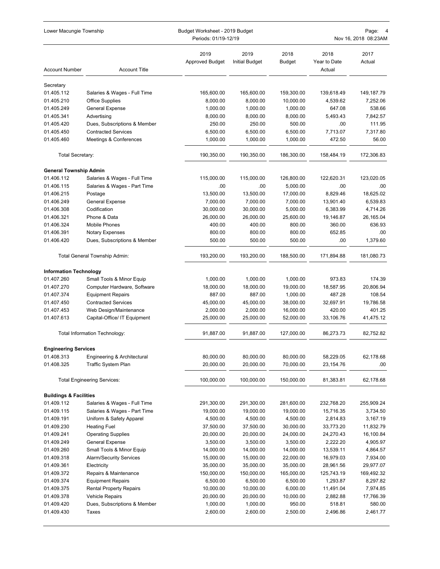| Lower Macungie Township           |                                                          | Budget Worksheet - 2019 Budget<br>Periods: 01/19-12/19 |                               |                       | Page: 4<br>Nov 16, 2018 08:23AM |                       |  |
|-----------------------------------|----------------------------------------------------------|--------------------------------------------------------|-------------------------------|-----------------------|---------------------------------|-----------------------|--|
| <b>Account Number</b>             | <b>Account Title</b>                                     | 2019<br><b>Approved Budget</b>                         | 2019<br><b>Initial Budget</b> | 2018<br>Budget        | 2018<br>Year to Date<br>Actual  | 2017<br>Actual        |  |
| Secretary                         |                                                          |                                                        |                               |                       |                                 |                       |  |
| 01.405.112                        | Salaries & Wages - Full Time                             | 165,600.00                                             | 165,600.00                    | 159,300.00            | 139,618.49                      | 149,187.79            |  |
| 01.405.210                        | <b>Office Supplies</b>                                   | 8,000.00                                               | 8,000.00                      | 10,000.00             | 4,539.62                        | 7,252.06              |  |
| 01.405.249                        | General Expense                                          | 1,000.00                                               | 1,000.00                      | 1,000.00              | 647.08                          | 538.66                |  |
| 01.405.341                        | Advertising                                              | 8,000.00                                               | 8,000.00                      | 8,000.00              | 5,493.43                        | 7,842.57              |  |
| 01.405.420                        | Dues, Subscriptions & Member                             | 250.00                                                 | 250.00                        | 500.00                | .00                             | 111.95                |  |
| 01.405.450                        | <b>Contracted Services</b>                               | 6,500.00                                               | 6,500.00                      | 6,500.00              | 7,713.07                        | 7,317.80              |  |
| 01.405.460                        | Meetings & Conferences                                   | 1,000.00                                               | 1,000.00                      | 1,000.00              | 472.50                          | 56.00                 |  |
| Total Secretary:                  |                                                          | 190,350.00                                             | 190,350.00                    | 186,300.00            | 158,484.19                      | 172,306.83            |  |
| <b>General Township Admin</b>     |                                                          |                                                        |                               |                       |                                 |                       |  |
| 01.406.112                        | Salaries & Wages - Full Time                             | 115,000.00                                             | 115,000.00                    | 126,800.00            | 122,620.31                      | 123,020.05            |  |
| 01.406.115                        | Salaries & Wages - Part Time                             | .00                                                    | .00                           | 5,000.00              | .00                             | .00                   |  |
| 01.406.215                        | Postage                                                  | 13,500.00                                              | 13,500.00                     | 17,000.00             | 8.829.46                        | 18,625.02             |  |
| 01.406.249                        | <b>General Expense</b>                                   | 7,000.00                                               | 7,000.00                      | 7,000.00              | 13,901.40                       | 6,539.83              |  |
| 01.406.308<br>01.406.321          | Codification<br>Phone & Data                             | 30,000.00<br>26,000.00                                 | 30,000.00<br>26,000.00        | 5,000.00<br>25,600.00 | 6,383.99<br>19,146.87           | 4,714.26<br>26,165.04 |  |
| 01.406.324                        | <b>Mobile Phones</b>                                     | 400.00                                                 | 400.00                        | 800.00                | 360.00                          | 636.93                |  |
| 01.406.391                        | <b>Notary Expenses</b>                                   | 800.00                                                 | 800.00                        | 800.00                | 652.85                          | .00                   |  |
| 01.406.420                        | Dues, Subscriptions & Member                             | 500.00                                                 | 500.00                        | 500.00                | .00                             | 1,379.60              |  |
|                                   | Total General Township Admin:                            | 193,200.00                                             | 193,200.00                    | 188,500.00            | 171,894.88                      | 181,080.73            |  |
| <b>Information Technology</b>     |                                                          |                                                        |                               |                       |                                 |                       |  |
| 01.407.260                        | Small Tools & Minor Equip                                | 1,000.00                                               | 1,000.00                      | 1,000.00              | 973.83                          | 174.39                |  |
| 01.407.270                        | Computer Hardware, Software                              | 18,000.00                                              | 18,000.00                     | 19,000.00             | 18,587.95                       | 20,806.94             |  |
| 01.407.374                        | <b>Equipment Repairs</b>                                 | 887.00                                                 | 887.00                        | 1,000.00              | 487.28                          | 108.54                |  |
| 01.407.450                        | <b>Contracted Services</b>                               | 45,000.00                                              | 45,000.00                     | 38,000.00             | 32,697.91                       | 19,786.58             |  |
| 01.407.453                        | Web Design/Maintenance                                   | 2,000.00                                               | 2,000.00                      | 16,000.00             | 420.00                          | 401.25                |  |
| 01.407.613                        | Capital-Office/ IT Equipment                             | 25,000.00                                              | 25,000.00                     | 52,000.00             | 33,106.76                       | 41,475.12             |  |
|                                   | Total Information Technology:                            | 91,887.00                                              | 91,887.00                     | 127,000.00            | 86,273.73                       | 82,752.82             |  |
| <b>Engineering Services</b>       |                                                          |                                                        |                               |                       |                                 |                       |  |
| 01.408.313                        | Engineering & Architectural                              | 80,000.00                                              | 80,000.00                     | 80,000.00             | 58,229.05                       | 62,178.68             |  |
| 01.408.325                        | Traffic System Plan                                      | 20,000.00                                              | 20,000.00                     | 70,000.00             | 23,154.76                       | .00.                  |  |
|                                   | <b>Total Engineering Services:</b>                       | 100,000.00                                             | 100,000.00                    | 150,000.00            | 81,383.81                       | 62,178.68             |  |
| <b>Buildings &amp; Facilities</b> |                                                          |                                                        |                               |                       |                                 |                       |  |
| 01.409.112                        | Salaries & Wages - Full Time                             | 291,300.00                                             | 291,300.00                    | 281,600.00            | 232,768.20                      | 255,909.24            |  |
| 01.409.115                        | Salaries & Wages - Part Time                             | 19,000.00                                              | 19,000.00                     | 19,000.00             | 15,716.35                       | 3,734.50              |  |
| 01.409.191                        | Uniform & Safety Apparel                                 | 4,500.00                                               | 4,500.00                      | 4,500.00              | 2,814.83                        | 3,167.19              |  |
| 01.409.230                        | <b>Heating Fuel</b>                                      | 37,500.00                                              | 37,500.00                     | 30,000.00             | 33,773.20                       | 11,832.79             |  |
| 01.409.241                        | <b>Operating Supplies</b>                                | 20,000.00                                              | 20,000.00                     | 24,000.00             | 24,270.43                       | 16,100.84             |  |
| 01.409.249                        | General Expense                                          | 3,500.00                                               | 3,500.00                      | 3,500.00              | 2,222.20                        | 4,905.97              |  |
| 01.409.260                        | Small Tools & Minor Equip                                | 14,000.00                                              | 14,000.00                     | 14,000.00             | 13,539.11                       | 4,864.57              |  |
| 01.409.318                        | <b>Alarm/Security Services</b>                           | 15,000.00                                              | 15,000.00                     | 22,000.00             | 16,979.03                       | 7,934.00              |  |
| 01.409.361                        | Electricity                                              | 35,000.00                                              | 35,000.00                     | 35,000.00             | 28,961.56                       | 29,977.07             |  |
| 01.409.372                        | Repairs & Maintenance                                    | 150,000.00                                             | 150,000.00                    | 165,000.00            | 125,743.19                      | 169,492.32            |  |
| 01.409.374                        | <b>Equipment Repairs</b>                                 | 6,500.00                                               | 6,500.00                      | 6,500.00              | 1,293.87                        | 8,297.82              |  |
| 01.409.375<br>01.409.378          | <b>Rental Property Repairs</b><br><b>Vehicle Repairs</b> | 10,000.00<br>20,000.00                                 | 10,000.00<br>20,000.00        | 6,000.00<br>10,000.00 | 11,491.04<br>2,882.88           | 7,974.85<br>17,766.39 |  |
| 01.409.420                        | Dues, Subscriptions & Member                             | 1,000.00                                               | 1,000.00                      | 950.00                | 518.81                          | 580.00                |  |
| 01.409.430                        | Taxes                                                    | 2,600.00                                               | 2,600.00                      | 2,500.00              | 2,496.86                        | 2,461.77              |  |
|                                   |                                                          |                                                        |                               |                       |                                 |                       |  |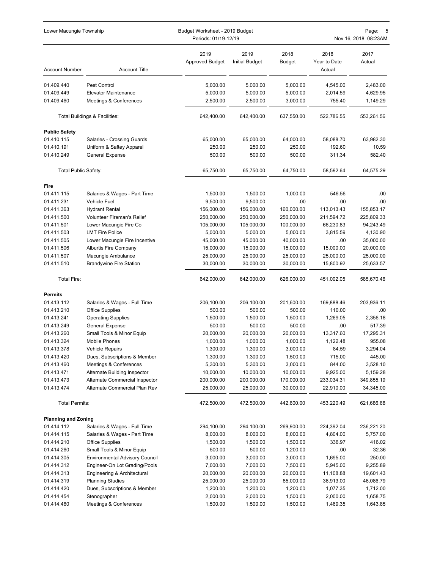| Lower Macungie Township     |                                                                 | Budget Worksheet - 2019 Budget<br>Periods: 01/19-12/19 | Page:<br>Nov 16, 2018 08:23AM |                         |                                |                         |
|-----------------------------|-----------------------------------------------------------------|--------------------------------------------------------|-------------------------------|-------------------------|--------------------------------|-------------------------|
| <b>Account Number</b>       | <b>Account Title</b>                                            | 2019<br><b>Approved Budget</b>                         | 2019<br><b>Initial Budget</b> | 2018<br><b>Budget</b>   | 2018<br>Year to Date<br>Actual | 2017<br>Actual          |
| 01.409.440                  | Pest Control                                                    | 5,000.00                                               | 5,000.00                      | 5,000.00                | 4,545.00                       | 2,483.00                |
| 01.409.449                  | <b>Elevator Maintenance</b>                                     | 5,000.00                                               | 5,000.00                      | 5,000.00                | 2,014.59                       | 4,629.95                |
| 01.409.460                  | Meetings & Conferences                                          | 2,500.00                                               | 2,500.00                      | 3,000.00                | 755.40                         | 1,149.29                |
|                             | Total Buildings & Facilities:                                   | 642,400.00                                             | 642,400.00                    | 637,550.00              | 522,786.55                     | 553,261.56              |
| <b>Public Safety</b>        |                                                                 |                                                        |                               |                         |                                |                         |
| 01.410.115                  | Salaries - Crossing Guards                                      | 65,000.00                                              | 65,000.00                     | 64,000.00               | 58,088.70                      | 63,982.30               |
| 01.410.191                  | Uniform & Saftey Apparel                                        | 250.00                                                 | 250.00                        | 250.00                  | 192.60                         | 10.59                   |
| 01.410.249                  | General Expense                                                 | 500.00                                                 | 500.00                        | 500.00                  | 311.34                         | 582.40                  |
| <b>Total Public Safety:</b> |                                                                 | 65,750.00                                              | 65,750.00                     | 64,750.00               | 58,592.64                      | 64,575.29               |
| Fire                        |                                                                 |                                                        |                               |                         |                                |                         |
| 01.411.115                  | Salaries & Wages - Part Time                                    | 1,500.00                                               | 1,500.00                      | 1,000.00                | 546.56                         | .00                     |
| 01.411.231                  | Vehicle Fuel                                                    | 9,500.00                                               | 9,500.00                      | .00                     | .00                            | .00                     |
| 01.411.363                  | <b>Hydrant Rental</b>                                           | 156,000.00                                             | 156,000.00                    | 160,000.00              | 113,013.43                     | 155,853.17              |
| 01.411.500                  | <b>Volunteer Fireman's Relief</b>                               | 250,000.00                                             | 250,000.00                    | 250,000.00              | 211,594.72                     | 225,809.33              |
| 01.411.501                  | Lower Macungie Fire Co<br><b>LMT Fire Police</b>                | 105,000.00                                             | 105,000.00                    | 100,000.00              | 66,230.83                      | 94,243.49               |
| 01.411.503                  |                                                                 | 5,000.00                                               | 5,000.00                      | 5,000.00                | 3,815.59<br>.00                | 4,130.90<br>35,000.00   |
| 01.411.505<br>01.411.506    | Lower Macungie Fire Incentive<br><b>Alburtis Fire Company</b>   | 45,000.00<br>15,000.00                                 | 45,000.00<br>15,000.00        | 40,000.00<br>15,000.00  | 15,000.00                      | 20,000.00               |
| 01.411.507                  | Macungie Ambulance                                              | 25,000.00                                              | 25,000.00                     | 25,000.00               | 25,000.00                      | 25,000.00               |
| 01.411.510                  | <b>Brandywine Fire Station</b>                                  | 30,000.00                                              | 30,000.00                     | 30,000.00               | 15,800.92                      | 25,633.57               |
| <b>Total Fire:</b>          |                                                                 | 642,000.00                                             | 642,000.00                    | 626,000.00              | 451,002.05                     | 585,670.46              |
| <b>Permits</b>              |                                                                 |                                                        |                               |                         |                                |                         |
| 01.413.112                  | Salaries & Wages - Full Time                                    | 206,100.00                                             | 206,100.00                    | 201,600.00              | 169,888.46                     | 203,936.11              |
| 01.413.210                  | <b>Office Supplies</b>                                          | 500.00                                                 | 500.00                        | 500.00                  | 110.00                         | .00                     |
| 01.413.241                  | <b>Operating Supplies</b>                                       | 1,500.00                                               | 1,500.00                      | 1,500.00                | 1,269.05                       | 2,356.18                |
| 01.413.249                  | General Expense                                                 | 500.00                                                 | 500.00                        | 500.00                  | .00                            | 517.39                  |
| 01.413.260                  | Small Tools & Minor Equip                                       | 20,000.00                                              | 20,000.00                     | 20,000.00               | 13,317.60                      | 17,295.31               |
| 01.413.324                  | <b>Mobile Phones</b>                                            | 1,000.00                                               | 1,000.00                      | 1,000.00                | 1,122.48                       | 955.08                  |
| 01.413.378                  | Vehicle Repairs                                                 | 1,300.00                                               | 1,300.00                      | 3,000.00                | 84.59                          | 3,294.04                |
| 01.413.420                  | Dues, Subscriptions & Member                                    | 1,300.00                                               | 1,300.00                      | 1,500.00                | 715.00                         | 445.00                  |
| 01.413.460                  | Meetings & Conferences                                          | 5,300.00                                               | 5,300.00                      | 3,000.00                | 844.00                         | 3,528.10                |
| 01.413.471                  | Alternate Building Inspector                                    | 10,000.00                                              | 10,000.00                     | 10,000.00               | 9,925.00                       | 5,159.28                |
| 01.413.473<br>01.413.474    | Alternate Commercial Inspector<br>Alternate Commercial Plan Rev | 200,000.00<br>25,000.00                                | 200,000.00<br>25,000.00       | 170,000.00<br>30,000.00 | 233,034.31<br>22,910.00        | 349,855.19<br>34,345.00 |
| <b>Total Permits:</b>       |                                                                 | 472,500.00                                             | 472,500.00                    | 442,600.00              | 453,220.49                     | 621,686.68              |
|                             |                                                                 |                                                        |                               |                         |                                |                         |
| <b>Planning and Zoning</b>  |                                                                 |                                                        |                               |                         |                                |                         |
| 01.414.112                  | Salaries & Wages - Full Time                                    | 294,100.00                                             | 294,100.00                    | 269,900.00              | 224,392.04                     | 236,221.20              |
| 01.414.115                  | Salaries & Wages - Part Time                                    | 8,000.00                                               | 8,000.00                      | 8,000.00                | 4,804.00                       | 5,757.00                |
| 01.414.210                  | <b>Office Supplies</b>                                          | 1,500.00                                               | 1,500.00                      | 1,500.00                | 336.97                         | 416.02                  |
| 01.414.260                  | Small Tools & Minor Equip                                       | 500.00                                                 | 500.00                        | 1,200.00                | .00                            | 32.36                   |
| 01.414.305                  | <b>Environmental Advisory Council</b>                           | 3,000.00                                               | 3,000.00                      | 3,000.00                | 1,695.00                       | 250.00                  |
| 01.414.312<br>01.414.313    | Engineer-On Lot Grading/Pools                                   | 7,000.00                                               | 7,000.00                      | 7,500.00                | 5,945.00                       | 9,255.89<br>19,601.43   |
| 01.414.319                  | Engineering & Architectural<br><b>Planning Studies</b>          | 20,000.00<br>25,000.00                                 | 20,000.00<br>25,000.00        | 20,000.00<br>85,000.00  | 11,108.88<br>36,913.00         | 46,086.79               |
| 01.414.420                  | Dues, Subscriptions & Member                                    | 1,200.00                                               | 1,200.00                      | 1,200.00                | 1,077.35                       | 1,712.00                |
| 01.414.454                  | Stenographer                                                    | 2,000.00                                               | 2,000.00                      | 1,500.00                | 2,000.00                       | 1,658.75                |
| 01.414.460                  | Meetings & Conferences                                          | 1,500.00                                               | 1,500.00                      | 1,500.00                | 1,469.35                       | 1,643.85                |
|                             |                                                                 |                                                        |                               |                         |                                |                         |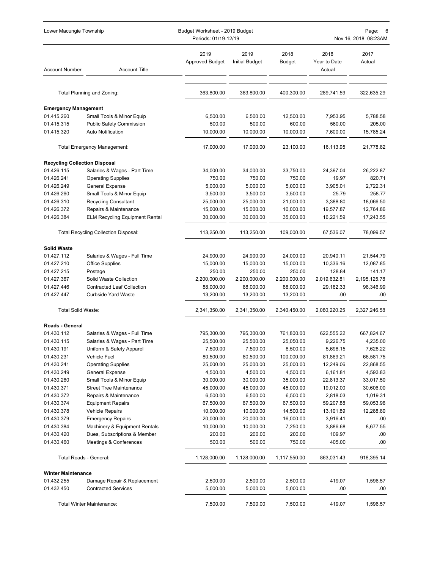| Lower Macungie Township                            |                                                             | Budget Worksheet - 2019 Budget<br>Periods: 01/19-12/19 |                               |                       | Page:<br>6<br>Nov 16, 2018 08:23AM |                       |  |
|----------------------------------------------------|-------------------------------------------------------------|--------------------------------------------------------|-------------------------------|-----------------------|------------------------------------|-----------------------|--|
| <b>Account Number</b>                              | <b>Account Title</b>                                        | 2019<br><b>Approved Budget</b>                         | 2019<br><b>Initial Budget</b> | 2018<br>Budget        | 2018<br>Year to Date<br>Actual     | 2017<br>Actual        |  |
|                                                    | Total Planning and Zoning:                                  | 363,800.00                                             | 363,800.00                    | 400,300.00            | 289,741.59                         | 322,635.29            |  |
|                                                    |                                                             |                                                        |                               |                       |                                    |                       |  |
| <b>Emergency Management</b>                        |                                                             |                                                        |                               |                       |                                    |                       |  |
| 01.415.260                                         | Small Tools & Minor Equip                                   | 6,500.00<br>500.00                                     | 6,500.00<br>500.00            | 12,500.00             | 7,953.95                           | 5,788.58<br>205.00    |  |
| 01.415.315<br>01.415.320                           | <b>Public Safety Commission</b><br><b>Auto Notification</b> | 10,000.00                                              | 10,000.00                     | 600.00<br>10,000.00   | 560.00<br>7,600.00                 | 15,785.24             |  |
|                                                    | Total Emergency Management:                                 | 17,000.00                                              | 17,000.00                     | 23,100.00             | 16,113.95                          | 21,778.82             |  |
|                                                    |                                                             |                                                        |                               |                       |                                    |                       |  |
| <b>Recycling Collection Disposal</b><br>01.426.115 | Salaries & Wages - Part Time                                | 34,000.00                                              | 34,000.00                     | 33,750.00             | 24,397.04                          | 26,222.87             |  |
| 01.426.241                                         | <b>Operating Supplies</b>                                   | 750.00                                                 | 750.00                        | 750.00                | 19.97                              | 820.71                |  |
| 01.426.249                                         | General Expense                                             | 5,000.00                                               | 5,000.00                      | 5,000.00              | 3,905.01                           | 2,722.31              |  |
| 01.426.260                                         | Small Tools & Minor Equip                                   | 3,500.00                                               | 3,500.00                      | 3,500.00              | 25.79                              | 258.77                |  |
| 01.426.310                                         | <b>Recycling Consultant</b>                                 | 25,000.00                                              | 25,000.00                     | 21,000.00             | 3,388.80                           | 18,066.50             |  |
| 01.426.372                                         | Repairs & Maintenance                                       | 15,000.00                                              | 15,000.00                     | 10,000.00             | 19,577.87                          | 12,764.86             |  |
| 01.426.384                                         | <b>ELM Recycling Equipment Rental</b>                       | 30,000.00                                              | 30,000.00                     | 35,000.00             | 16,221.59                          | 17,243.55             |  |
|                                                    | <b>Total Recycling Collection Disposal:</b>                 | 113,250.00                                             | 113,250.00                    | 109,000.00            | 67,536.07                          | 78,099.57             |  |
| <b>Solid Waste</b>                                 |                                                             |                                                        |                               |                       |                                    |                       |  |
| 01.427.112                                         | Salaries & Wages - Full Time                                | 24,900.00                                              | 24,900.00                     | 24,000.00             | 20,940.11                          | 21,544.79             |  |
| 01.427.210                                         | Office Supplies                                             | 15,000.00                                              | 15,000.00                     | 15,000.00             | 10,336.16                          | 12,087.85             |  |
| 01.427.215                                         | Postage                                                     | 250.00                                                 | 250.00                        | 250.00                | 128.84                             | 141.17                |  |
| 01.427.367                                         | Solid Waste Collection                                      | 2,200,000.00                                           | 2,200,000.00                  | 2,200,000.00          | 2,019,632.81                       | 2,195,125.78          |  |
| 01.427.446                                         | <b>Contracted Leaf Collection</b>                           | 88,000.00                                              | 88,000.00                     | 88,000.00             | 29,182.33                          | 98,346.99             |  |
| 01.427.447                                         | <b>Curbside Yard Waste</b>                                  | 13,200.00                                              | 13,200.00                     | 13,200.00             | .00                                | .00                   |  |
| <b>Total Solid Waste:</b>                          |                                                             | 2,341,350.00                                           | 2,341,350.00                  | 2,340,450.00          | 2,080,220.25                       | 2,327,246.58          |  |
| Roads - General                                    |                                                             |                                                        |                               |                       |                                    |                       |  |
| 01.430.112                                         | Salaries & Wages - Full Time                                | 795,300.00                                             | 795,300.00                    | 761,800.00            | 622,555.22                         | 667,824.67            |  |
| 01.430.115                                         | Salaries & Wages - Part Time                                | 25,500.00                                              | 25,500.00                     | 25,050.00             | 9,226.75                           | 4,235.00              |  |
| 01.430.191                                         | Uniform & Safety Apparel                                    | 7,500.00                                               | 7,500.00                      | 8,500.00              | 5,698.15                           | 7,628.22              |  |
| 01.430.231                                         | Vehicle Fuel                                                | 80,500.00                                              | 80,500.00                     | 100,000.00            | 81,869.21                          | 66,581.75             |  |
| 01.430.241                                         | <b>Operating Supplies</b>                                   | 25,000.00                                              | 25,000.00                     | 25,000.00             | 12,249.06                          | 22,868.55             |  |
| 01.430.249                                         | General Expense                                             | 4,500.00                                               | 4,500.00                      | 4,500.00              | 6,161.81                           | 4,593.83              |  |
| 01.430.260                                         | Small Tools & Minor Equip                                   | 30,000.00                                              | 30,000.00                     | 35,000.00             | 22,813.37                          | 33,017.50             |  |
| 01.430.371                                         | <b>Street Tree Maintenance</b>                              | 45,000.00                                              | 45,000.00<br>6,500.00         | 45,000.00             | 19,012.00                          | 30,606.00<br>1,019.31 |  |
| 01.430.372<br>01.430.374                           | Repairs & Maintenance<br><b>Equipment Repairs</b>           | 6,500.00<br>67,500.00                                  | 67,500.00                     | 6,500.00<br>67,500.00 | 2,818.03<br>59,207.88              | 59,053.96             |  |
| 01.430.378                                         | <b>Vehicle Repairs</b>                                      | 10,000.00                                              | 10,000.00                     | 14,500.00             | 13,101.89                          | 12,288.80             |  |
| 01.430.379                                         | <b>Emergency Repairs</b>                                    | 20,000.00                                              | 20,000.00                     | 16,000.00             | 3,916.41                           | .00                   |  |
| 01.430.384                                         | Machinery & Equipment Rentals                               | 10,000.00                                              | 10,000.00                     | 7,250.00              | 3,886.68                           | 8,677.55              |  |
| 01.430.420                                         | Dues, Subscriptions & Member                                | 200.00                                                 | 200.00                        | 200.00                | 109.97                             | .00                   |  |
| 01.430.460                                         | Meetings & Conferences                                      | 500.00                                                 | 500.00                        | 750.00                | 405.00                             | .00                   |  |
|                                                    | Total Roads - General:                                      | 1,128,000.00                                           | 1,128,000.00                  | 1,117,550.00          | 863,031.43                         | 918,395.14            |  |
| <b>Winter Maintenance</b>                          |                                                             |                                                        |                               |                       |                                    |                       |  |
| 01.432.255                                         | Damage Repair & Replacement                                 | 2,500.00                                               | 2,500.00                      | 2,500.00              | 419.07                             | 1,596.57              |  |
| 01.432.450                                         | <b>Contracted Services</b>                                  | 5,000.00                                               | 5,000.00                      | 5,000.00              | .00                                | .00                   |  |
|                                                    | Total Winter Maintenance:                                   | 7,500.00                                               | 7,500.00                      | 7,500.00              | 419.07                             | 1,596.57              |  |
|                                                    |                                                             |                                                        |                               |                       |                                    |                       |  |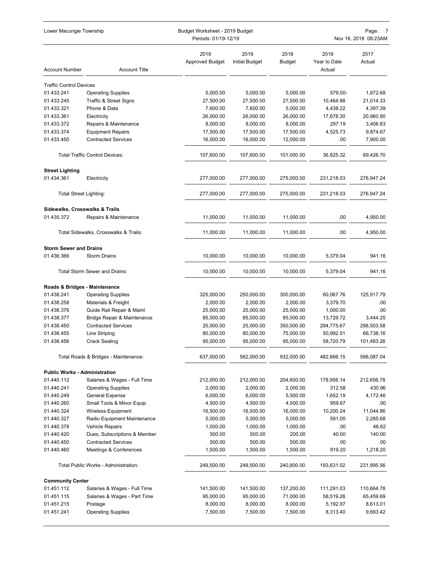| Lower Macungie Township<br>Budget Worksheet - 2019 Budget<br>Periods: 01/19-12/19 |                                       |                                |                               |                | Page:<br>Nov 16, 2018 08:23AM  |                |  |
|-----------------------------------------------------------------------------------|---------------------------------------|--------------------------------|-------------------------------|----------------|--------------------------------|----------------|--|
| <b>Account Number</b>                                                             | <b>Account Title</b>                  | 2019<br><b>Approved Budget</b> | 2019<br><b>Initial Budget</b> | 2018<br>Budget | 2018<br>Year to Date<br>Actual | 2017<br>Actual |  |
| <b>Traffic Control Devices</b>                                                    |                                       |                                |                               |                |                                |                |  |
| 01.433.241                                                                        | <b>Operating Supplies</b>             | 5,000.00                       | 5,000.00                      | 5,000.00       | 579.00-                        | 1,872.68       |  |
| 01.433.245                                                                        | Traffic & Street Signs                | 27,500.00                      | 27,500.00                     | 27,500.00      | 10,464.88                      | 21,014.33      |  |
| 01.433.321                                                                        | Phone & Data                          | 7,600.00                       | 7,600.00                      | 5,000.00       | 4,438.22                       | 4,397.39       |  |
| 01.433.361                                                                        | Electricity                           | 26,000.00                      | 26,000.00                     | 26,000.00      | 17,678.30                      | 20,960.80      |  |
| 01.433.372                                                                        | Repairs & Maintenance                 | 8,000.00                       | 8,000.00                      | 8,000.00       | 297.19                         | 3,406.83       |  |
| 01.433.374                                                                        | <b>Equipment Repairs</b>              | 17,500.00                      | 17,500.00                     | 17,500.00      | 4,525.73                       | 9,874.67       |  |
| 01.433.450                                                                        | <b>Contracted Services</b>            | 16,000.00                      | 16,000.00                     | 12,000.00      | .00                            | 7,900.00       |  |
|                                                                                   | <b>Total Traffic Control Devices:</b> | 107,600.00                     | 107,600.00                    | 101,000.00     | 36,825.32                      | 69,426.70      |  |
| <b>Street Lighting</b>                                                            |                                       |                                |                               |                |                                |                |  |
| 01.434.361                                                                        | Electricity                           | 277,000.00                     | 277,000.00                    | 275,000.00     | 231,218.03                     | 276,947.24     |  |
| <b>Total Street Lighting:</b>                                                     |                                       | 277,000.00                     | 277,000.00                    | 275,000.00     | 231,218.03                     | 276,947.24     |  |
| Sidewalks, Crosswalks & Trails                                                    |                                       |                                |                               |                |                                |                |  |
| 01.435.372                                                                        | Repairs & Maintenance                 | 11,000.00                      | 11,000.00                     | 11,000.00      | .00                            | 4,950.00       |  |
|                                                                                   | Total Sidewalks, Crosswalks & Trails: | 11,000.00                      | 11,000.00                     | 11,000.00      | .00                            | 4,950.00       |  |
| <b>Storm Sewer and Drains</b>                                                     |                                       |                                |                               |                |                                |                |  |
| 01.436.366                                                                        | <b>Storm Drains</b>                   | 10,000.00                      | 10,000.00                     | 10,000.00      | 5,379.04                       | 941.16         |  |
|                                                                                   | Total Storm Sewer and Drains:         | 10,000.00                      | 10,000.00                     | 10,000.00      | 5,379.04                       | 941.16         |  |
| Roads & Bridges - Maintenance                                                     |                                       |                                |                               |                |                                |                |  |
| 01.438.241                                                                        | <b>Operating Supplies</b>             | 325,000.00                     | 250,000.00                    | 300,000.00     | 60,067.76                      | 125,917.79     |  |
| 01.438.258                                                                        | Materials & Freight                   | 2,000.00                       | 2,000.00                      | 2,000.00       | 3,379.70                       | .00            |  |
| 01.438.376                                                                        | Guide Rail Repair & Maint             | 25,000.00                      | 25,000.00                     | 25,000.00      | 1,000.00                       | .00            |  |
| 01.438.377                                                                        | Bridge Repair & Maintenance           | 85,000.00                      | 85,000.00                     | 85,000.00      | 13,729.72                      | 3,444.25       |  |
| 01.438.450                                                                        | <b>Contracted Services</b>            | 25,000.00                      | 25,000.00                     | 350,000.00     | 294,775.67                     | 298,503.58     |  |
| 01.438.455                                                                        | Line Striping                         | 80,000.00                      | 80,000.00                     | 75,000.00      | 50,992.51                      | 66,738.16      |  |
| 01.438.456                                                                        | <b>Crack Sealing</b>                  | 95,000.00                      | 95,000.00                     | 95,000.00      | 58,720.79                      | 101,483.26     |  |
|                                                                                   | Total Roads & Bridges - Maintenance:  | 637,000.00                     | 562,000.00                    | 932,000.00     | 482,666.15                     | 596,087.04     |  |
| <b>Public Works - Administration</b>                                              |                                       |                                |                               |                |                                |                |  |
| 01.440.112                                                                        | Salaries & Wages - Full Time          | 212,000.00                     | 212,000.00                    | 204,600.00     | 178,956.14                     | 212,656.78     |  |
| 01.440.241                                                                        | <b>Operating Supplies</b>             | 2,000.00                       | 2,000.00                      | 2,000.00       | 312.58                         | 430.96         |  |
| 01.440.249                                                                        | General Expense                       | 6,000.00                       | 6,000.00                      | 5,500.00       | 1,652.19                       | 4,172.46       |  |
| 01.440.260                                                                        | Small Tools & Minor Equip             | 4,500.00                       | 4,500.00                      | 4,500.00       | 959.67                         | .00            |  |
| 01.440.324                                                                        | Wireless Equipment                    | 16,500.00                      | 16,500.00                     | 16,000.00      | 10,200.24                      | 11,044.86      |  |
| 01.440.327                                                                        | Radio Equipment Maintenance           | 5,000.00                       | 5,000.00                      | 5,000.00       | 591.00                         | 2,285.68       |  |
| 01.440.378                                                                        | <b>Vehicle Repairs</b>                | 1,000.00                       | 1,000.00                      | 1,000.00       | .00                            | 46.62          |  |
| 01.440.420                                                                        | Dues, Subscriptions & Member          | 500.00                         | 500.00                        | 200.00         | 40.00                          | 140.00         |  |
| 01.440.450                                                                        | <b>Contracted Services</b>            | 500.00                         | 500.00                        | 500.00         | .00                            | .00            |  |
| 01.440.460                                                                        | Meetings & Conferences                | 1,500.00                       | 1,500.00                      | 1,500.00       | 919.20                         | 1,218.20       |  |
|                                                                                   | Total Public Works - Administration:  | 249,500.00                     | 249,500.00                    | 240,800.00     | 193,631.02                     | 231,995.56     |  |
| <b>Community Center</b>                                                           |                                       |                                |                               |                |                                |                |  |
| 01.451.112                                                                        | Salaries & Wages - Full Time          | 141,500.00                     | 141,500.00                    | 137,200.00     | 111,291.03                     | 110,664.78     |  |
| 01.451.115                                                                        | Salaries & Wages - Part Time          | 95,000.00                      | 95,000.00                     | 71,000.00      | 58,519.26                      | 65,459.69      |  |
| 01.451.215                                                                        | Postage                               | 8,000.00                       | 8,000.00                      | 8,000.00       | 5,192.97                       | 8,613.01       |  |
| 01.451.241                                                                        | <b>Operating Supplies</b>             | 7,500.00                       | 7,500.00                      | 7,500.00       | 8,313.40                       | 9,693.42       |  |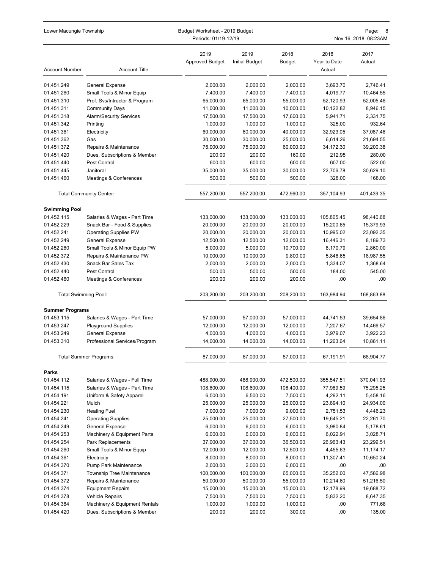| Lower Macungie Township     |                                  | Budget Worksheet - 2019 Budget<br>Periods: 01/19-12/19 |                               |                | Page:<br>8<br>Nov 16, 2018 08:23AM |                |  |
|-----------------------------|----------------------------------|--------------------------------------------------------|-------------------------------|----------------|------------------------------------|----------------|--|
| <b>Account Number</b>       | <b>Account Title</b>             | 2019<br><b>Approved Budget</b>                         | 2019<br><b>Initial Budget</b> | 2018<br>Budget | 2018<br>Year to Date<br>Actual     | 2017<br>Actual |  |
| 01.451.249                  | General Expense                  | 2,000.00                                               | 2,000.00                      | 2,000.00       | 3,693.70                           | 2,746.41       |  |
| 01.451.260                  | Small Tools & Minor Equip        | 7,400.00                                               | 7,400.00                      | 7,400.00       | 4,019.77                           | 10,464.55      |  |
| 01.451.310                  | Prof. Svs/Intructor & Program    | 65,000.00                                              | 65,000.00                     | 55,000.00      | 52,120.93                          | 52,005.46      |  |
| 01.451.311                  | <b>Community Days</b>            | 11,000.00                                              | 11,000.00                     | 10,000.00      | 10,122.82                          | 8,946.15       |  |
| 01.451.318                  | <b>Alarm/Security Services</b>   | 17,500.00                                              | 17,500.00                     | 17,600.00      | 5,941.71                           | 2,331.75       |  |
| 01.451.342                  | Printing                         | 1,000.00                                               | 1,000.00                      | 1,000.00       | 325.00                             | 932.64         |  |
| 01.451.361                  | Electricity                      | 60,000.00                                              | 60,000.00                     | 40,000.00      | 32,923.05                          | 37,087.46      |  |
| 01.451.362                  | Gas                              | 30,000.00                                              | 30,000.00                     | 25,000.00      | 6,614.26                           | 21,694.55      |  |
| 01.451.372                  | Repairs & Maintenance            | 75,000.00                                              | 75,000.00                     | 60,000.00      | 34,172.30                          | 39,200.38      |  |
| 01.451.420                  | Dues, Subscriptions & Member     | 200.00                                                 | 200.00                        | 160.00         | 212.95                             | 280.00         |  |
| 01.451.440                  | Pest Control                     | 600.00                                                 | 600.00                        | 600.00         | 607.00                             | 522.00         |  |
| 01.451.445                  | Janitoral                        | 35,000.00                                              | 35,000.00                     | 30,000.00      | 22,706.78                          | 30,629.10      |  |
| 01.451.460                  | Meetings & Conferences           | 500.00                                                 | 500.00                        | 500.00         | 328.00                             | 168.00         |  |
|                             | <b>Total Community Center:</b>   | 557,200.00                                             | 557,200.00                    | 472,960.00     | 357,104.93                         | 401,439.35     |  |
| <b>Swimming Pool</b>        |                                  |                                                        |                               |                |                                    |                |  |
| 01.452.115                  | Salaries & Wages - Part Time     | 133,000.00                                             | 133,000.00                    | 133,000.00     | 105,805.45                         | 98,440.68      |  |
| 01.452.229                  | Snack Bar - Food & Supplies      | 20,000.00                                              | 20,000.00                     | 20,000.00      | 15,200.65                          | 15,379.93      |  |
| 01.452.241                  | <b>Operating Supplies PW</b>     | 20,000.00                                              | 20,000.00                     | 20,000.00      | 10,995.02                          | 23,092.35      |  |
| 01.452.249                  | General Expense                  | 12,500.00                                              | 12,500.00                     | 12,000.00      | 16,446.31                          | 8,189.73       |  |
| 01.452.260                  | Small Tools & Minor Equip PW     | 5,000.00                                               | 5,000.00                      | 10,700.00      | 8,170.79                           | 2,860.00       |  |
| 01.452.372                  | Repairs & Maintenance PW         | 10,000.00                                              | 10,000.00                     | 9,800.00       | 5,848.65                           | 18,987.55      |  |
| 01.452.430                  | Snack Bar Sales Tax              | 2,000.00                                               | 2,000.00                      | 2,000.00       | 1,334.07                           | 1,368.64       |  |
| 01.452.440                  | Pest Control                     | 500.00                                                 | 500.00                        | 500.00         | 184.00                             | 545.00         |  |
| 01.452.460                  | Meetings & Conferences           | 200.00                                                 | 200.00                        | 200.00         | .00                                | .00            |  |
| <b>Total Swimming Pool:</b> |                                  | 203,200.00                                             | 203,200.00                    | 208,200.00     | 163,984.94                         | 168,863.88     |  |
| <b>Summer Programs</b>      |                                  |                                                        |                               |                |                                    |                |  |
| 01.453.115                  | Salaries & Wages - Part Time     | 57,000.00                                              | 57,000.00                     | 57,000.00      | 44,741.53                          | 39,654.86      |  |
| 01.453.247                  | <b>Playground Supplies</b>       | 12,000.00                                              | 12,000.00                     | 12,000.00      | 7,207.67                           | 14,466.57      |  |
| 01.453.249                  | General Expense                  | 4,000.00                                               | 4,000.00                      | 4,000.00       | 3,979.07                           | 3,922.23       |  |
| 01.453.310                  | Professional Services/Program    | 14,000.00                                              | 14,000.00                     | 14,000.00      | 11,263.64                          | 10,861.11      |  |
|                             | <b>Total Summer Programs:</b>    | 87,000.00                                              | 87,000.00                     | 87,000.00      | 67,191.91                          | 68,904.77      |  |
| Parks                       |                                  |                                                        |                               |                |                                    |                |  |
| 01.454.112                  | Salaries & Wages - Full Time     | 488,900.00                                             | 488,900.00                    | 472,500.00     | 355,547.51                         | 370,041.93     |  |
| 01.454.115                  | Salaries & Wages - Part Time     | 108,600.00                                             | 108,600.00                    | 106,400.00     | 77,989.59                          | 75,295.25      |  |
| 01.454.191                  | Uniform & Safety Apparel         | 6,500.00                                               | 6,500.00                      | 7,500.00       | 4,292.11                           | 5,458.16       |  |
| 01.454.221                  | Mulch                            | 25,000.00                                              | 25,000.00                     | 25,000.00      | 23,894.10                          | 24,934.00      |  |
| 01.454.230                  | <b>Heating Fuel</b>              | 7,000.00                                               | 7,000.00                      | 9,000.00       | 2,751.53                           | 4,446.23       |  |
| 01.454.241                  | <b>Operating Supplies</b>        | 25,000.00                                              | 25,000.00                     | 27,500.00      | 19,645.21                          | 22,261.70      |  |
| 01.454.249                  | General Expense                  | 6,000.00                                               | 6,000.00                      | 6,000.00       | 3,980.84                           | 5,178.61       |  |
| 01.454.253                  | Machinery & Equipment Parts      | 6,000.00                                               | 6,000.00                      | 6,000.00       | 6,022.91                           | 3,028.71       |  |
| 01.454.254                  | Park Replacements                | 37,000.00                                              | 37,000.00                     | 36,500.00      | 26,963.43                          | 23,299.51      |  |
| 01.454.260                  | Small Tools & Minor Equip        | 12,000.00                                              | 12,000.00                     | 12,500.00      | 4,455.63                           | 11,174.17      |  |
| 01.454.361                  | Electricity                      | 8,000.00                                               | 8,000.00                      | 8,000.00       | 11,307.41                          | 10,650.24      |  |
| 01.454.370                  | Pump Park Maintenance            | 2,000.00                                               | 2,000.00                      | 6,000.00       | .00.                               | .00            |  |
| 01.454.371                  | <b>Township Tree Maintenance</b> | 100,000.00                                             | 100,000.00                    | 65,000.00      | 35,252.00                          | 47,586.98      |  |
| 01.454.372                  | Repairs & Maintenance            | 50,000.00                                              | 50,000.00                     | 55,000.00      | 10,214.60                          | 51,216.50      |  |
| 01.454.374                  | <b>Equipment Repairs</b>         | 15,000.00                                              | 15,000.00                     | 15,000.00      | 12,178.99                          | 19,688.72      |  |
| 01.454.378                  | Vehicle Repairs                  | 7,500.00                                               | 7,500.00                      | 7,500.00       | 5,832.20                           | 8,647.35       |  |
| 01.454.384                  | Machinery & Equipment Rentals    | 1,000.00                                               | 1,000.00                      | 1,000.00       | .00.                               | 771.68         |  |
| 01.454.420                  | Dues, Subscriptions & Member     | 200.00                                                 | 200.00                        | 300.00         | .00                                | 135.00         |  |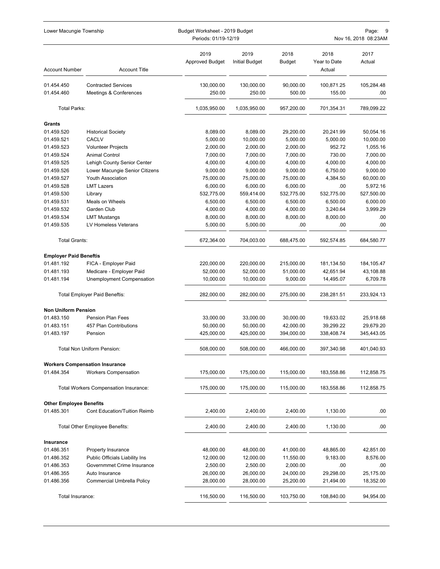| Lower Macungie Township        |                                       | Budget Worksheet - 2019 Budget<br>Periods: 01/19-12/19 | Page:<br>g<br>Nov 16, 2018 08:23AM |                |                                |                |
|--------------------------------|---------------------------------------|--------------------------------------------------------|------------------------------------|----------------|--------------------------------|----------------|
| <b>Account Number</b>          | <b>Account Title</b>                  | 2019<br><b>Approved Budget</b>                         | 2019<br><b>Initial Budget</b>      | 2018<br>Budget | 2018<br>Year to Date<br>Actual | 2017<br>Actual |
| 01.454.450                     | <b>Contracted Services</b>            | 130,000.00                                             | 130,000.00                         | 90,000.00      | 100,871.25                     | 105,284.48     |
| 01.454.460                     | Meetings & Conferences                | 250.00                                                 | 250.00                             | 500.00         | 155.00                         | .00            |
| <b>Total Parks:</b>            |                                       | 1,035,950.00                                           | 1,035,950.00                       | 957,200.00     | 701,354.31                     | 789,099.22     |
| Grants                         |                                       |                                                        |                                    |                |                                |                |
| 01.459.520                     | <b>Historical Society</b>             | 8,089.00                                               | 8,089.00                           | 29,200.00      | 20,241.99                      | 50,054.16      |
| 01.459.521                     | <b>CACLV</b>                          | 5,000.00                                               | 10,000.00                          | 5,000.00       | 5,000.00                       | 10,000.00      |
| 01.459.523                     | <b>Volunteer Projects</b>             | 2,000.00                                               | 2,000.00                           | 2,000.00       | 952.72                         | 1,055.16       |
| 01.459.524                     | <b>Animal Control</b>                 | 7,000.00                                               | 7,000.00                           | 7,000.00       | 730.00                         | 7,000.00       |
| 01.459.525                     | Lehigh County Senior Center           | 4,000.00                                               | 4,000.00                           | 4,000.00       | 4,000.00                       | 4,000.00       |
| 01.459.526                     | Lower Macungie Senior Citizens        | 9,000.00                                               | 9,000.00                           | 9,000.00       | 6,750.00                       | 9,000.00       |
| 01.459.527                     | Youth Association                     | 75,000.00                                              | 75,000.00                          | 75,000.00      | 4,384.50                       | 60,000.00      |
| 01.459.528                     | <b>LMT Lazers</b>                     | 6,000.00                                               | 6,000.00                           | 6,000.00       | .00                            | 5,972.16       |
| 01.459.530                     | Library                               | 532,775.00                                             | 559,414.00                         | 532,775.00     | 532,775.00                     | 527,500.00     |
| 01.459.531                     | Meals on Wheels                       | 6,500.00                                               | 6,500.00                           | 6,500.00       | 6,500.00                       | 6,000.00       |
| 01.459.532                     | Garden Club                           | 4,000.00                                               | 4,000.00                           | 4,000.00       | 3,240.64                       | 3,999.29       |
| 01.459.534                     | <b>LMT Mustangs</b>                   | 8,000.00                                               | 8,000.00                           | 8,000.00       | 8,000.00                       | .00            |
| 01.459.535                     | LV Homeless Veterans                  | 5,000.00                                               | 5,000.00                           | .00            | .00                            | .00            |
| <b>Total Grants:</b>           |                                       | 672,364.00                                             | 704,003.00                         | 688,475.00     | 592,574.85                     | 684,580.77     |
| <b>Employer Paid Beneftis</b>  |                                       |                                                        |                                    |                |                                |                |
| 01.481.192                     | FICA - Employer Paid                  | 220,000.00                                             | 220,000.00                         | 215,000.00     | 181,134.50                     | 184,105.47     |
| 01.481.193                     | Medicare - Employer Paid              | 52,000.00                                              | 52,000.00                          | 51,000.00      | 42,651.94                      | 43,108.88      |
| 01.481.194                     | Unemployment Compensation             | 10,000.00                                              | 10,000.00                          | 9,000.00       | 14,495.07                      | 6,709.78       |
|                                | <b>Total Employer Paid Beneftis:</b>  | 282,000.00                                             | 282,000.00                         | 275,000.00     | 238,281.51                     | 233,924.13     |
| <b>Non Uniform Pension</b>     |                                       |                                                        |                                    |                |                                |                |
| 01.483.150                     | <b>Pension Plan Fees</b>              | 33,000.00                                              | 33,000.00                          | 30,000.00      | 19,633.02                      | 25,918.68      |
| 01.483.151                     | 457 Plan Contributions                | 50,000.00                                              | 50,000.00                          | 42,000.00      | 39,299.22                      | 29,679.20      |
| 01.483.197                     | Pension                               | 425,000.00                                             | 425,000.00                         | 394,000.00     | 338,408.74                     | 345,443.05     |
|                                | Total Non Uniform Pension:            | 508,000.00                                             | 508,000.00                         | 466,000.00     | 397,340.98                     | 401,040.93     |
|                                | <b>Workers Compensation Insurance</b> |                                                        |                                    |                |                                |                |
| 01.484.354                     | <b>Workers Compensation</b>           | 175,000.00                                             | 175,000.00                         | 115,000.00     | 183,558.86                     | 112,858.75     |
|                                | Total Workers Compensation Insurance: | 175,000.00                                             | 175,000.00                         | 115,000.00     | 183,558.86                     | 112,858.75     |
| <b>Other Employee Benefits</b> |                                       |                                                        |                                    |                |                                |                |
| 01.485.301                     | <b>Cont Education/Tuition Reimb</b>   | 2,400.00                                               | 2,400.00                           | 2,400.00       | 1,130.00                       | .00            |
|                                | <b>Total Other Employee Benefits:</b> | 2,400.00                                               | 2,400.00                           | 2,400.00       | 1,130.00                       | .00            |
| Insurance                      |                                       |                                                        |                                    |                |                                |                |
| 01.486.351                     | Property Insurance                    | 48,000.00                                              | 48,000.00                          | 41,000.00      | 48,865.00                      | 42,851.00      |
| 01.486.352                     | Public Officials Liability Ins        | 12,000.00                                              | 12,000.00                          | 11,550.00      | 9,183.00                       | 8,576.00       |
| 01.486.353                     | Governmmet Crime Insurance            | 2,500.00                                               | 2,500.00                           | 2,000.00       | .00                            | .00            |
| 01.486.355                     | Auto Insurance                        | 26,000.00                                              | 26,000.00                          | 24,000.00      | 29,298.00                      | 25,175.00      |
| 01.486.356                     | Commercial Umbrella Policy            | 28,000.00                                              | 28,000.00                          | 25,200.00      | 21,494.00                      | 18,352.00      |
| Total Insurance:               |                                       | 116,500.00                                             | 116,500.00                         | 103,750.00     | 108,840.00                     | 94,954.00      |
|                                |                                       |                                                        |                                    |                |                                |                |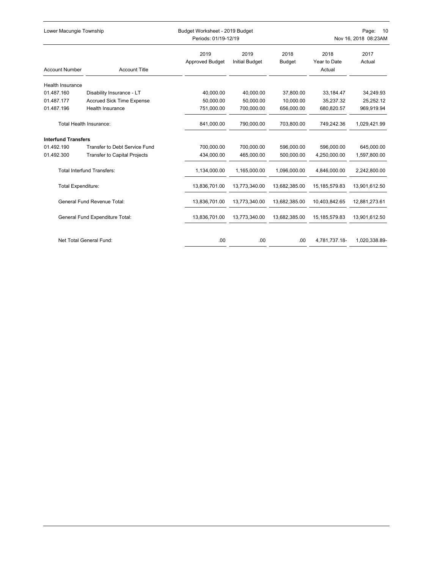| Lower Macungie Township         |                                      |                                | Budget Worksheet - 2019 Budget<br>Periods: 01/19-12/19 |                       |                                | Page:<br>10<br>Nov 16, 2018 08:23AM |  |  |
|---------------------------------|--------------------------------------|--------------------------------|--------------------------------------------------------|-----------------------|--------------------------------|-------------------------------------|--|--|
| <b>Account Number</b>           | <b>Account Title</b>                 | 2019<br><b>Approved Budget</b> | 2019<br><b>Initial Budget</b>                          | 2018<br><b>Budget</b> | 2018<br>Year to Date<br>Actual | 2017<br>Actual                      |  |  |
| <b>Health Insurance</b>         |                                      |                                |                                                        |                       |                                |                                     |  |  |
| 01.487.160                      | Disability Insurance - LT            | 40,000.00                      | 40,000.00                                              | 37,800.00             | 33,184.47                      | 34,249.93                           |  |  |
| 01.487.177                      | <b>Accrued Sick Time Expense</b>     | 50.000.00                      | 50.000.00                                              | 10.000.00             | 35,237.32                      | 25,252.12                           |  |  |
| 01.487.196                      | <b>Health Insurance</b>              | 751,000.00                     | 700,000.00                                             | 656,000.00            | 680,820.57                     | 969,919.94                          |  |  |
| Total Health Insurance:         |                                      | 841,000.00                     | 790,000.00                                             | 703,800.00            | 749,242.36                     | 1,029,421.99                        |  |  |
| <b>Interfund Transfers</b>      |                                      |                                |                                                        |                       |                                |                                     |  |  |
| 01.492.190                      | <b>Transfer to Debt Service Fund</b> | 700.000.00                     | 700.000.00                                             | 596.000.00            | 596.000.00                     | 645,000.00                          |  |  |
| 01.492.300                      | <b>Transfer to Capital Projects</b>  | 434,000.00                     | 465,000.00                                             | 500,000.00            | 4,250,000.00                   | 1,597,800.00                        |  |  |
|                                 | <b>Total Interfund Transfers:</b>    | 1,134,000.00                   | 1,165,000.00                                           | 1,096,000.00          | 4,846,000.00                   | 2,242,800.00                        |  |  |
| <b>Total Expenditure:</b>       |                                      | 13,836,701.00                  | 13,773,340.00                                          | 13,682,385.00         | 15, 185, 579.83                | 13,901,612.50                       |  |  |
| General Fund Revenue Total:     |                                      | 13,836,701.00                  | 13,773,340.00                                          | 13,682,385.00         | 10,403,842.65                  | 12,881,273.61                       |  |  |
| General Fund Expenditure Total: |                                      | 13,836,701.00                  | 13,773,340.00                                          | 13,682,385.00         | 15, 185, 579.83                | 13,901,612.50                       |  |  |
|                                 | Net Total General Fund:              | .00                            | .00                                                    | .00                   | 4,781,737.18-                  | 1,020,338.89-                       |  |  |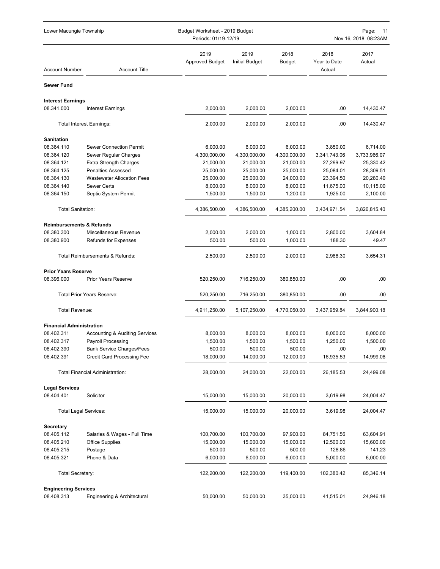| Lower Macungie Township             |                                           |                                | Budget Worksheet - 2019 Budget<br>Periods: 01/19-12/19 |                |                                | Page:<br>- 11<br>Nov 16, 2018 08:23AM |  |  |
|-------------------------------------|-------------------------------------------|--------------------------------|--------------------------------------------------------|----------------|--------------------------------|---------------------------------------|--|--|
| <b>Account Number</b>               | <b>Account Title</b>                      | 2019<br><b>Approved Budget</b> | 2019<br><b>Initial Budget</b>                          | 2018<br>Budget | 2018<br>Year to Date<br>Actual | 2017<br>Actual                        |  |  |
| <b>Sewer Fund</b>                   |                                           |                                |                                                        |                |                                |                                       |  |  |
| <b>Interest Earnings</b>            |                                           |                                |                                                        |                |                                |                                       |  |  |
| 08.341.000                          | <b>Interest Earnings</b>                  | 2.000.00                       | 2,000.00                                               | 2,000.00       | .00                            | 14,430.47                             |  |  |
|                                     | <b>Total Interest Earnings:</b>           | 2,000.00                       | 2,000.00                                               | 2,000.00       | .00                            | 14,430.47                             |  |  |
| <b>Sanitation</b>                   |                                           |                                |                                                        |                |                                |                                       |  |  |
| 08.364.110                          | <b>Sewer Connection Permit</b>            | 6,000.00                       | 6,000.00                                               | 6,000.00       | 3,850.00                       | 6,714.00                              |  |  |
| 08.364.120                          | Sewer Regular Charges                     | 4,300,000.00                   | 4,300,000.00                                           | 4,300,000.00   | 3,341,743.06                   | 3,733,966.07                          |  |  |
| 08.364.121                          | <b>Extra Strength Charges</b>             | 21,000.00                      | 21,000.00                                              | 21,000.00      | 27,299.97                      | 25,330.42                             |  |  |
| 08.364.125                          | <b>Penalties Assessed</b>                 | 25,000.00                      | 25,000.00                                              | 25,000.00      | 25,084.01                      | 28,309.51                             |  |  |
| 08.364.130                          | <b>Wastewater Allocation Fees</b>         | 25,000.00                      | 25,000.00                                              | 24,000.00      | 23,394.50                      | 20,280.40                             |  |  |
| 08.364.140                          | <b>Sewer Certs</b>                        | 8,000.00                       | 8,000.00                                               | 8,000.00       | 11,675.00                      | 10,115.00                             |  |  |
| 08.364.150                          | Septic System Permit                      | 1,500.00                       | 1,500.00                                               | 1,200.00       | 1,925.00                       | 2,100.00                              |  |  |
| <b>Total Sanitation:</b>            |                                           | 4,386,500.00                   | 4,386,500.00                                           | 4,385,200.00   | 3,434,971.54                   | 3,826,815.40                          |  |  |
| <b>Reimbursements &amp; Refunds</b> |                                           |                                |                                                        |                |                                |                                       |  |  |
| 08.380.300                          | Miscellaneous Revenue                     | 2,000.00                       | 2,000.00                                               | 1,000.00       | 2,800.00                       | 3,604.84                              |  |  |
| 08.380.900                          | <b>Refunds for Expenses</b>               | 500.00                         | 500.00                                                 | 1,000.00       | 188.30                         | 49.47                                 |  |  |
|                                     | Total Reimbursements & Refunds:           | 2,500.00                       | 2,500.00                                               | 2,000.00       | 2,988.30                       | 3,654.31                              |  |  |
| <b>Prior Years Reserve</b>          |                                           |                                |                                                        |                |                                |                                       |  |  |
| 08.396.000                          | <b>Prior Years Reserve</b>                | 520,250.00                     | 716,250.00                                             | 380,850.00     | .00                            | .00                                   |  |  |
|                                     | <b>Total Prior Years Reserve:</b>         | 520,250.00                     | 716,250.00                                             | 380,850.00     | .00                            | .00                                   |  |  |
| Total Revenue:                      |                                           | 4,911,250.00                   | 5,107,250.00                                           | 4,770,050.00   | 3,437,959.84                   | 3,844,900.18                          |  |  |
| <b>Financial Administration</b>     |                                           |                                |                                                        |                |                                |                                       |  |  |
| 08.402.311                          | <b>Accounting &amp; Auditing Services</b> | 8,000.00                       | 8,000.00                                               | 8.000.00       | 8.000.00                       | 8,000.00                              |  |  |
| 08.402.317                          | <b>Payroll Processing</b>                 | 1,500.00                       | 1,500.00                                               | 1,500.00       | 1,250.00                       | 1,500.00                              |  |  |
| 08.402.390                          | <b>Bank Service Charges/Fees</b>          | 500.00                         | 500.00                                                 | 500.00         | .00                            | .00                                   |  |  |
| 08.402.391                          | <b>Credit Card Processing Fee</b>         | 18,000.00                      | 14,000.00                                              | 12,000.00      | 16,935.53                      | 14,999.08                             |  |  |
|                                     | <b>Total Financial Administration:</b>    | 28,000.00                      | 24,000.00                                              | 22,000.00      | 26,185.53                      | 24,499.08                             |  |  |
| <b>Legal Services</b>               |                                           |                                |                                                        |                |                                |                                       |  |  |
| 08.404.401                          | Solicitor                                 | 15,000.00                      | 15,000.00                                              | 20,000.00      | 3,619.98                       | 24,004.47                             |  |  |
| <b>Total Legal Services:</b>        |                                           | 15,000.00                      | 15,000.00                                              | 20,000.00      | 3,619.98                       | 24,004.47                             |  |  |
| <b>Secretary</b>                    |                                           |                                |                                                        |                |                                |                                       |  |  |
| 08.405.112                          | Salaries & Wages - Full Time              | 100,700.00                     | 100,700.00                                             | 97,900.00      | 84,751.56                      | 63,604.91                             |  |  |
| 08.405.210                          | <b>Office Supplies</b>                    | 15,000.00                      | 15,000.00                                              | 15,000.00      | 12,500.00                      | 15,600.00                             |  |  |
| 08.405.215                          | Postage                                   | 500.00                         | 500.00                                                 | 500.00         | 128.86                         | 141.23                                |  |  |
| 08.405.321                          | Phone & Data                              | 6,000.00                       | 6,000.00                                               | 6,000.00       | 5,000.00                       | 6,000.00                              |  |  |
| Total Secretary:                    |                                           | 122,200.00                     | 122,200.00                                             | 119,400.00     | 102,380.42                     | 85,346.14                             |  |  |
| <b>Engineering Services</b>         |                                           |                                |                                                        |                |                                |                                       |  |  |
| 08.408.313                          | Engineering & Architectural               | 50,000.00                      | 50,000.00                                              | 35,000.00      | 41,515.01                      | 24,946.18                             |  |  |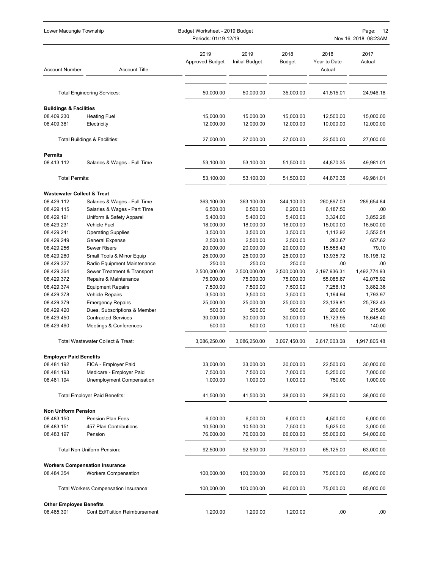| Lower Macungie Township                         |                                       | Budget Worksheet - 2019 Budget<br>Periods: 01/19-12/19 |                               |                |                                | Page:<br>12<br>Nov 16, 2018 08:23AM |  |
|-------------------------------------------------|---------------------------------------|--------------------------------------------------------|-------------------------------|----------------|--------------------------------|-------------------------------------|--|
| <b>Account Number</b>                           | <b>Account Title</b>                  | 2019<br><b>Approved Budget</b>                         | 2019<br><b>Initial Budget</b> | 2018<br>Budget | 2018<br>Year to Date<br>Actual | 2017<br>Actual                      |  |
|                                                 | <b>Total Engineering Services:</b>    | 50,000.00                                              | 50,000.00                     | 35,000.00      | 41,515.01                      | 24,946.18                           |  |
|                                                 |                                       |                                                        |                               |                |                                |                                     |  |
| <b>Buildings &amp; Facilities</b><br>08.409.230 | <b>Heating Fuel</b>                   | 15,000.00                                              | 15,000.00                     | 15,000.00      | 12,500.00                      | 15,000.00                           |  |
| 08.409.361                                      | Electricity                           | 12,000.00                                              | 12,000.00                     | 12,000.00      | 10,000.00                      | 12,000.00                           |  |
|                                                 | Total Buildings & Facilities:         | 27,000.00                                              | 27,000.00                     | 27,000.00      | 22,500.00                      | 27,000.00                           |  |
|                                                 |                                       |                                                        |                               |                |                                |                                     |  |
| <b>Permits</b>                                  |                                       |                                                        |                               |                |                                |                                     |  |
| 08.413.112                                      | Salaries & Wages - Full Time          | 53,100.00                                              | 53,100.00                     | 51,500.00      | 44,870.35                      | 49,981.01                           |  |
| <b>Total Permits:</b>                           |                                       | 53,100.00                                              | 53,100.00                     | 51,500.00      | 44,870.35                      | 49,981.01                           |  |
| <b>Wastewater Collect &amp; Treat</b>           |                                       |                                                        |                               |                |                                |                                     |  |
| 08.429.112                                      | Salaries & Wages - Full Time          | 363,100.00                                             | 363,100.00                    | 344,100.00     | 260,897.03                     | 289,654.84                          |  |
| 08.429.115                                      | Salaries & Wages - Part Time          | 6,500.00                                               | 6,500.00                      | 6,200.00       | 6,187.50                       | .00                                 |  |
| 08.429.191                                      | Uniform & Safety Apparel              | 5,400.00                                               | 5,400.00                      | 5,400.00       | 3,324.00                       | 3,852.28                            |  |
| 08.429.231                                      | Vehicle Fuel                          | 18,000.00                                              | 18,000.00                     | 18,000.00      | 15,000.00                      | 16,500.00                           |  |
| 08.429.241                                      | <b>Operating Supplies</b>             | 3,500.00                                               | 3,500.00                      | 3,500.00       | 1,112.92                       | 3,552.51                            |  |
| 08.429.249                                      | General Expense                       | 2,500.00                                               | 2,500.00                      | 2,500.00       | 283.67                         | 657.62                              |  |
| 08.429.256                                      | <b>Sewer Risers</b>                   | 20,000.00                                              | 20,000.00                     | 20,000.00      | 15,558.43                      | 79.10                               |  |
| 08.429.260                                      | Small Tools & Minor Equip             | 25,000.00                                              | 25,000.00                     | 25,000.00      | 13,935.72                      | 18,196.12                           |  |
| 08.429.327                                      | Radio Equipment Maintenance           | 250.00                                                 | 250.00                        | 250.00         | .00                            | .00                                 |  |
| 08.429.364                                      | Sewer Treatment & Transport           | 2,500,000.00                                           | 2,500,000.00                  | 2,500,000.00   | 2,197,936.31                   | 1,492,774.93                        |  |
| 08.429.372                                      | Repairs & Maintenance                 | 75,000.00                                              | 75,000.00                     | 75,000.00      | 55,085.67                      | 42,075.92                           |  |
| 08.429.374                                      | <b>Equipment Repairs</b>              | 7,500.00                                               | 7,500.00                      | 7,500.00       | 7,258.13                       | 3,882.36                            |  |
| 08.429.378                                      | <b>Vehicle Repairs</b>                | 3,500.00                                               | 3,500.00                      | 3,500.00       | 1,194.94                       | 1,793.97                            |  |
| 08.429.379                                      | <b>Emergency Repairs</b>              | 25,000.00                                              | 25,000.00                     | 25,000.00      | 23,139.81                      | 25,782.43                           |  |
| 08.429.420                                      | Dues, Subscriptions & Member          | 500.00                                                 | 500.00                        | 500.00         | 200.00                         | 215.00                              |  |
| 08.429.450                                      | <b>Contracted Services</b>            | 30,000.00                                              | 30,000.00                     | 30,000.00      | 15,723.95                      | 18,648.40                           |  |
| 08.429.460                                      | Meetings & Conferences                | 500.00                                                 | 500.00                        | 1,000.00       | 165.00                         | 140.00                              |  |
|                                                 | Total Wastewater Collect & Treat:     | 3,086,250.00                                           | 3,086,250.00                  | 3,067,450.00   | 2,617,003.08                   | 1,917,805.48                        |  |
| <b>Employer Paid Benefits</b>                   |                                       |                                                        |                               |                |                                |                                     |  |
| 08.481.192                                      | FICA - Employer Paid                  | 33,000.00                                              | 33,000.00                     | 30,000.00      | 22,500.00                      | 30,000.00                           |  |
| 08.481.193                                      | Medicare - Employer Paid              | 7,500.00                                               | 7,500.00                      | 7,000.00       | 5,250.00                       | 7,000.00                            |  |
| 08.481.194                                      | Unemployment Compensation             | 1,000.00                                               | 1,000.00                      | 1,000.00       | 750.00                         | 1,000.00                            |  |
|                                                 | <b>Total Employer Paid Benefits:</b>  | 41,500.00                                              | 41,500.00                     | 38,000.00      | 28,500.00                      | 38,000.00                           |  |
| <b>Non Uniform Pension</b>                      |                                       |                                                        |                               |                |                                |                                     |  |
| 08.483.150                                      | <b>Pension Plan Fees</b>              | 6,000.00                                               | 6,000.00                      | 6,000.00       | 4,500.00                       | 6,000.00                            |  |
| 08.483.151                                      | 457 Plan Contributions                | 10,500.00                                              | 10,500.00                     | 7,500.00       | 5,625.00                       | 3,000.00                            |  |
| 08.483.197                                      | Pension                               | 76,000.00                                              | 76,000.00                     | 66,000.00      | 55,000.00                      | 54,000.00                           |  |
|                                                 | Total Non Uniform Pension:            | 92,500.00                                              | 92,500.00                     | 79,500.00      | 65,125.00                      | 63,000.00                           |  |
|                                                 | <b>Workers Compensation Insurance</b> |                                                        |                               |                |                                |                                     |  |
| 08.484.354                                      | <b>Workers Compensation</b>           | 100,000.00                                             | 100,000.00                    | 90,000.00      | 75,000.00                      | 85,000.00                           |  |
|                                                 | Total Workers Compensation Insurance: | 100,000.00                                             | 100,000.00                    | 90,000.00      | 75,000.00                      | 85,000.00                           |  |
| <b>Other Employee Benefits</b>                  |                                       |                                                        |                               |                |                                |                                     |  |
| 08.485.301                                      | <b>Cont Ed/Tuition Reimbursement</b>  | 1,200.00                                               | 1,200.00                      | 1,200.00       | .00                            | .00                                 |  |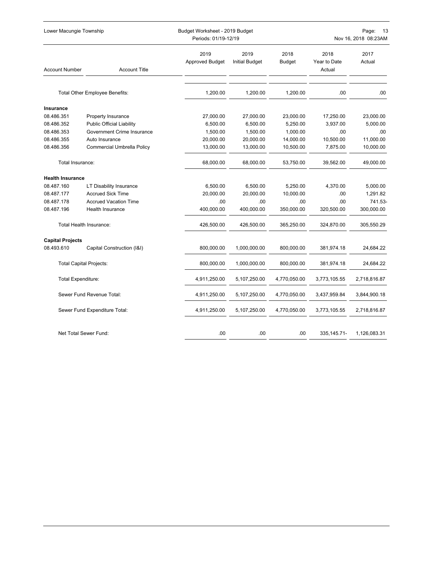| Lower Macungie Township       |                                   |                                | Budget Worksheet - 2019 Budget<br>Page:<br>Periods: 01/19-12/19<br>Nov 16, 2018 08:23AM |                       |                                |                |  |
|-------------------------------|-----------------------------------|--------------------------------|-----------------------------------------------------------------------------------------|-----------------------|--------------------------------|----------------|--|
| <b>Account Number</b>         | <b>Account Title</b>              | 2019<br><b>Approved Budget</b> | 2019<br><b>Initial Budget</b>                                                           | 2018<br><b>Budget</b> | 2018<br>Year to Date<br>Actual | 2017<br>Actual |  |
|                               | Total Other Employee Benefits:    | 1,200.00                       | 1,200.00                                                                                | 1,200.00              | .00                            | .00.           |  |
| Insurance                     |                                   |                                |                                                                                         |                       |                                |                |  |
| 08.486.351                    | Property Insurance                | 27,000.00                      | 27,000.00                                                                               | 23,000.00             | 17,250.00                      | 23,000.00      |  |
| 08.486.352                    | <b>Public Official Liability</b>  | 6,500.00                       | 6,500.00                                                                                | 5,250.00              | 3,937.00                       | 5,000.00       |  |
| 08.486.353                    | Government Crime Insurance        | 1,500.00                       | 1,500.00                                                                                | 1,000.00              | .00                            | .00            |  |
| 08.486.355                    | Auto Insurance                    | 20,000.00                      | 20,000.00                                                                               | 14,000.00             | 10,500.00                      | 11,000.00      |  |
| 08.486.356                    | <b>Commercial Umbrella Policy</b> | 13,000.00                      | 13,000.00                                                                               | 10,500.00             | 7,875.00                       | 10,000.00      |  |
| Total Insurance:              |                                   | 68,000.00                      | 68,000.00                                                                               | 53,750.00             | 39,562.00                      | 49,000.00      |  |
| <b>Health Insurance</b>       |                                   |                                |                                                                                         |                       |                                |                |  |
| 08.487.160                    | <b>LT Disability Insurance</b>    | 6,500.00                       | 6,500.00                                                                                | 5,250.00              | 4,370.00                       | 5,000.00       |  |
| 08.487.177                    | <b>Accrued Sick Time</b>          | 20,000.00                      | 20,000.00                                                                               | 10,000.00             | .00                            | 1,291.82       |  |
| 08.487.178                    | <b>Accrued Vacation Time</b>      | .00                            | .00                                                                                     | .00.                  | .00                            | 741.53-        |  |
| 08.487.196                    | <b>Health Insurance</b>           | 400,000.00                     | 400,000.00                                                                              | 350,000.00            | 320,500.00                     | 300,000.00     |  |
|                               | Total Health Insurance:           | 426,500.00                     | 426,500.00                                                                              | 365,250.00            | 324,870.00                     | 305,550.29     |  |
| <b>Capital Projects</b>       |                                   |                                |                                                                                         |                       |                                |                |  |
| 08.493.610                    | Capital Construction (I&I)        | 800,000.00                     | 1,000,000.00                                                                            | 800,000.00            | 381,974.18                     | 24,684.22      |  |
|                               | <b>Total Capital Projects:</b>    | 800,000.00                     | 1,000,000.00                                                                            | 800,000.00            | 381,974.18                     | 24,684.22      |  |
|                               | <b>Total Expenditure:</b>         | 4,911,250.00                   | 5,107,250.00                                                                            | 4,770,050.00          | 3,773,105.55                   | 2,718,816.87   |  |
| Sewer Fund Revenue Total:     |                                   | 4,911,250.00                   | 5,107,250.00                                                                            | 4,770,050.00          | 3,437,959.84                   | 3,844,900.18   |  |
| Sewer Fund Expenditure Total: |                                   | 4,911,250.00                   | 5,107,250.00                                                                            | 4,770,050.00          | 3,773,105.55                   | 2,718,816.87   |  |
|                               | Net Total Sewer Fund:             | .00                            | .00                                                                                     | .00                   | 335, 145. 71-                  | 1,126,083.31   |  |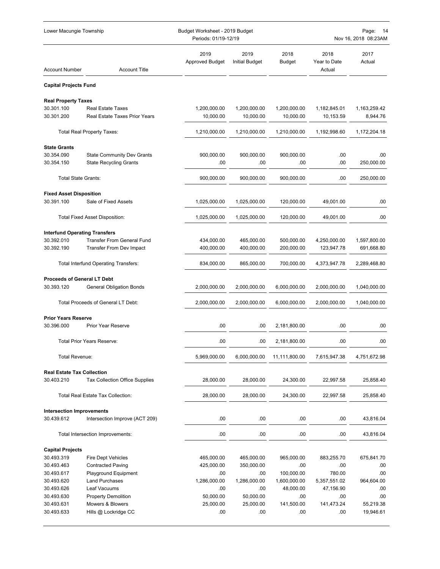| Lower Macungie Township              |                                             |                                | Budget Worksheet - 2019 Budget<br>Periods: 01/19-12/19 |                       |                                | Page:<br>-14<br>Nov 16, 2018 08:23AM |  |  |
|--------------------------------------|---------------------------------------------|--------------------------------|--------------------------------------------------------|-----------------------|--------------------------------|--------------------------------------|--|--|
| <b>Account Number</b>                | <b>Account Title</b>                        | 2019<br><b>Approved Budget</b> | 2019<br>Initial Budget                                 | 2018<br><b>Budget</b> | 2018<br>Year to Date<br>Actual | 2017<br>Actual                       |  |  |
| <b>Capital Projects Fund</b>         |                                             |                                |                                                        |                       |                                |                                      |  |  |
| <b>Real Property Taxes</b>           |                                             |                                |                                                        |                       |                                |                                      |  |  |
| 30.301.100                           | <b>Real Estate Taxes</b>                    | 1,200,000.00                   | 1,200,000.00                                           | 1,200,000.00          | 1,182,845.01                   | 1,163,259.42                         |  |  |
| 30.301.200                           | <b>Real Estate Taxes Prior Years</b>        | 10,000.00                      | 10,000.00                                              | 10,000.00             | 10,153.59                      | 8,944.76                             |  |  |
|                                      | <b>Total Real Property Taxes:</b>           | 1,210,000.00                   | 1,210,000.00                                           | 1,210,000.00          | 1,192,998.60                   | 1,172,204.18                         |  |  |
| <b>State Grants</b>                  |                                             |                                |                                                        |                       |                                |                                      |  |  |
| 30.354.090                           | <b>State Community Dev Grants</b>           | 900,000.00                     | 900,000.00                                             | 900,000.00            | .00.                           | .00                                  |  |  |
| 30.354.150                           | <b>State Recycling Grants</b>               | .00                            | .00                                                    | .00                   | .00                            | 250,000.00                           |  |  |
| <b>Total State Grants:</b>           |                                             | 900,000.00                     | 900,000.00                                             | 900,000.00            | .00.                           | 250,000.00                           |  |  |
| <b>Fixed Asset Disposition</b>       |                                             |                                |                                                        |                       |                                |                                      |  |  |
| 30.391.100                           | Sale of Fixed Assets                        | 1,025,000.00                   | 1,025,000.00                                           | 120,000.00            | 49,001.00                      | .00                                  |  |  |
|                                      | <b>Total Fixed Asset Disposition:</b>       | 1,025,000.00                   | 1,025,000.00                                           | 120,000.00            | 49,001.00                      | .00                                  |  |  |
| <b>Interfund Operating Transfers</b> |                                             |                                |                                                        |                       |                                |                                      |  |  |
| 30.392.010                           | <b>Transfer From General Fund</b>           | 434,000.00                     | 465,000.00                                             | 500,000.00            | 4,250,000.00                   | 1,597,800.00                         |  |  |
| 30.392.190                           | <b>Transfer From Dev Impact</b>             | 400,000.00                     | 400,000.00                                             | 200,000.00            | 123,947.78                     | 691,668.80                           |  |  |
|                                      | <b>Total Interfund Operating Transfers:</b> | 834,000.00                     | 865,000.00                                             | 700,000.00            | 4,373,947.78                   | 2,289,468.80                         |  |  |
| <b>Proceeds of General LT Debt</b>   |                                             |                                |                                                        |                       |                                |                                      |  |  |
| 30.393.120                           | <b>General Obligation Bonds</b>             | 2,000,000.00                   | 2,000,000.00                                           | 6,000,000.00          | 2,000,000.00                   | 1,040,000.00                         |  |  |
|                                      | Total Proceeds of General LT Debt:          | 2,000,000.00                   | 2,000,000.00                                           | 6,000,000.00          | 2,000,000.00                   | 1,040,000.00                         |  |  |
| <b>Prior Years Reserve</b>           |                                             |                                |                                                        |                       |                                |                                      |  |  |
| 30.396.000                           | <b>Prior Year Reserve</b>                   | .00                            | .00                                                    | 2,181,800.00          | .00.                           | .00                                  |  |  |
|                                      |                                             |                                |                                                        |                       |                                |                                      |  |  |
|                                      | <b>Total Prior Years Reserve:</b>           | .00                            | .00                                                    | 2,181,800.00          | .00                            | .00                                  |  |  |
| Total Revenue:                       |                                             | 5,969,000.00                   | 6,000,000.00                                           | 11,111,800.00         | 7,615,947.38                   | 4,751,672.98                         |  |  |
| <b>Real Estate Tax Collection</b>    |                                             |                                |                                                        |                       |                                |                                      |  |  |
| 30.403.210                           | <b>Tax Collection Office Supplies</b>       | 28,000.00                      | 28,000.00                                              | 24,300.00             | 22,997.58                      | 25,858.40                            |  |  |
|                                      | <b>Total Real Estate Tax Collection:</b>    | 28,000.00                      | 28,000.00                                              | 24,300.00             | 22,997.58                      | 25,858.40                            |  |  |
| <b>Intersection Improvements</b>     |                                             |                                |                                                        |                       |                                |                                      |  |  |
| 30.439.612                           | Intersection Improve (ACT 209)              | .00                            | .00                                                    | .00                   | .00.                           | 43,816.04                            |  |  |
|                                      | Total Intersection Improvements:            | .00                            | .00                                                    | .00                   | .00                            | 43,816.04                            |  |  |
| <b>Capital Projects</b>              |                                             |                                |                                                        |                       |                                |                                      |  |  |
| 30.493.319                           | Fire Dept Vehicles                          | 465,000.00                     | 465,000.00                                             | 965,000.00            | 883,255.70                     | 675,841.70                           |  |  |
| 30.493.463                           | <b>Contracted Paving</b>                    | 425,000.00                     | 350,000.00                                             | .00                   | .00.                           | .00                                  |  |  |
| 30.493.617                           | Playground Equipment                        | .00                            | .00                                                    | 100,000.00            | 780.00                         | .00                                  |  |  |
| 30.493.620                           | <b>Land Purchases</b>                       | 1,286,000.00                   | 1,286,000.00                                           | 1,600,000.00          | 5,357,551.02                   | 964,604.00                           |  |  |
| 30.493.626                           | Leaf Vacuums                                | .00                            | .00                                                    | 48,000.00             | 47,156.90                      | .00                                  |  |  |
| 30.493.630                           | <b>Property Demolition</b>                  | 50,000.00                      | 50,000.00                                              | .00                   | .00                            | .00                                  |  |  |
| 30.493.631                           | Mowers & Blowers                            | 25,000.00                      | 25,000.00                                              | 141,500.00            | 141,473.24                     | 55,219.38                            |  |  |
| 30.493.633                           | Hills @ Lockridge CC                        | .00                            | .00                                                    | .00                   | .00.                           | 19,946.61                            |  |  |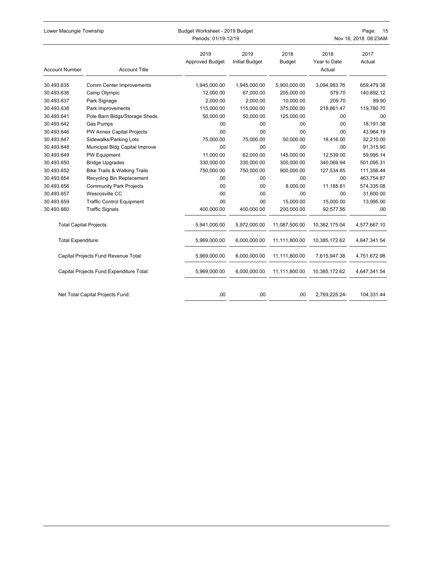| Lower Macungie Township        |                                          | Budget Worksheet - 2019 Budget |                               |                       | Page:<br>15          |                      |  |
|--------------------------------|------------------------------------------|--------------------------------|-------------------------------|-----------------------|----------------------|----------------------|--|
|                                |                                          | Periods: 01/19-12/19           |                               |                       |                      | Nov 16, 2018 08:23AM |  |
|                                |                                          | 2019<br><b>Approved Budget</b> | 2019<br><b>Initial Budget</b> | 2018<br><b>Budget</b> | 2018<br>Year to Date | 2017<br>Actual       |  |
| <b>Account Number</b>          | <b>Account Title</b>                     |                                |                               |                       | Actual               |                      |  |
| 30.493.635                     | Comm Center Improvements                 | 1,945,000.00                   | 1,945,000.00                  | 5,900,000.00          | 3,094,983.76         | 659,479.38           |  |
| 30.493.636                     | Camp Olympic                             | 12,000.00                      | 67,000.00                     | 205,000.00            | 579.70               | 140,892.12           |  |
| 30.493.637                     | Park Signage                             | 2,000.00                       | 2,000.00                      | 10,000.00             | 209.70               | 89.90                |  |
| 30.493.638                     | Park Improvements                        | 115,000.00                     | 115,000.00                    | 375,000.00            | 218,861.47           | 119,780.70           |  |
| 30.493.641                     | Pole Barn Bldgs/Storage Sheds            | 50,000.00                      | 50,000.00                     | 125,000.00            | .00                  | .00                  |  |
| 30.493.642                     | <b>Gas Pumps</b>                         | .00.                           | .00                           | .00                   | .00                  | 18,191.38            |  |
| 30.493.646                     | PW Annex Capital Projects                | .00                            | .00                           | .00                   | .00                  | 43,964.19            |  |
| 30.493.647                     | Sidewalks/Parking Lots                   | 75,000.00                      | 75,000.00                     | 50,000.00             | 18,416.00            | 32,210.00            |  |
| 30.493.648                     | Municipal Bldg Capital Improve           | .00                            | .00                           | .00                   | .00                  | 91,315.90            |  |
| 30.493.649                     | PW Equipment                             | 11,000.00                      | 62,000.00                     | 145,000.00            | 12,539.00            | 59,995.14            |  |
| 30.493.650                     | <b>Bridge Upgrades</b>                   | 330,000.00                     | 330,000.00                    | 300,000.00            | 340,069.94           | 501,095.31           |  |
| 30.493.652                     | <b>Bike Trails &amp; Walking Trails</b>  | 750,000.00                     | 750,000.00                    | 900,000.00            | 127,534.85           | 111,356.44           |  |
| 30.493.654                     | Recycling Bin Replacement                | .00                            | .00                           | .00                   | .00                  | 463,754.87           |  |
| 30.493.656                     | <b>Community Park Projects</b>           | .00                            | .00                           | 8,000.00              | 11,185.81            | 574,335.08           |  |
| 30.493.657                     | Wescosville CC                           | .00                            | .00                           | .00                   | .00                  | 31,600.00            |  |
| 30.493.659                     | <b>Traffic Control Equipment</b>         | .00                            | .00                           | 15,000.00             | 15,000.00            | 13,995.00            |  |
| 30.493.660                     | <b>Traffic Signals</b>                   | 400,000.00                     | 400,000.00                    | 200,000.00            | 92,577.95            | .00                  |  |
| <b>Total Capital Projects:</b> |                                          | 5,941,000.00                   | 5,972,000.00                  | 11,087,500.00         | 10,362,175.04        | 4,577,667.10         |  |
| Total Expenditure:             |                                          | 5,969,000.00                   | 6,000,000.00                  | 11,111,800.00         | 10,385,172.62        | 4,647,341.54         |  |
|                                | Capital Projects Fund Revenue Total:     | 5,969,000.00                   | 6,000,000.00                  | 11,111,800.00         | 7,615,947.38         | 4,751,672.98         |  |
|                                | Capital Projects Fund Expenditure Total: | 5,969,000.00                   | 6,000,000.00                  | 11,111,800.00         | 10,385,172.62        | 4,647,341.54         |  |
|                                | Net Total Capital Projects Fund:         | .00                            | .00                           | .00                   | 2,769,225.24-        | 104.331.44           |  |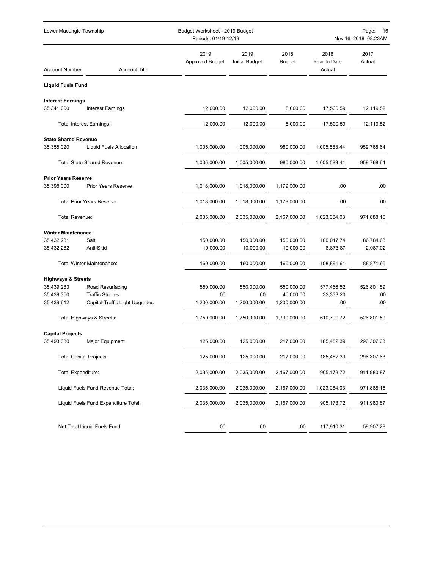| Lower Macungie Township           |                                      |                                | Budget Worksheet - 2019 Budget<br>Periods: 01/19-12/19 |                |                                | Page:<br>16<br>Nov 16, 2018 08:23AM |  |  |
|-----------------------------------|--------------------------------------|--------------------------------|--------------------------------------------------------|----------------|--------------------------------|-------------------------------------|--|--|
| <b>Account Number</b>             | <b>Account Title</b>                 | 2019<br><b>Approved Budget</b> | 2019<br><b>Initial Budget</b>                          | 2018<br>Budget | 2018<br>Year to Date<br>Actual | 2017<br>Actual                      |  |  |
| <b>Liquid Fuels Fund</b>          |                                      |                                |                                                        |                |                                |                                     |  |  |
| <b>Interest Earnings</b>          |                                      |                                |                                                        |                |                                |                                     |  |  |
| 35.341.000                        | <b>Interest Earnings</b>             | 12,000.00                      | 12,000.00                                              | 8,000.00       | 17,500.59                      | 12,119.52                           |  |  |
|                                   | <b>Total Interest Earnings:</b>      | 12,000.00                      | 12,000.00                                              | 8,000.00       | 17,500.59                      | 12,119.52                           |  |  |
| <b>State Shared Revenue</b>       |                                      |                                |                                                        |                |                                |                                     |  |  |
| 35.355.020                        | Liquid Fuels Allocation              | 1,005,000.00                   | 1,005,000.00                                           | 980,000.00     | 1,005,583.44                   | 959,768.64                          |  |  |
|                                   | Total State Shared Revenue:          | 1,005,000.00                   | 1,005,000.00                                           | 980,000.00     | 1,005,583.44                   | 959,768.64                          |  |  |
| <b>Prior Years Reserve</b>        |                                      |                                |                                                        |                |                                |                                     |  |  |
| 35.396.000                        | <b>Prior Years Reserve</b>           | 1,018,000.00                   | 1,018,000.00                                           | 1,179,000.00   | .00                            | .00                                 |  |  |
| <b>Total Prior Years Reserve:</b> |                                      | 1,018,000.00                   | 1,018,000.00                                           | 1,179,000.00   | .00                            | .00                                 |  |  |
| Total Revenue:                    |                                      | 2,035,000.00                   | 2,035,000.00                                           | 2,167,000.00   | 1,023,084.03                   | 971,888.16                          |  |  |
| <b>Winter Maintenance</b>         |                                      |                                |                                                        |                |                                |                                     |  |  |
| 35.432.281                        | Salt                                 | 150,000.00                     | 150,000.00                                             | 150,000.00     | 100,017.74                     | 86,784.63                           |  |  |
| 35.432.282                        | Anti-Skid                            | 10,000.00                      | 10,000.00                                              | 10,000.00      | 8,873.87                       | 2,087.02                            |  |  |
|                                   | <b>Total Winter Maintenance:</b>     | 160,000.00                     | 160,000.00                                             | 160,000.00     | 108,891.61                     | 88,871.65                           |  |  |
| <b>Highways &amp; Streets</b>     |                                      |                                |                                                        |                |                                |                                     |  |  |
| 35.439.283                        | Road Resurfacing                     | 550,000.00                     | 550,000.00                                             | 550,000.00     | 577,466.52                     | 526,801.59                          |  |  |
| 35.439.300                        | <b>Traffic Studies</b>               | .00                            | .00                                                    | 40,000.00      | 33,333.20                      | .00                                 |  |  |
| 35.439.612                        | Capital-Traffic Light Upgrades       | 1,200,000.00                   | 1,200,000.00                                           | 1,200,000.00   | .00                            | .00                                 |  |  |
|                                   | Total Highways & Streets:            | 1,750,000.00                   | 1,750,000.00                                           | 1,790,000.00   | 610,799.72                     | 526,801.59                          |  |  |
| <b>Capital Projects</b>           |                                      |                                |                                                        |                |                                |                                     |  |  |
| 35.493.680                        | Major Equipment                      | 125,000.00                     | 125,000.00                                             | 217,000.00     | 185,482.39                     | 296,307.63                          |  |  |
|                                   | <b>Total Capital Projects:</b>       | 125,000.00                     | 125,000.00                                             | 217,000.00     | 185,482.39                     | 296,307.63                          |  |  |
| Total Expenditure:                |                                      | 2,035,000.00                   | 2,035,000.00                                           | 2,167,000.00   | 905,173.72                     | 911,980.87                          |  |  |
|                                   | Liquid Fuels Fund Revenue Total:     | 2,035,000.00                   | 2,035,000.00                                           | 2,167,000.00   | 1,023,084.03                   | 971,888.16                          |  |  |
|                                   | Liquid Fuels Fund Expenditure Total: | 2,035,000.00                   | 2,035,000.00                                           | 2,167,000.00   | 905,173.72                     | 911,980.87                          |  |  |
|                                   |                                      |                                |                                                        |                |                                |                                     |  |  |
|                                   | Net Total Liquid Fuels Fund:         | .00                            | .00                                                    | .00            | 117,910.31                     | 59,907.29                           |  |  |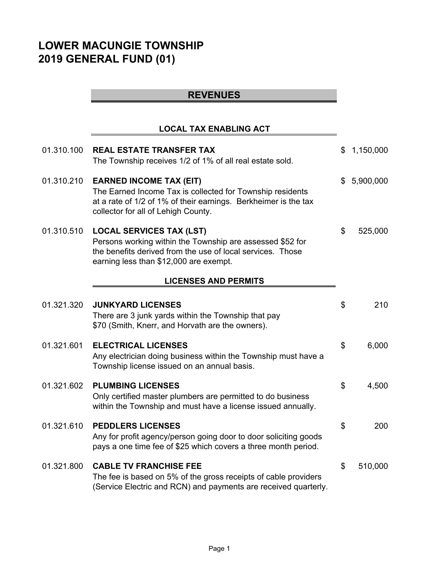# **LOWER MACUNGIE TOWNSHIP 2019 GENERAL FUND (01)**

# **REVENUES**

# **LOCAL TAX ENABLING ACT**

| 01.310.100 | <b>REAL ESTATE TRANSFER TAX</b><br>The Township receives 1/2 of 1% of all real estate sold.                                                                                                           | \$<br>1,150,000 |
|------------|-------------------------------------------------------------------------------------------------------------------------------------------------------------------------------------------------------|-----------------|
| 01.310.210 | <b>EARNED INCOME TAX (EIT)</b><br>The Earned Income Tax is collected for Township residents<br>at a rate of 1/2 of 1% of their earnings. Berkheimer is the tax<br>collector for all of Lehigh County. | \$<br>5,900,000 |
| 01.310.510 | <b>LOCAL SERVICES TAX (LST)</b><br>Persons working within the Township are assessed \$52 for<br>the benefits derived from the use of local services. Those<br>earning less than \$12,000 are exempt.  | \$<br>525,000   |
|            | <b>LICENSES AND PERMITS</b>                                                                                                                                                                           |                 |
| 01.321.320 | <b>JUNKYARD LICENSES</b><br>There are 3 junk yards within the Township that pay<br>\$70 (Smith, Knerr, and Horvath are the owners).                                                                   | \$<br>210       |
| 01.321.601 | <b>ELECTRICAL LICENSES</b><br>Any electrician doing business within the Township must have a<br>Township license issued on an annual basis.                                                           | \$<br>6,000     |
| 01.321.602 | <b>PLUMBING LICENSES</b><br>Only certified master plumbers are permitted to do business<br>within the Township and must have a license issued annually.                                               | \$<br>4,500     |
| 01.321.610 | <b>PEDDLERS LICENSES</b><br>Any for profit agency/person going door to door soliciting goods<br>pays a one time fee of \$25 which covers a three month period.                                        | \$<br>200       |
| 01.321.800 | <b>CABLE TV FRANCHISE FEE</b><br>The fee is based on 5% of the gross receipts of cable providers<br>(Service Electric and RCN) and payments are received quarterly.                                   | \$<br>510,000   |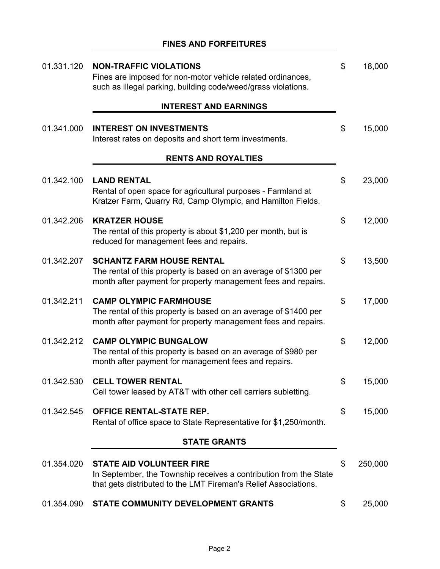# **FINES AND FORFEITURES**

| 01.331.120 | <b>NON-TRAFFIC VIOLATIONS</b><br>Fines are imposed for non-motor vehicle related ordinances,<br>such as illegal parking, building code/weed/grass violations.           | \$  | 18,000  |
|------------|-------------------------------------------------------------------------------------------------------------------------------------------------------------------------|-----|---------|
|            | <b>INTEREST AND EARNINGS</b>                                                                                                                                            |     |         |
| 01.341.000 | <b>INTEREST ON INVESTMENTS</b><br>Interest rates on deposits and short term investments.                                                                                | \$  | 15,000  |
|            | <b>RENTS AND ROYALTIES</b>                                                                                                                                              |     |         |
| 01.342.100 | <b>LAND RENTAL</b><br>Rental of open space for agricultural purposes - Farmland at<br>Kratzer Farm, Quarry Rd, Camp Olympic, and Hamilton Fields.                       | \$  | 23,000  |
| 01.342.206 | <b>KRATZER HOUSE</b><br>The rental of this property is about \$1,200 per month, but is<br>reduced for management fees and repairs.                                      | \$  | 12,000  |
| 01.342.207 | <b>SCHANTZ FARM HOUSE RENTAL</b><br>The rental of this property is based on an average of \$1300 per<br>month after payment for property management fees and repairs.   | \$  | 13,500  |
| 01.342.211 | <b>CAMP OLYMPIC FARMHOUSE</b><br>The rental of this property is based on an average of \$1400 per<br>month after payment for property management fees and repairs.      | \$  | 17,000  |
| 01.342.212 | <b>CAMP OLYMPIC BUNGALOW</b><br>The rental of this property is based on an average of \$980 per<br>month after payment for management fees and repairs.                 | \$  | 12,000  |
|            | 01.342.530 CELL TOWER RENTAL<br>Cell tower leased by AT&T with other cell carriers subletting.                                                                          | \$. | 15,000  |
| 01.342.545 | <b>OFFICE RENTAL-STATE REP.</b><br>Rental of office space to State Representative for \$1,250/month.                                                                    | \$  | 15,000  |
|            | <b>STATE GRANTS</b>                                                                                                                                                     |     |         |
| 01.354.020 | <b>STATE AID VOLUNTEER FIRE</b><br>In September, the Township receives a contribution from the State<br>that gets distributed to the LMT Fireman's Relief Associations. | \$  | 250,000 |
| 01.354.090 | STATE COMMUNITY DEVELOPMENT GRANTS                                                                                                                                      | \$  | 25,000  |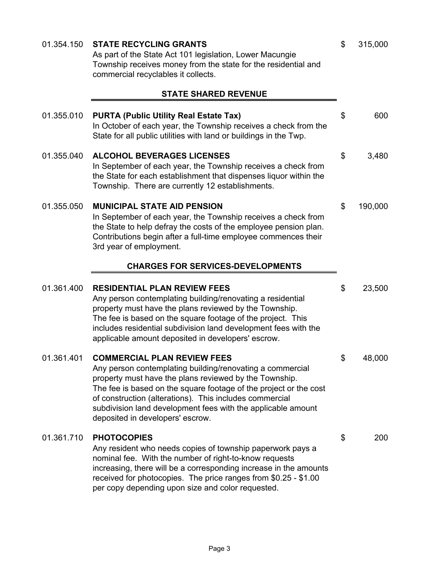| 01.354.150 | <b>STATE RECYCLING GRANTS</b><br>As part of the State Act 101 legislation, Lower Macungie<br>Township receives money from the state for the residential and<br>commercial recyclables it collects.                                                                                                                                                                                            | \$<br>315,000 |
|------------|-----------------------------------------------------------------------------------------------------------------------------------------------------------------------------------------------------------------------------------------------------------------------------------------------------------------------------------------------------------------------------------------------|---------------|
|            | <b>STATE SHARED REVENUE</b>                                                                                                                                                                                                                                                                                                                                                                   |               |
| 01.355.010 | <b>PURTA (Public Utility Real Estate Tax)</b><br>In October of each year, the Township receives a check from the<br>State for all public utilities with land or buildings in the Twp.                                                                                                                                                                                                         | \$<br>600     |
| 01.355.040 | <b>ALCOHOL BEVERAGES LICENSES</b><br>In September of each year, the Township receives a check from<br>the State for each establishment that dispenses liquor within the<br>Township. There are currently 12 establishments.                                                                                                                                                                   | \$<br>3,480   |
| 01.355.050 | <b>MUNICIPAL STATE AID PENSION</b><br>In September of each year, the Township receives a check from<br>the State to help defray the costs of the employee pension plan.<br>Contributions begin after a full-time employee commences their<br>3rd year of employment.                                                                                                                          | \$<br>190,000 |
|            | <b>CHARGES FOR SERVICES-DEVELOPMENTS</b>                                                                                                                                                                                                                                                                                                                                                      |               |
| 01.361.400 | <b>RESIDENTIAL PLAN REVIEW FEES</b><br>Any person contemplating building/renovating a residential<br>property must have the plans reviewed by the Township.<br>The fee is based on the square footage of the project. This<br>includes residential subdivision land development fees with the<br>applicable amount deposited in developers' escrow.                                           | \$<br>23,500  |
| 01.361.401 | <b>COMMERCIAL PLAN REVIEW FEES</b><br>Any person contemplating building/renovating a commercial<br>property must have the plans reviewed by the Township.<br>The fee is based on the square footage of the project or the cost<br>of construction (alterations). This includes commercial<br>subdivision land development fees with the applicable amount<br>deposited in developers' escrow. | \$<br>48,000  |
| 01.361.710 | <b>PHOTOCOPIES</b><br>Any resident who needs copies of township paperwork pays a<br>nominal fee. With the number of right-to-know requests<br>increasing, there will be a corresponding increase in the amounts<br>received for photocopies. The price ranges from \$0.25 - \$1.00<br>per copy depending upon size and color requested.                                                       | \$<br>200     |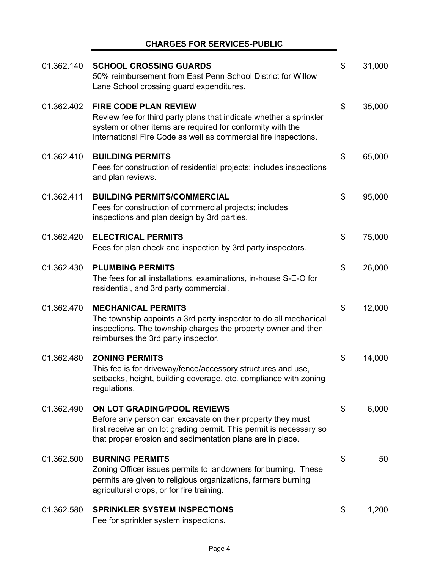### **CHARGES FOR SERVICES-PUBLIC**

÷,

| 01.362.140 | <b>SCHOOL CROSSING GUARDS</b><br>50% reimbursement from East Penn School District for Willow<br>Lane School crossing guard expenditures.                                                                                             | \$<br>31,000 |
|------------|--------------------------------------------------------------------------------------------------------------------------------------------------------------------------------------------------------------------------------------|--------------|
| 01.362.402 | <b>FIRE CODE PLAN REVIEW</b><br>Review fee for third party plans that indicate whether a sprinkler<br>system or other items are required for conformity with the<br>International Fire Code as well as commercial fire inspections.  | \$<br>35,000 |
| 01.362.410 | <b>BUILDING PERMITS</b><br>Fees for construction of residential projects; includes inspections<br>and plan reviews.                                                                                                                  | \$<br>65,000 |
| 01.362.411 | <b>BUILDING PERMITS/COMMERCIAL</b><br>Fees for construction of commercial projects; includes<br>inspections and plan design by 3rd parties.                                                                                          | \$<br>95,000 |
| 01.362.420 | <b>ELECTRICAL PERMITS</b><br>Fees for plan check and inspection by 3rd party inspectors.                                                                                                                                             | \$<br>75,000 |
| 01.362.430 | <b>PLUMBING PERMITS</b><br>The fees for all installations, examinations, in-house S-E-O for<br>residential, and 3rd party commercial.                                                                                                | \$<br>26,000 |
| 01.362.470 | <b>MECHANICAL PERMITS</b><br>The township appoints a 3rd party inspector to do all mechanical<br>inspections. The township charges the property owner and then<br>reimburses the 3rd party inspector.                                | \$<br>12,000 |
| 01.362.480 | <b>ZONING PERMITS</b><br>This fee is for driveway/fence/accessory structures and use,<br>setbacks, height, building coverage, etc. compliance with zoning<br>regulations.                                                            | \$<br>14,000 |
| 01.362.490 | <b>ON LOT GRADING/POOL REVIEWS</b><br>Before any person can excavate on their property they must<br>first receive an on lot grading permit. This permit is necessary so<br>that proper erosion and sedimentation plans are in place. | \$<br>6,000  |
| 01.362.500 | <b>BURNING PERMITS</b><br>Zoning Officer issues permits to landowners for burning. These<br>permits are given to religious organizations, farmers burning<br>agricultural crops, or for fire training.                               | \$<br>50     |
| 01.362.580 | <b>SPRINKLER SYSTEM INSPECTIONS</b><br>Fee for sprinkler system inspections.                                                                                                                                                         | \$<br>1,200  |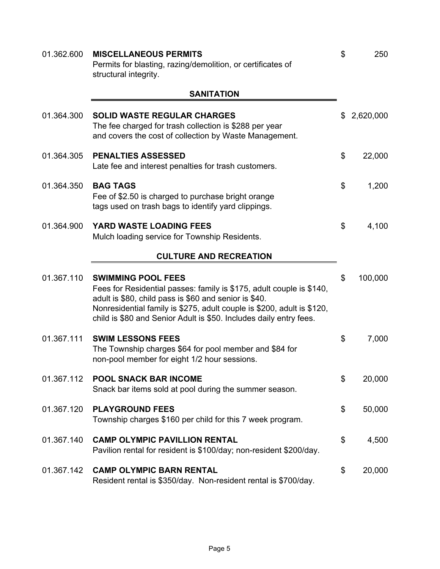| 01.362.600 | <b>MISCELLANEOUS PERMITS</b><br>Permits for blasting, razing/demolition, or certificates of<br>structural integrity.                                                                                                                                                                                       | \$<br>250       |
|------------|------------------------------------------------------------------------------------------------------------------------------------------------------------------------------------------------------------------------------------------------------------------------------------------------------------|-----------------|
|            | <b>SANITATION</b>                                                                                                                                                                                                                                                                                          |                 |
| 01.364.300 | <b>SOLID WASTE REGULAR CHARGES</b><br>The fee charged for trash collection is \$288 per year<br>and covers the cost of collection by Waste Management.                                                                                                                                                     | \$<br>2,620,000 |
| 01.364.305 | <b>PENALTIES ASSESSED</b><br>Late fee and interest penalties for trash customers.                                                                                                                                                                                                                          | \$<br>22,000    |
| 01.364.350 | <b>BAG TAGS</b><br>Fee of \$2.50 is charged to purchase bright orange<br>tags used on trash bags to identify yard clippings.                                                                                                                                                                               | \$<br>1,200     |
| 01.364.900 | YARD WASTE LOADING FEES<br>Mulch loading service for Township Residents.                                                                                                                                                                                                                                   | \$<br>4,100     |
|            | <b>CULTURE AND RECREATION</b>                                                                                                                                                                                                                                                                              |                 |
| 01.367.110 | <b>SWIMMING POOL FEES</b><br>Fees for Residential passes: family is \$175, adult couple is \$140,<br>adult is \$80, child pass is \$60 and senior is \$40.<br>Nonresidential family is \$275, adult couple is \$200, adult is \$120,<br>child is \$80 and Senior Adult is \$50. Includes daily entry fees. | \$<br>100,000   |
| 01.367.111 | <b>SWIM LESSONS FEES</b><br>The Township charges \$64 for pool member and \$84 for<br>non-pool member for eight 1/2 hour sessions.                                                                                                                                                                         | \$<br>7,000     |
| 01.367.112 | <b>POOL SNACK BAR INCOME</b><br>Snack bar items sold at pool during the summer season.                                                                                                                                                                                                                     | \$<br>20,000    |
| 01.367.120 | <b>PLAYGROUND FEES</b><br>Township charges \$160 per child for this 7 week program.                                                                                                                                                                                                                        | \$<br>50,000    |
| 01.367.140 | <b>CAMP OLYMPIC PAVILLION RENTAL</b><br>Pavilion rental for resident is \$100/day; non-resident \$200/day.                                                                                                                                                                                                 | \$<br>4,500     |
| 01.367.142 | <b>CAMP OLYMPIC BARN RENTAL</b><br>Resident rental is \$350/day. Non-resident rental is \$700/day.                                                                                                                                                                                                         | \$<br>20,000    |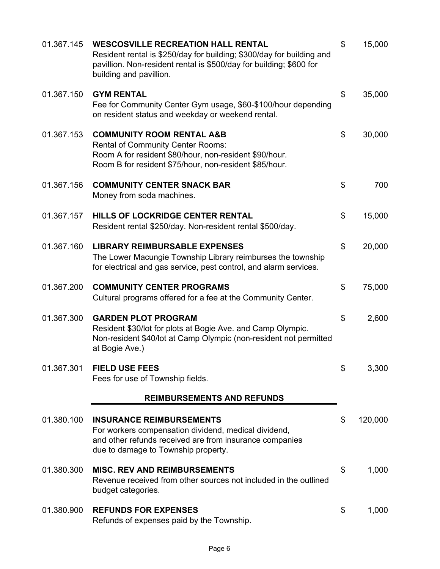| 01.367.145 | <b>WESCOSVILLE RECREATION HALL RENTAL</b><br>Resident rental is \$250/day for building; \$300/day for building and<br>pavillion. Non-resident rental is \$500/day for building; \$600 for<br>building and pavillion. | \$<br>15,000  |
|------------|----------------------------------------------------------------------------------------------------------------------------------------------------------------------------------------------------------------------|---------------|
| 01.367.150 | <b>GYM RENTAL</b><br>Fee for Community Center Gym usage, \$60-\$100/hour depending<br>on resident status and weekday or weekend rental.                                                                              | \$<br>35,000  |
| 01.367.153 | <b>COMMUNITY ROOM RENTAL A&amp;B</b><br><b>Rental of Community Center Rooms:</b><br>Room A for resident \$80/hour, non-resident \$90/hour.<br>Room B for resident \$75/hour, non-resident \$85/hour.                 | \$<br>30,000  |
| 01.367.156 | <b>COMMUNITY CENTER SNACK BAR</b><br>Money from soda machines.                                                                                                                                                       | \$<br>700     |
| 01.367.157 | HILLS OF LOCKRIDGE CENTER RENTAL<br>Resident rental \$250/day. Non-resident rental \$500/day.                                                                                                                        | \$<br>15,000  |
| 01.367.160 | <b>LIBRARY REIMBURSABLE EXPENSES</b><br>The Lower Macungie Township Library reimburses the township<br>for electrical and gas service, pest control, and alarm services.                                             | \$<br>20,000  |
| 01.367.200 | <b>COMMUNITY CENTER PROGRAMS</b><br>Cultural programs offered for a fee at the Community Center.                                                                                                                     | \$<br>75,000  |
| 01.367.300 | <b>GARDEN PLOT PROGRAM</b><br>Resident \$30/lot for plots at Bogie Ave. and Camp Olympic.<br>Non-resident \$40/lot at Camp Olympic (non-resident not permitted<br>at Bogie Ave.)                                     | \$<br>2,600   |
| 01.367.301 | <b>FIELD USE FEES</b><br>Fees for use of Township fields.                                                                                                                                                            | \$<br>3,300   |
|            | <b>REIMBURSEMENTS AND REFUNDS</b>                                                                                                                                                                                    |               |
| 01.380.100 | <b>INSURANCE REIMBURSEMENTS</b><br>For workers compensation dividend, medical dividend,<br>and other refunds received are from insurance companies<br>due to damage to Township property.                            | \$<br>120,000 |
| 01.380.300 | <b>MISC. REV AND REIMBURSEMENTS</b><br>Revenue received from other sources not included in the outlined<br>budget categories.                                                                                        | \$<br>1,000   |
| 01.380.900 | <b>REFUNDS FOR EXPENSES</b><br>Refunds of expenses paid by the Township.                                                                                                                                             | \$<br>1,000   |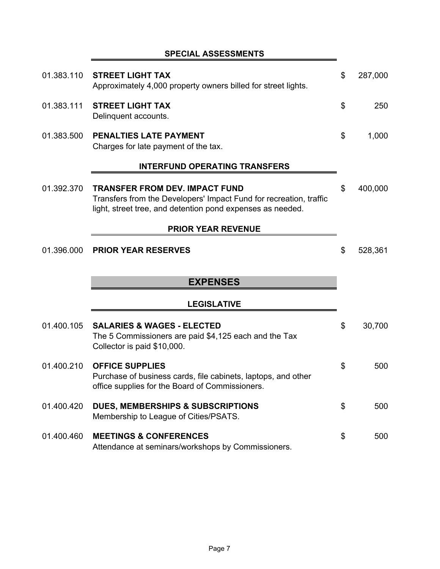# **SPECIAL ASSESSMENTS**

| 01.383.110 | <b>STREET LIGHT TAX</b><br>Approximately 4,000 property owners billed for street lights.                                                                                  | \$<br>287,000 |
|------------|---------------------------------------------------------------------------------------------------------------------------------------------------------------------------|---------------|
| 01.383.111 | <b>STREET LIGHT TAX</b><br>Delinquent accounts.                                                                                                                           | \$<br>250     |
| 01.383.500 | <b>PENALTIES LATE PAYMENT</b><br>Charges for late payment of the tax.                                                                                                     | \$<br>1,000   |
|            | <b>INTERFUND OPERATING TRANSFERS</b>                                                                                                                                      |               |
| 01.392.370 | <b>TRANSFER FROM DEV. IMPACT FUND</b><br>Transfers from the Developers' Impact Fund for recreation, traffic<br>light, street tree, and detention pond expenses as needed. | \$<br>400,000 |
|            | <b>PRIOR YEAR REVENUE</b>                                                                                                                                                 |               |
| 01.396.000 | <b>PRIOR YEAR RESERVES</b>                                                                                                                                                | \$<br>528,361 |
|            |                                                                                                                                                                           |               |
|            | <b>EXPENSES</b>                                                                                                                                                           |               |
|            | <b>LEGISLATIVE</b>                                                                                                                                                        |               |
| 01.400.105 | <b>SALARIES &amp; WAGES - ELECTED</b><br>The 5 Commissioners are paid \$4,125 each and the Tax<br>Collector is paid \$10,000.                                             | \$<br>30,700  |
| 01.400.210 | <b>OFFICE SUPPLIES</b><br>Purchase of business cards, file cabinets, laptops, and other<br>office supplies for the Board of Commissioners                                 | \$<br>500     |
| 01.400.420 | <b>DUES, MEMBERSHIPS &amp; SUBSCRIPTIONS</b><br>Membership to League of Cities/PSATS.                                                                                     | \$<br>500     |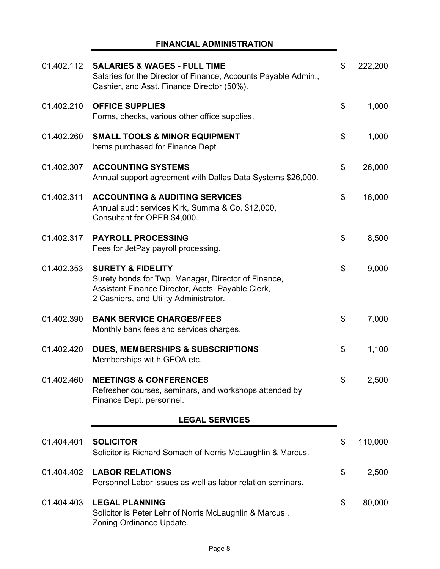#### **FINANCIAL ADMINISTRATION**

| 01.402.112 | <b>SALARIES &amp; WAGES - FULL TIME</b><br>Salaries for the Director of Finance, Accounts Payable Admin.,<br>Cashier, and Asst. Finance Director (50%).                            | \$<br>222,200 |
|------------|------------------------------------------------------------------------------------------------------------------------------------------------------------------------------------|---------------|
| 01.402.210 | <b>OFFICE SUPPLIES</b><br>Forms, checks, various other office supplies.                                                                                                            | \$<br>1,000   |
| 01.402.260 | <b>SMALL TOOLS &amp; MINOR EQUIPMENT</b><br>Items purchased for Finance Dept.                                                                                                      | \$<br>1,000   |
| 01.402.307 | <b>ACCOUNTING SYSTEMS</b><br>Annual support agreement with Dallas Data Systems \$26,000.                                                                                           | \$<br>26,000  |
| 01.402.311 | <b>ACCOUNTING &amp; AUDITING SERVICES</b><br>Annual audit services Kirk, Summa & Co. \$12,000,<br>Consultant for OPEB \$4,000.                                                     | \$<br>16,000  |
| 01.402.317 | <b>PAYROLL PROCESSING</b><br>Fees for JetPay payroll processing.                                                                                                                   | \$<br>8,500   |
| 01.402.353 | <b>SURETY &amp; FIDELITY</b><br>Surety bonds for Twp. Manager, Director of Finance,<br>Assistant Finance Director, Accts. Payable Clerk,<br>2 Cashiers, and Utility Administrator. | \$<br>9,000   |
| 01.402.390 | <b>BANK SERVICE CHARGES/FEES</b><br>Monthly bank fees and services charges.                                                                                                        | \$<br>7,000   |
| 01.402.420 | <b>DUES, MEMBERSHIPS &amp; SUBSCRIPTIONS</b><br>Memberships wit h GFOA etc.                                                                                                        | \$<br>1,100   |
| 01.402.460 | <b>MEETINGS &amp; CONFERENCES</b><br>Refresher courses, seminars, and workshops attended by<br>Finance Dept. personnel.                                                            | \$<br>2,500   |
|            | <b>LEGAL SERVICES</b>                                                                                                                                                              |               |
| 01.404.401 | <b>SOLICITOR</b><br>Solicitor is Richard Somach of Norris McLaughlin & Marcus.                                                                                                     | \$<br>110,000 |
| 01.404.402 | <b>LABOR RELATIONS</b><br>Personnel Labor issues as well as labor relation seminars.                                                                                               | \$<br>2,500   |
| 01.404.403 | <b>LEGAL PLANNING</b><br>Solicitor is Peter Lehr of Norris McLaughlin & Marcus.<br>Zoning Ordinance Update.                                                                        | \$<br>80,000  |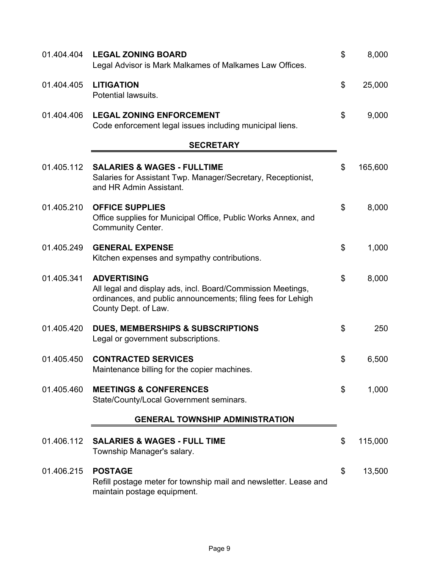| 01.404.404 | <b>LEGAL ZONING BOARD</b><br>Legal Advisor is Mark Malkames of Malkames Law Offices.                                                                                      | \$<br>8,000   |
|------------|---------------------------------------------------------------------------------------------------------------------------------------------------------------------------|---------------|
| 01.404.405 | <b>LITIGATION</b><br>Potential lawsuits.                                                                                                                                  | \$<br>25,000  |
| 01.404.406 | <b>LEGAL ZONING ENFORCEMENT</b><br>Code enforcement legal issues including municipal liens.                                                                               | \$<br>9,000   |
|            | <b>SECRETARY</b>                                                                                                                                                          |               |
| 01.405.112 | <b>SALARIES &amp; WAGES - FULLTIME</b><br>Salaries for Assistant Twp. Manager/Secretary, Receptionist,<br>and HR Admin Assistant.                                         | \$<br>165,600 |
| 01.405.210 | <b>OFFICE SUPPLIES</b><br>Office supplies for Municipal Office, Public Works Annex, and<br><b>Community Center.</b>                                                       | \$<br>8,000   |
| 01.405.249 | <b>GENERAL EXPENSE</b><br>Kitchen expenses and sympathy contributions.                                                                                                    | \$<br>1,000   |
| 01.405.341 | <b>ADVERTISING</b><br>All legal and display ads, incl. Board/Commission Meetings,<br>ordinances, and public announcements; filing fees for Lehigh<br>County Dept. of Law. | \$<br>8,000   |
| 01.405.420 | <b>DUES, MEMBERSHIPS &amp; SUBSCRIPTIONS</b><br>Legal or government subscriptions.                                                                                        | \$<br>250     |
| 01.405.450 | <b>CONTRACTED SERVICES</b><br>Maintenance billing for the copier machines.                                                                                                | \$<br>6,500   |
| 01.405.460 | <b>MEETINGS &amp; CONFERENCES</b><br>State/County/Local Government seminars.                                                                                              | \$<br>1,000   |
|            | <b>GENERAL TOWNSHIP ADMINISTRATION</b>                                                                                                                                    |               |
| 01.406.112 | <b>SALARIES &amp; WAGES - FULL TIME</b><br>Township Manager's salary.                                                                                                     | \$<br>115,000 |
| 01.406.215 | <b>POSTAGE</b><br>Refill postage meter for township mail and newsletter. Lease and<br>maintain postage equipment.                                                         | \$<br>13,500  |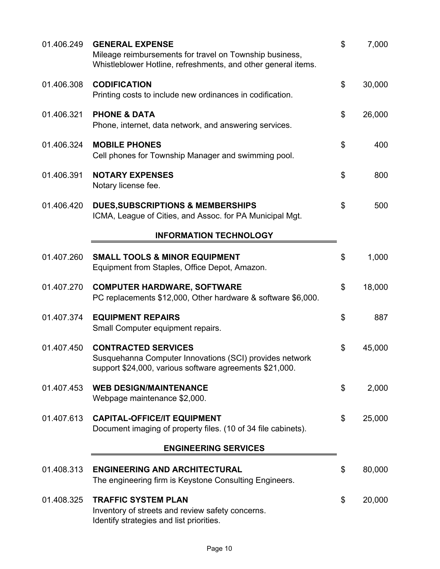| 01.406.249 | <b>GENERAL EXPENSE</b><br>Mileage reimbursements for travel on Township business,<br>Whistleblower Hotline, refreshments, and other general items. | \$<br>7,000  |
|------------|----------------------------------------------------------------------------------------------------------------------------------------------------|--------------|
| 01.406.308 | <b>CODIFICATION</b><br>Printing costs to include new ordinances in codification.                                                                   | \$<br>30,000 |
| 01.406.321 | <b>PHONE &amp; DATA</b><br>Phone, internet, data network, and answering services.                                                                  | \$<br>26,000 |
| 01.406.324 | <b>MOBILE PHONES</b><br>Cell phones for Township Manager and swimming pool.                                                                        | \$<br>400    |
| 01.406.391 | <b>NOTARY EXPENSES</b><br>Notary license fee.                                                                                                      | \$<br>800    |
| 01.406.420 | <b>DUES, SUBSCRIPTIONS &amp; MEMBERSHIPS</b><br>ICMA, League of Cities, and Assoc. for PA Municipal Mgt.                                           | \$<br>500    |
|            | <b>INFORMATION TECHNOLOGY</b>                                                                                                                      |              |
| 01.407.260 | <b>SMALL TOOLS &amp; MINOR EQUIPMENT</b><br>Equipment from Staples, Office Depot, Amazon.                                                          | \$<br>1,000  |
| 01.407.270 | <b>COMPUTER HARDWARE, SOFTWARE</b><br>PC replacements \$12,000, Other hardware & software \$6,000.                                                 | \$<br>18,000 |
| 01.407.374 | <b>EQUIPMENT REPAIRS</b><br>Small Computer equipment repairs.                                                                                      | \$<br>887    |
| 01.407.450 | <b>CONTRACTED SERVICES</b><br>Susquehanna Computer Innovations (SCI) provides network<br>support \$24,000, various software agreements \$21,000.   | \$<br>45,000 |
| 01.407.453 | <b>WEB DESIGN/MAINTENANCE</b><br>Webpage maintenance \$2,000.                                                                                      | \$<br>2,000  |
| 01.407.613 | <b>CAPITAL-OFFICE/IT EQUIPMENT</b><br>Document imaging of property files. (10 of 34 file cabinets).                                                | \$<br>25,000 |
|            | <b>ENGINEERING SERVICES</b>                                                                                                                        |              |
| 01.408.313 | <b>ENGINEERING AND ARCHITECTURAL</b><br>The engineering firm is Keystone Consulting Engineers.                                                     | \$<br>80,000 |
| 01.408.325 | <b>TRAFFIC SYSTEM PLAN</b><br>Inventory of streets and review safety concerns.<br>Identify strategies and list priorities.                         | \$<br>20,000 |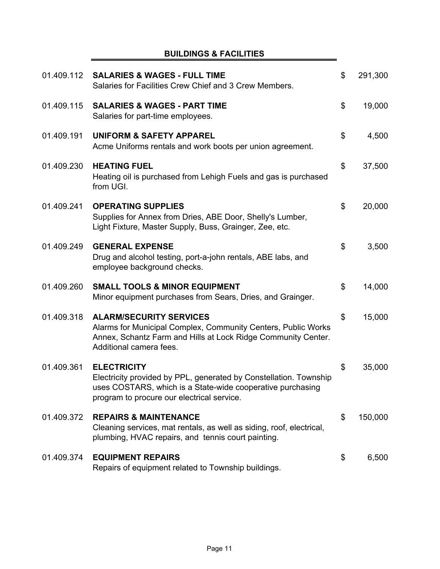# **BUILDINGS & FACILITIES**

| 01.409.112 | <b>SALARIES &amp; WAGES - FULL TIME</b><br>Salaries for Facilities Crew Chief and 3 Crew Members.                                                                                                   | \$<br>291,300 |
|------------|-----------------------------------------------------------------------------------------------------------------------------------------------------------------------------------------------------|---------------|
| 01.409.115 | <b>SALARIES &amp; WAGES - PART TIME</b><br>Salaries for part-time employees.                                                                                                                        | \$<br>19,000  |
| 01.409.191 | <b>UNIFORM &amp; SAFETY APPAREL</b><br>Acme Uniforms rentals and work boots per union agreement.                                                                                                    | \$<br>4,500   |
| 01.409.230 | <b>HEATING FUEL</b><br>Heating oil is purchased from Lehigh Fuels and gas is purchased<br>from UGI.                                                                                                 | \$<br>37,500  |
| 01.409.241 | <b>OPERATING SUPPLIES</b><br>Supplies for Annex from Dries, ABE Door, Shelly's Lumber,<br>Light Fixture, Master Supply, Buss, Grainger, Zee, etc.                                                   | \$<br>20,000  |
| 01.409.249 | <b>GENERAL EXPENSE</b><br>Drug and alcohol testing, port-a-john rentals, ABE labs, and<br>employee background checks.                                                                               | \$<br>3,500   |
| 01.409.260 | <b>SMALL TOOLS &amp; MINOR EQUIPMENT</b><br>Minor equipment purchases from Sears, Dries, and Grainger.                                                                                              | \$<br>14,000  |
| 01.409.318 | <b>ALARM/SECURITY SERVICES</b><br>Alarms for Municipal Complex, Community Centers, Public Works<br>Annex, Schantz Farm and Hills at Lock Ridge Community Center.<br>Additional camera fees.         | \$<br>15,000  |
| 01.409.361 | <b>ELECTRICITY</b><br>Electricity provided by PPL, generated by Constellation. Township<br>uses COSTARS, which is a State-wide cooperative purchasing<br>program to procure our electrical service. | \$<br>35,000  |
| 01.409.372 | <b>REPAIRS &amp; MAINTENANCE</b><br>Cleaning services, mat rentals, as well as siding, roof, electrical,<br>plumbing, HVAC repairs, and tennis court painting.                                      | \$<br>150,000 |
| 01.409.374 | <b>EQUIPMENT REPAIRS</b><br>Repairs of equipment related to Township buildings.                                                                                                                     | \$<br>6,500   |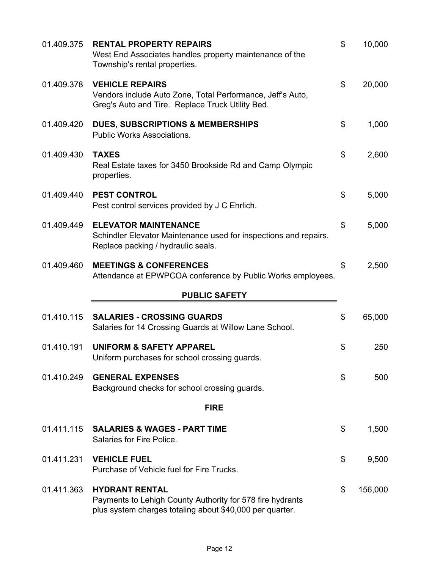| 01.409.375 | <b>RENTAL PROPERTY REPAIRS</b><br>West End Associates handles property maintenance of the<br>Township's rental properties.                     | \$<br>10,000  |
|------------|------------------------------------------------------------------------------------------------------------------------------------------------|---------------|
| 01.409.378 | <b>VEHICLE REPAIRS</b><br>Vendors include Auto Zone, Total Performance, Jeff's Auto,<br>Greg's Auto and Tire. Replace Truck Utility Bed.       | \$<br>20,000  |
| 01.409.420 | <b>DUES, SUBSCRIPTIONS &amp; MEMBERSHIPS</b><br><b>Public Works Associations.</b>                                                              | \$<br>1,000   |
| 01.409.430 | <b>TAXES</b><br>Real Estate taxes for 3450 Brookside Rd and Camp Olympic<br>properties.                                                        | \$<br>2,600   |
| 01.409.440 | <b>PEST CONTROL</b><br>Pest control services provided by J C Ehrlich.                                                                          | \$<br>5,000   |
| 01.409.449 | <b>ELEVATOR MAINTENANCE</b><br>Schindler Elevator Maintenance used for inspections and repairs.<br>Replace packing / hydraulic seals.          | \$<br>5,000   |
| 01.409.460 | <b>MEETINGS &amp; CONFERENCES</b><br>Attendance at EPWPCOA conference by Public Works employees.                                               | \$<br>2,500   |
|            | <b>PUBLIC SAFETY</b>                                                                                                                           |               |
| 01.410.115 | <b>SALARIES - CROSSING GUARDS</b><br>Salaries for 14 Crossing Guards at Willow Lane School.                                                    | \$<br>65,000  |
| 01.410.191 | <b>UNIFORM &amp; SAFETY APPAREL</b><br>Uniform purchases for school crossing guards.                                                           | \$<br>250     |
| 01.410.249 | <b>GENERAL EXPENSES</b><br>Background checks for school crossing guards.                                                                       | \$<br>500     |
|            | <b>FIRE</b>                                                                                                                                    |               |
| 01.411.115 | <b>SALARIES &amp; WAGES - PART TIME</b><br>Salaries for Fire Police.                                                                           | \$<br>1,500   |
| 01.411.231 | <b>VEHICLE FUEL</b><br>Purchase of Vehicle fuel for Fire Trucks.                                                                               | \$<br>9,500   |
| 01.411.363 | <b>HYDRANT RENTAL</b><br>Payments to Lehigh County Authority for 578 fire hydrants<br>plus system charges totaling about \$40,000 per quarter. | \$<br>156,000 |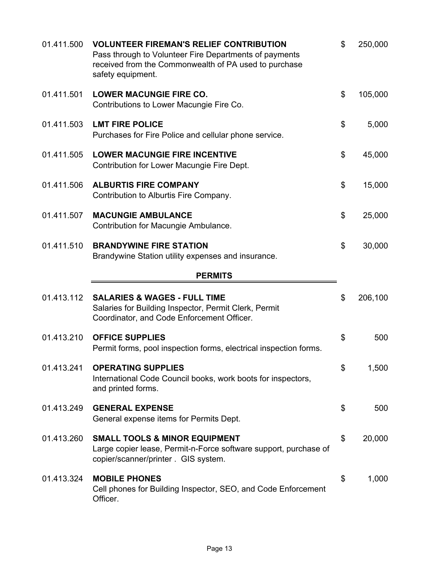| 01.411.500 | <b>VOLUNTEER FIREMAN'S RELIEF CONTRIBUTION</b><br>Pass through to Volunteer Fire Departments of payments<br>received from the Commonwealth of PA used to purchase<br>safety equipment. | \$<br>250,000 |
|------------|----------------------------------------------------------------------------------------------------------------------------------------------------------------------------------------|---------------|
| 01.411.501 | <b>LOWER MACUNGIE FIRE CO.</b><br>Contributions to Lower Macungie Fire Co.                                                                                                             | \$<br>105,000 |
| 01.411.503 | <b>LMT FIRE POLICE</b><br>Purchases for Fire Police and cellular phone service.                                                                                                        | \$<br>5,000   |
| 01.411.505 | <b>LOWER MACUNGIE FIRE INCENTIVE</b><br>Contribution for Lower Macungie Fire Dept.                                                                                                     | \$<br>45,000  |
| 01.411.506 | <b>ALBURTIS FIRE COMPANY</b><br>Contribution to Alburtis Fire Company.                                                                                                                 | \$<br>15,000  |
| 01.411.507 | <b>MACUNGIE AMBULANCE</b><br>Contribution for Macungie Ambulance.                                                                                                                      | \$<br>25,000  |
| 01.411.510 | <b>BRANDYWINE FIRE STATION</b><br>Brandywine Station utility expenses and insurance.                                                                                                   | \$<br>30,000  |
|            | <b>PERMITS</b>                                                                                                                                                                         |               |
| 01.413.112 | <b>SALARIES &amp; WAGES - FULL TIME</b><br>Salaries for Building Inspector, Permit Clerk, Permit<br>Coordinator, and Code Enforcement Officer.                                         | \$<br>206,100 |
| 01.413.210 | <b>OFFICE SUPPLIES</b><br>Permit forms, pool inspection forms, electrical inspection forms.                                                                                            | \$<br>500     |
| 01.413.241 | <b>OPERATING SUPPLIES</b><br>International Code Council books, work boots for inspectors,<br>and printed forms.                                                                        | \$<br>1,500   |
| 01.413.249 | <b>GENERAL EXPENSE</b><br>General expense items for Permits Dept.                                                                                                                      | \$<br>500     |
| 01.413.260 | <b>SMALL TOOLS &amp; MINOR EQUIPMENT</b><br>Large copier lease, Permit-n-Force software support, purchase of<br>copier/scanner/printer . GIS system.                                   | \$<br>20,000  |
| 01.413.324 | <b>MOBILE PHONES</b><br>Cell phones for Building Inspector, SEO, and Code Enforcement<br>Officer.                                                                                      | \$<br>1,000   |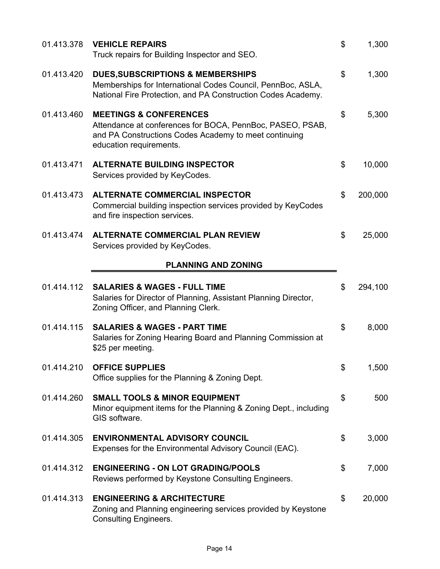| 01.413.378 | <b>VEHICLE REPAIRS</b><br>Truck repairs for Building Inspector and SEO.                                                                                                            | \$<br>1,300   |
|------------|------------------------------------------------------------------------------------------------------------------------------------------------------------------------------------|---------------|
| 01.413.420 | <b>DUES, SUBSCRIPTIONS &amp; MEMBERSHIPS</b><br>Memberships for International Codes Council, PennBoc, ASLA,<br>National Fire Protection, and PA Construction Codes Academy.        | \$<br>1,300   |
| 01.413.460 | <b>MEETINGS &amp; CONFERENCES</b><br>Attendance at conferences for BOCA, PennBoc, PASEO, PSAB,<br>and PA Constructions Codes Academy to meet continuing<br>education requirements. | \$<br>5,300   |
| 01.413.471 | <b>ALTERNATE BUILDING INSPECTOR</b><br>Services provided by KeyCodes.                                                                                                              | \$<br>10,000  |
| 01.413.473 | <b>ALTERNATE COMMERCIAL INSPECTOR</b><br>Commercial building inspection services provided by KeyCodes<br>and fire inspection services.                                             | \$<br>200,000 |
| 01.413.474 | <b>ALTERNATE COMMERCIAL PLAN REVIEW</b><br>Services provided by KeyCodes.                                                                                                          | \$<br>25,000  |
|            | <b>PLANNING AND ZONING</b>                                                                                                                                                         |               |
| 01.414.112 | <b>SALARIES &amp; WAGES - FULL TIME</b><br>Salaries for Director of Planning, Assistant Planning Director,<br>Zoning Officer, and Planning Clerk.                                  | \$<br>294,100 |
| 01.414.115 | <b>SALARIES &amp; WAGES - PART TIME</b><br>Salaries for Zoning Hearing Board and Planning Commission at<br>\$25 per meeting.                                                       | \$<br>8,000   |
| 01.414.210 | <b>OFFICE SUPPLIES</b><br>Office supplies for the Planning & Zoning Dept.                                                                                                          | \$<br>1,500   |
| 01.414.260 | <b>SMALL TOOLS &amp; MINOR EQUIPMENT</b><br>Minor equipment items for the Planning & Zoning Dept., including<br>GIS software.                                                      | \$<br>500     |
| 01.414.305 | <b>ENVIRONMENTAL ADVISORY COUNCIL</b><br>Expenses for the Environmental Advisory Council (EAC).                                                                                    | \$<br>3,000   |
| 01.414.312 | <b>ENGINEERING - ON LOT GRADING/POOLS</b><br>Reviews performed by Keystone Consulting Engineers.                                                                                   | \$<br>7,000   |
| 01.414.313 | <b>ENGINEERING &amp; ARCHITECTURE</b><br>Zoning and Planning engineering services provided by Keystone<br><b>Consulting Engineers.</b>                                             | \$<br>20,000  |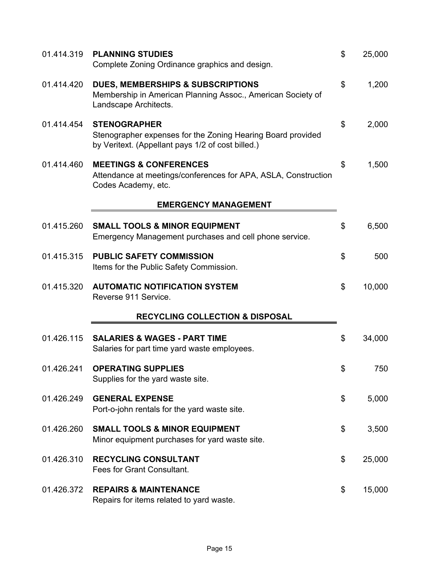| 01.414.319 | <b>PLANNING STUDIES</b><br>Complete Zoning Ordinance graphics and design.                                                               | \$<br>25,000 |
|------------|-----------------------------------------------------------------------------------------------------------------------------------------|--------------|
| 01.414.420 | <b>DUES, MEMBERSHIPS &amp; SUBSCRIPTIONS</b><br>Membership in American Planning Assoc., American Society of<br>Landscape Architects.    | \$<br>1,200  |
| 01.414.454 | <b>STENOGRAPHER</b><br>Stenographer expenses for the Zoning Hearing Board provided<br>by Veritext. (Appellant pays 1/2 of cost billed.) | \$<br>2,000  |
| 01.414.460 | <b>MEETINGS &amp; CONFERENCES</b><br>Attendance at meetings/conferences for APA, ASLA, Construction<br>Codes Academy, etc.              | \$<br>1,500  |
|            | <b>EMERGENCY MANAGEMENT</b>                                                                                                             |              |
| 01.415.260 | <b>SMALL TOOLS &amp; MINOR EQUIPMENT</b><br>Emergency Management purchases and cell phone service.                                      | \$<br>6,500  |
| 01.415.315 | <b>PUBLIC SAFETY COMMISSION</b><br>Items for the Public Safety Commission.                                                              | \$<br>500    |
| 01.415.320 | <b>AUTOMATIC NOTIFICATION SYSTEM</b><br>Reverse 911 Service.                                                                            | \$<br>10,000 |
|            | <b>RECYCLING COLLECTION &amp; DISPOSAL</b>                                                                                              |              |
| 01.426.115 | <b>SALARIES &amp; WAGES - PART TIME</b><br>Salaries for part time yard waste employees.                                                 | \$<br>34,000 |
| 01.426.241 | <b>OPERATING SUPPLIES</b><br>Supplies for the yard waste site.                                                                          | \$<br>750    |
| 01.426.249 | <b>GENERAL EXPENSE</b><br>Port-o-john rentals for the yard waste site.                                                                  | \$<br>5,000  |
| 01.426.260 | <b>SMALL TOOLS &amp; MINOR EQUIPMENT</b><br>Minor equipment purchases for yard waste site.                                              | \$<br>3,500  |
| 01.426.310 | <b>RECYCLING CONSULTANT</b><br>Fees for Grant Consultant.                                                                               | \$<br>25,000 |
| 01.426.372 | <b>REPAIRS &amp; MAINTENANCE</b><br>Repairs for items related to yard waste.                                                            | \$<br>15,000 |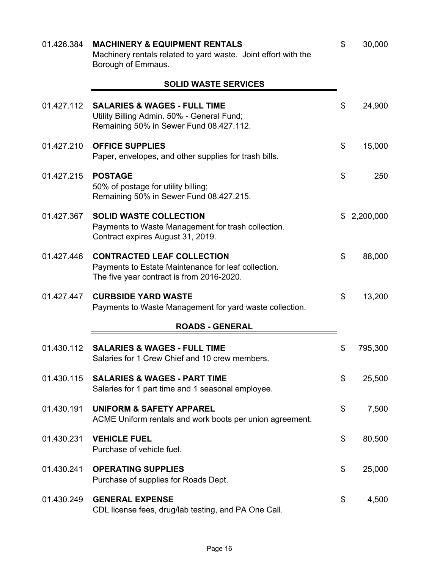| 01.426.384 | <b>MACHINERY &amp; EQUIPMENT RENTALS</b><br>Machinery rentals related to yard waste. Joint effort with the<br>Borough of Emmaus.      | \$<br>30,000  |
|------------|---------------------------------------------------------------------------------------------------------------------------------------|---------------|
|            | <b>SOLID WASTE SERVICES</b>                                                                                                           |               |
| 01.427.112 | <b>SALARIES &amp; WAGES - FULL TIME</b><br>Utility Billing Admin. 50% - General Fund;<br>Remaining 50% in Sewer Fund 08.427.112.      | \$<br>24,900  |
| 01.427.210 | <b>OFFICE SUPPLIES</b><br>Paper, envelopes, and other supplies for trash bills.                                                       | \$<br>15,000  |
| 01.427.215 | <b>POSTAGE</b><br>50% of postage for utility billing;<br>Remaining 50% in Sewer Fund 08.427.215.                                      | \$<br>250     |
| 01.427.367 | <b>SOLID WASTE COLLECTION</b><br>Payments to Waste Management for trash collection.<br>Contract expires August 31, 2019.              | \$2,200,000   |
| 01.427.446 | <b>CONTRACTED LEAF COLLECTION</b><br>Payments to Estate Maintenance for leaf collection.<br>The five year contract is from 2016-2020. | \$<br>88,000  |
| 01.427.447 | <b>CURBSIDE YARD WASTE</b><br>Payments to Waste Management for yard waste collection.                                                 | \$<br>13,200  |
|            | <b>ROADS - GENERAL</b>                                                                                                                |               |
| 01.430.112 | <b>SALARIES &amp; WAGES - FULL TIME</b><br>Salaries for 1 Crew Chief and 10 crew members                                              | \$<br>795,300 |
| 01.430.115 | <b>SALARIES &amp; WAGES - PART TIME</b><br>Salaries for 1 part time and 1 seasonal employee.                                          | \$<br>25,500  |
| 01.430.191 | <b>UNIFORM &amp; SAFETY APPAREL</b><br>ACME Uniform rentals and work boots per union agreement.                                       | \$<br>7,500   |
| 01.430.231 | <b>VEHICLE FUEL</b><br>Purchase of vehicle fuel.                                                                                      | \$<br>80,500  |
| 01.430.241 | <b>OPERATING SUPPLIES</b><br>Purchase of supplies for Roads Dept.                                                                     | \$<br>25,000  |
| 01.430.249 | <b>GENERAL EXPENSE</b><br>CDL license fees, drug/lab testing, and PA One Call.                                                        | \$<br>4,500   |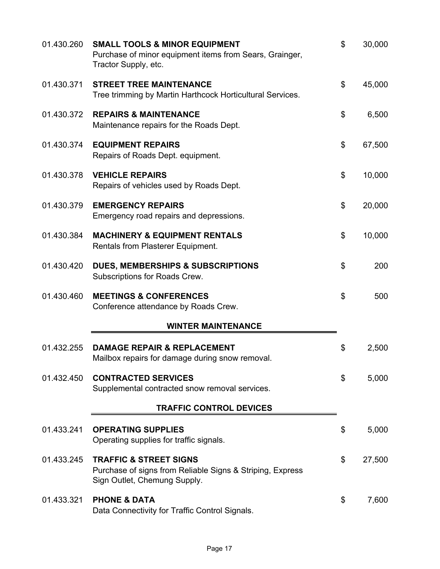| 01.430.260 | <b>SMALL TOOLS &amp; MINOR EQUIPMENT</b><br>Purchase of minor equipment items from Sears, Grainger,<br>Tractor Supply, etc.    | \$<br>30,000 |
|------------|--------------------------------------------------------------------------------------------------------------------------------|--------------|
| 01.430.371 | <b>STREET TREE MAINTENANCE</b><br>Tree trimming by Martin Harthcock Horticultural Services.                                    | \$<br>45,000 |
| 01.430.372 | <b>REPAIRS &amp; MAINTENANCE</b><br>Maintenance repairs for the Roads Dept.                                                    | \$<br>6,500  |
| 01.430.374 | <b>EQUIPMENT REPAIRS</b><br>Repairs of Roads Dept. equipment.                                                                  | \$<br>67,500 |
| 01.430.378 | <b>VEHICLE REPAIRS</b><br>Repairs of vehicles used by Roads Dept.                                                              | \$<br>10,000 |
| 01.430.379 | <b>EMERGENCY REPAIRS</b><br>Emergency road repairs and depressions.                                                            | \$<br>20,000 |
| 01.430.384 | <b>MACHINERY &amp; EQUIPMENT RENTALS</b><br>Rentals from Plasterer Equipment.                                                  | \$<br>10,000 |
| 01.430.420 | <b>DUES, MEMBERSHIPS &amp; SUBSCRIPTIONS</b><br>Subscriptions for Roads Crew.                                                  | \$<br>200    |
| 01.430.460 | <b>MEETINGS &amp; CONFERENCES</b><br>Conference attendance by Roads Crew.                                                      | \$<br>500    |
|            | <b>WINTER MAINTENANCE</b>                                                                                                      |              |
| 01.432.255 | <b>DAMAGE REPAIR &amp; REPLACEMENT</b><br>Mailbox repairs for damage during snow removal.                                      | \$<br>2,500  |
| 01.432.450 | <b>CONTRACTED SERVICES</b><br>Supplemental contracted snow removal services.                                                   | \$<br>5,000  |
|            | <b>TRAFFIC CONTROL DEVICES</b>                                                                                                 |              |
| 01.433.241 | <b>OPERATING SUPPLIES</b><br>Operating supplies for traffic signals.                                                           | \$<br>5,000  |
| 01.433.245 | <b>TRAFFIC &amp; STREET SIGNS</b><br>Purchase of signs from Reliable Signs & Striping, Express<br>Sign Outlet, Chemung Supply. | \$<br>27,500 |
| 01.433.321 | <b>PHONE &amp; DATA</b><br>Data Connectivity for Traffic Control Signals.                                                      | \$<br>7,600  |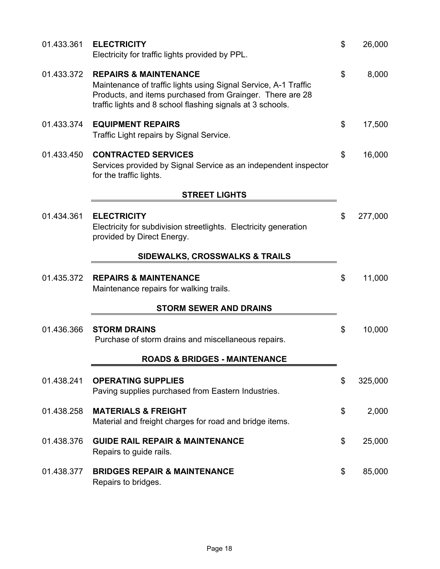| 01.433.361 | <b>ELECTRICITY</b><br>Electricity for traffic lights provided by PPL.                                                                                                                                                          | \$<br>26,000  |
|------------|--------------------------------------------------------------------------------------------------------------------------------------------------------------------------------------------------------------------------------|---------------|
| 01.433.372 | <b>REPAIRS &amp; MAINTENANCE</b><br>Maintenance of traffic lights using Signal Service, A-1 Traffic<br>Products, and items purchased from Grainger. There are 28<br>traffic lights and 8 school flashing signals at 3 schools. | \$<br>8,000   |
| 01.433.374 | <b>EQUIPMENT REPAIRS</b><br>Traffic Light repairs by Signal Service.                                                                                                                                                           | \$<br>17,500  |
| 01.433.450 | <b>CONTRACTED SERVICES</b><br>Services provided by Signal Service as an independent inspector<br>for the traffic lights.                                                                                                       | \$<br>16,000  |
|            | <b>STREET LIGHTS</b>                                                                                                                                                                                                           |               |
| 01.434.361 | <b>ELECTRICITY</b><br>Electricity for subdivision streetlights. Electricity generation<br>provided by Direct Energy.                                                                                                           | \$<br>277,000 |
|            | <b>SIDEWALKS, CROSSWALKS &amp; TRAILS</b>                                                                                                                                                                                      |               |
| 01.435.372 | <b>REPAIRS &amp; MAINTENANCE</b><br>Maintenance repairs for walking trails.                                                                                                                                                    | \$<br>11,000  |
|            | <b>STORM SEWER AND DRAINS</b>                                                                                                                                                                                                  |               |
| 01.436.366 | <b>STORM DRAINS</b><br>Purchase of storm drains and miscellaneous repairs.                                                                                                                                                     | \$<br>10,000  |
|            | <b>ROADS &amp; BRIDGES - MAINTENANCE</b>                                                                                                                                                                                       |               |
| 01.438.241 | <b>OPERATING SUPPLIES</b><br>Paving supplies purchased from Eastern Industries.                                                                                                                                                | \$<br>325,000 |
| 01.438.258 | <b>MATERIALS &amp; FREIGHT</b><br>Material and freight charges for road and bridge items.                                                                                                                                      | \$<br>2,000   |
| 01.438.376 | <b>GUIDE RAIL REPAIR &amp; MAINTENANCE</b><br>Repairs to guide rails.                                                                                                                                                          | \$<br>25,000  |
| 01.438.377 | <b>BRIDGES REPAIR &amp; MAINTENANCE</b><br>Repairs to bridges.                                                                                                                                                                 | \$<br>85,000  |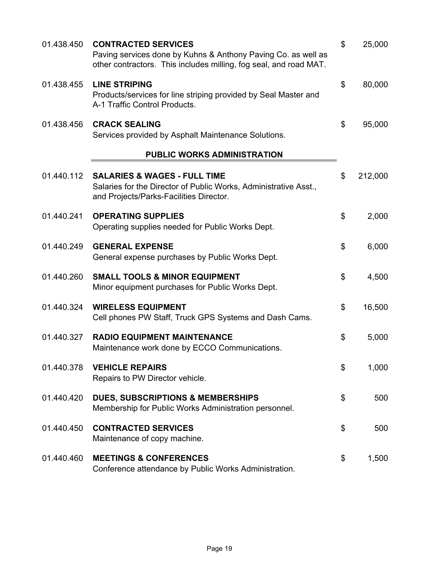| 01.438.450 | <b>CONTRACTED SERVICES</b><br>Paving services done by Kuhns & Anthony Paving Co. as well as<br>other contractors. This includes milling, fog seal, and road MAT. | $\boldsymbol{\mathsf{S}}$ | 25,000  |
|------------|------------------------------------------------------------------------------------------------------------------------------------------------------------------|---------------------------|---------|
| 01.438.455 | <b>LINE STRIPING</b><br>Products/services for line striping provided by Seal Master and<br>A-1 Traffic Control Products.                                         | \$                        | 80,000  |
| 01.438.456 | <b>CRACK SEALING</b><br>Services provided by Asphalt Maintenance Solutions.                                                                                      | \$                        | 95,000  |
|            | PUBLIC WORKS ADMINISTRATION                                                                                                                                      |                           |         |
| 01.440.112 | <b>SALARIES &amp; WAGES - FULL TIME</b><br>Salaries for the Director of Public Works, Administrative Asst.,<br>and Projects/Parks-Facilities Director.           | \$                        | 212,000 |
| 01.440.241 | <b>OPERATING SUPPLIES</b><br>Operating supplies needed for Public Works Dept.                                                                                    | \$                        | 2,000   |
| 01.440.249 | <b>GENERAL EXPENSE</b><br>General expense purchases by Public Works Dept.                                                                                        | \$                        | 6,000   |
| 01.440.260 | <b>SMALL TOOLS &amp; MINOR EQUIPMENT</b><br>Minor equipment purchases for Public Works Dept.                                                                     | \$                        | 4,500   |
| 01.440.324 | <b>WIRELESS EQUIPMENT</b><br>Cell phones PW Staff, Truck GPS Systems and Dash Cams.                                                                              | \$                        | 16,500  |
| 01.440.327 | <b>RADIO EQUIPMENT MAINTENANCE</b><br>Maintenance work done by ECCO Communications.                                                                              | \$                        | 5,000   |
| 01.440.378 | <b>VEHICLE REPAIRS</b><br>Repairs to PW Director vehicle.                                                                                                        | \$                        | 1,000   |
| 01.440.420 | <b>DUES, SUBSCRIPTIONS &amp; MEMBERSHIPS</b><br>Membership for Public Works Administration personnel.                                                            | \$                        | 500     |
| 01.440.450 | <b>CONTRACTED SERVICES</b><br>Maintenance of copy machine.                                                                                                       | \$                        | 500     |
| 01.440.460 | <b>MEETINGS &amp; CONFERENCES</b><br>Conference attendance by Public Works Administration.                                                                       | \$                        | 1,500   |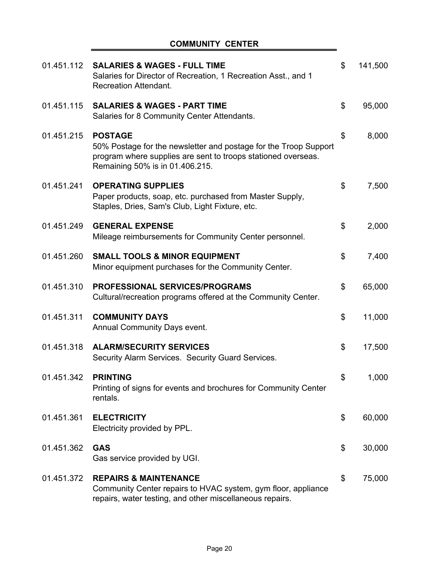### **COMMUNITY CENTER**

| 01.451.112 | <b>SALARIES &amp; WAGES - FULL TIME</b><br>Salaries for Director of Recreation, 1 Recreation Asst., and 1<br><b>Recreation Attendant.</b>                                              | \$<br>141,500 |
|------------|----------------------------------------------------------------------------------------------------------------------------------------------------------------------------------------|---------------|
| 01.451.115 | <b>SALARIES &amp; WAGES - PART TIME</b><br>Salaries for 8 Community Center Attendants.                                                                                                 | \$<br>95,000  |
| 01.451.215 | <b>POSTAGE</b><br>50% Postage for the newsletter and postage for the Troop Support<br>program where supplies are sent to troops stationed overseas.<br>Remaining 50% is in 01.406.215. | \$<br>8,000   |
| 01.451.241 | <b>OPERATING SUPPLIES</b><br>Paper products, soap, etc. purchased from Master Supply,<br>Staples, Dries, Sam's Club, Light Fixture, etc.                                               | \$<br>7,500   |
| 01.451.249 | <b>GENERAL EXPENSE</b><br>Mileage reimbursements for Community Center personnel.                                                                                                       | \$<br>2,000   |
| 01.451.260 | <b>SMALL TOOLS &amp; MINOR EQUIPMENT</b><br>Minor equipment purchases for the Community Center.                                                                                        | \$<br>7,400   |
| 01.451.310 | <b>PROFESSIONAL SERVICES/PROGRAMS</b><br>Cultural/recreation programs offered at the Community Center.                                                                                 | \$<br>65,000  |
| 01.451.311 | <b>COMMUNITY DAYS</b><br>Annual Community Days event.                                                                                                                                  | \$<br>11,000  |
| 01.451.318 | <b>ALARM/SECURITY SERVICES</b><br>Security Alarm Services. Security Guard Services.                                                                                                    | \$<br>17,500  |
| 01.451.342 | <b>PRINTING</b><br>Printing of signs for events and brochures for Community Center<br>rentals.                                                                                         | \$<br>1,000   |
| 01.451.361 | <b>ELECTRICITY</b><br>Electricity provided by PPL.                                                                                                                                     | \$<br>60,000  |
| 01.451.362 | <b>GAS</b><br>Gas service provided by UGI.                                                                                                                                             | \$<br>30,000  |
| 01.451.372 | <b>REPAIRS &amp; MAINTENANCE</b><br>Community Center repairs to HVAC system, gym floor, appliance<br>repairs, water testing, and other miscellaneous repairs.                          | \$<br>75,000  |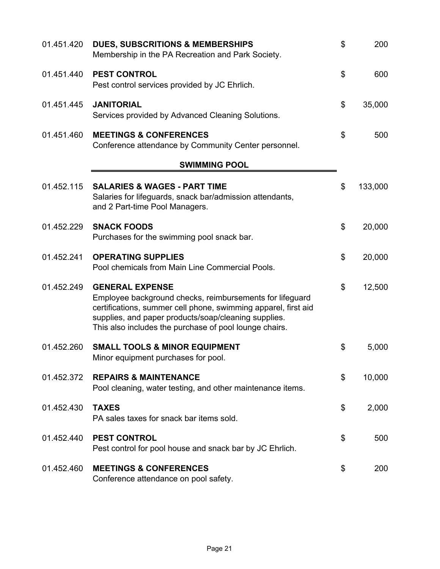| 01.451.420 | <b>DUES, SUBSCRITIONS &amp; MEMBERSHIPS</b><br>Membership in the PA Recreation and Park Society.                                                                                                                                                                       | \$<br>200     |
|------------|------------------------------------------------------------------------------------------------------------------------------------------------------------------------------------------------------------------------------------------------------------------------|---------------|
| 01.451.440 | <b>PEST CONTROL</b><br>Pest control services provided by JC Ehrlich.                                                                                                                                                                                                   | \$<br>600     |
| 01.451.445 | <b>JANITORIAL</b><br>Services provided by Advanced Cleaning Solutions.                                                                                                                                                                                                 | \$<br>35,000  |
| 01.451.460 | <b>MEETINGS &amp; CONFERENCES</b><br>Conference attendance by Community Center personnel.                                                                                                                                                                              | \$<br>500     |
|            | <b>SWIMMING POOL</b>                                                                                                                                                                                                                                                   |               |
| 01.452.115 | <b>SALARIES &amp; WAGES - PART TIME</b><br>Salaries for lifeguards, snack bar/admission attendants,<br>and 2 Part-time Pool Managers.                                                                                                                                  | \$<br>133,000 |
| 01.452.229 | <b>SNACK FOODS</b><br>Purchases for the swimming pool snack bar.                                                                                                                                                                                                       | \$<br>20,000  |
| 01.452.241 | <b>OPERATING SUPPLIES</b><br>Pool chemicals from Main Line Commercial Pools.                                                                                                                                                                                           | \$<br>20,000  |
| 01.452.249 | <b>GENERAL EXPENSE</b><br>Employee background checks, reimbursements for lifeguard<br>certifications, summer cell phone, swimming apparel, first aid<br>supplies, and paper products/soap/cleaning supplies.<br>This also includes the purchase of pool lounge chairs. | \$<br>12,500  |
| 01.452.260 | <b>SMALL TOOLS &amp; MINOR EQUIPMENT</b><br>Minor equipment purchases for pool.                                                                                                                                                                                        | \$<br>5,000   |
| 01.452.372 | <b>REPAIRS &amp; MAINTENANCE</b><br>Pool cleaning, water testing, and other maintenance items.                                                                                                                                                                         | \$<br>10,000  |
| 01.452.430 | <b>TAXES</b><br>PA sales taxes for snack bar items sold.                                                                                                                                                                                                               | \$<br>2,000   |
| 01.452.440 | <b>PEST CONTROL</b><br>Pest control for pool house and snack bar by JC Ehrlich.                                                                                                                                                                                        | \$<br>500     |
| 01.452.460 | <b>MEETINGS &amp; CONFERENCES</b><br>Conference attendance on pool safety.                                                                                                                                                                                             | \$<br>200     |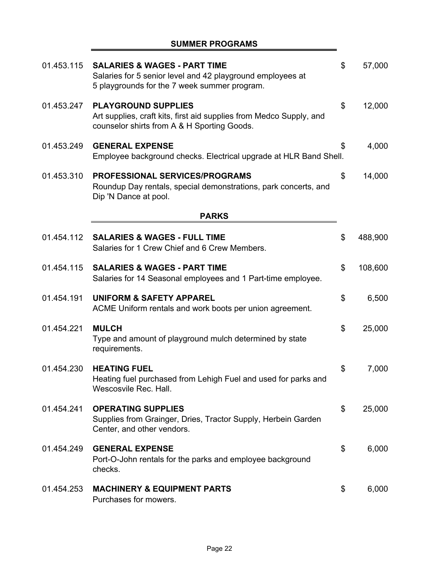### **SUMMER PROGRAMS**

| 01.453.115 | <b>SALARIES &amp; WAGES - PART TIME</b><br>Salaries for 5 senior level and 42 playground employees at<br>5 playgrounds for the 7 week summer program. | \$<br>57,000  |
|------------|-------------------------------------------------------------------------------------------------------------------------------------------------------|---------------|
| 01.453.247 | <b>PLAYGROUND SUPPLIES</b><br>Art supplies, craft kits, first aid supplies from Medco Supply, and<br>counselor shirts from A & H Sporting Goods.      | \$<br>12,000  |
| 01.453.249 | <b>GENERAL EXPENSE</b><br>Employee background checks. Electrical upgrade at HLR Band Shell.                                                           | \$<br>4,000   |
| 01.453.310 | PROFESSIONAL SERVICES/PROGRAMS<br>Roundup Day rentals, special demonstrations, park concerts, and<br>Dip 'N Dance at pool.                            | \$<br>14,000  |
|            | <b>PARKS</b>                                                                                                                                          |               |
| 01.454.112 | <b>SALARIES &amp; WAGES - FULL TIME</b><br>Salaries for 1 Crew Chief and 6 Crew Members.                                                              | \$<br>488,900 |
| 01.454.115 | <b>SALARIES &amp; WAGES - PART TIME</b><br>Salaries for 14 Seasonal employees and 1 Part-time employee.                                               | \$<br>108,600 |
| 01.454.191 | <b>UNIFORM &amp; SAFETY APPAREL</b><br>ACME Uniform rentals and work boots per union agreement.                                                       | \$<br>6,500   |
| 01.454.221 | <b>MULCH</b><br>Type and amount of playground mulch determined by state<br>requirements.                                                              | \$<br>25,000  |
| 01.454.230 | <b>HEATING FUEL</b><br>Heating fuel purchased from Lehigh Fuel and used for parks and<br>Wescosvile Rec. Hall.                                        | \$<br>7,000   |
| 01.454.241 | <b>OPERATING SUPPLIES</b><br>Supplies from Grainger, Dries, Tractor Supply, Herbein Garden<br>Center, and other vendors.                              | \$<br>25,000  |
| 01.454.249 | <b>GENERAL EXPENSE</b><br>Port-O-John rentals for the parks and employee background<br>checks.                                                        | \$<br>6,000   |
| 01.454.253 | <b>MACHINERY &amp; EQUIPMENT PARTS</b><br>Purchases for mowers.                                                                                       | \$<br>6,000   |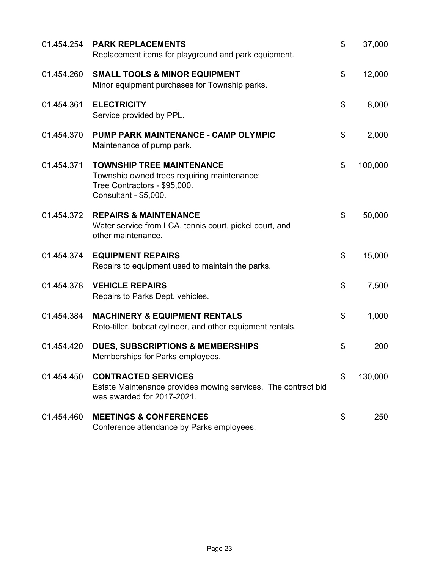| 01.454.254 | <b>PARK REPLACEMENTS</b><br>Replacement items for playground and park equipment.                                                         | \$<br>37,000  |
|------------|------------------------------------------------------------------------------------------------------------------------------------------|---------------|
| 01.454.260 | <b>SMALL TOOLS &amp; MINOR EQUIPMENT</b><br>Minor equipment purchases for Township parks.                                                | \$<br>12,000  |
| 01.454.361 | <b>ELECTRICITY</b><br>Service provided by PPL.                                                                                           | \$<br>8,000   |
| 01.454.370 | PUMP PARK MAINTENANCE - CAMP OLYMPIC<br>Maintenance of pump park.                                                                        | \$<br>2,000   |
| 01.454.371 | <b>TOWNSHIP TREE MAINTENANCE</b><br>Township owned trees requiring maintenance:<br>Tree Contractors - \$95,000.<br>Consultant - \$5,000. | \$<br>100,000 |
| 01.454.372 | <b>REPAIRS &amp; MAINTENANCE</b><br>Water service from LCA, tennis court, pickel court, and<br>other maintenance.                        | \$<br>50,000  |
| 01.454.374 | <b>EQUIPMENT REPAIRS</b><br>Repairs to equipment used to maintain the parks.                                                             | \$<br>15,000  |
| 01.454.378 | <b>VEHICLE REPAIRS</b><br>Repairs to Parks Dept. vehicles.                                                                               | \$<br>7,500   |
| 01.454.384 | <b>MACHINERY &amp; EQUIPMENT RENTALS</b><br>Roto-tiller, bobcat cylinder, and other equipment rentals.                                   | \$<br>1,000   |
| 01.454.420 | <b>DUES, SUBSCRIPTIONS &amp; MEMBERSHIPS</b><br>Memberships for Parks employees.                                                         | \$<br>200     |
| 01.454.450 | <b>CONTRACTED SERVICES</b><br>Estate Maintenance provides mowing services. The contract bid<br>was awarded for 2017-2021.                | \$<br>130,000 |
| 01.454.460 | <b>MEETINGS &amp; CONFERENCES</b><br>Conference attendance by Parks employees.                                                           | \$<br>250     |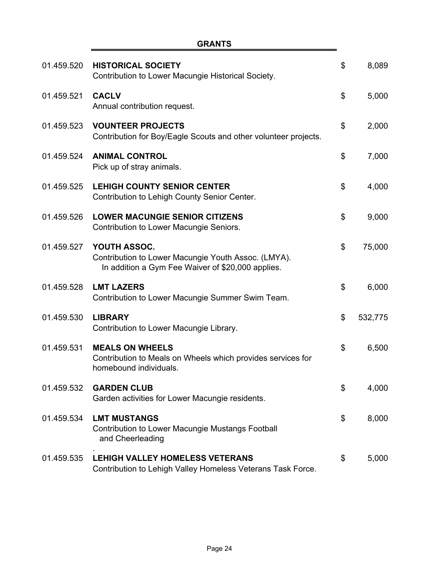÷,

| 01.459.520 | <b>HISTORICAL SOCIETY</b><br>Contribution to Lower Macungie Historical Society.                                          | \$<br>8,089   |
|------------|--------------------------------------------------------------------------------------------------------------------------|---------------|
| 01.459.521 | <b>CACLV</b><br>Annual contribution request.                                                                             | \$<br>5,000   |
| 01.459.523 | <b>VOUNTEER PROJECTS</b><br>Contribution for Boy/Eagle Scouts and other volunteer projects.                              | \$<br>2,000   |
| 01.459.524 | <b>ANIMAL CONTROL</b><br>Pick up of stray animals.                                                                       | \$<br>7,000   |
| 01.459.525 | <b>LEHIGH COUNTY SENIOR CENTER</b><br>Contribution to Lehigh County Senior Center.                                       | \$<br>4,000   |
| 01.459.526 | <b>LOWER MACUNGIE SENIOR CITIZENS</b><br>Contribution to Lower Macungie Seniors.                                         | \$<br>9,000   |
| 01.459.527 | YOUTH ASSOC.<br>Contribution to Lower Macungie Youth Assoc. (LMYA).<br>In addition a Gym Fee Waiver of \$20,000 applies. | \$<br>75,000  |
| 01.459.528 | <b>LMT LAZERS</b><br>Contribution to Lower Macungie Summer Swim Team.                                                    | \$<br>6,000   |
| 01.459.530 | <b>LIBRARY</b><br>Contribution to Lower Macungie Library.                                                                | \$<br>532,775 |
| 01.459.531 | <b>MEALS ON WHEELS</b><br>Contribution to Meals on Wheels which provides services for<br>homebound individuals.          | \$<br>6,500   |
| 01.459.532 | <b>GARDEN CLUB</b><br>Garden activities for Lower Macungie residents.                                                    | \$<br>4,000   |
| 01.459.534 | <b>LMT MUSTANGS</b><br><b>Contribution to Lower Macungie Mustangs Football</b><br>and Cheerleading                       | \$<br>8,000   |
| 01.459.535 | <b>LEHIGH VALLEY HOMELESS VETERANS</b><br>Contribution to Lehigh Valley Homeless Veterans Task Force.                    | \$<br>5,000   |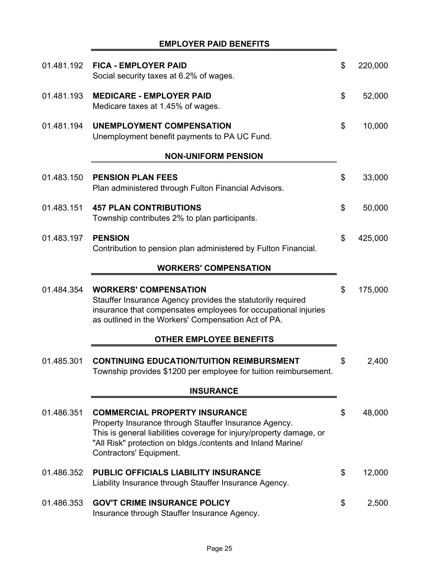|            | <b>EMPLOYER PAID BENEFITS</b>                                                                                                                                                                                                                                  |               |
|------------|----------------------------------------------------------------------------------------------------------------------------------------------------------------------------------------------------------------------------------------------------------------|---------------|
| 01.481.192 | <b>FICA - EMPLOYER PAID</b><br>Social security taxes at 6.2% of wages.                                                                                                                                                                                         | \$<br>220,000 |
| 01.481.193 | <b>MEDICARE - EMPLOYER PAID</b><br>Medicare taxes at 1.45% of wages.                                                                                                                                                                                           | \$<br>52,000  |
| 01.481.194 | <b>UNEMPLOYMENT COMPENSATION</b><br>Unemployment benefit payments to PA UC Fund.                                                                                                                                                                               | \$<br>10,000  |
|            | <b>NON-UNIFORM PENSION</b>                                                                                                                                                                                                                                     |               |
| 01.483.150 | <b>PENSION PLAN FEES</b><br>Plan administered through Fulton Financial Advisors.                                                                                                                                                                               | \$<br>33,000  |
| 01.483.151 | <b>457 PLAN CONTRIBUTIONS</b><br>Township contributes 2% to plan participants.                                                                                                                                                                                 | \$<br>50,000  |
| 01.483.197 | <b>PENSION</b><br>Contribution to pension plan administered by Fulton Financial.                                                                                                                                                                               | \$<br>425,000 |
|            | <b>WORKERS' COMPENSATION</b>                                                                                                                                                                                                                                   |               |
| 01.484.354 | <b>WORKERS' COMPENSATION</b><br>Stauffer Insurance Agency provides the statutorily required<br>insurance that compensates employees for occupational injuries<br>as outlined in the Workers' Compensation Act of PA.                                           | \$<br>175,000 |
|            | <b>OTHER EMPLOYEE BENEFITS</b>                                                                                                                                                                                                                                 |               |
| 01.485.301 | <b>CONTINUING EDUCATION/TUITION REIMBURSMENT</b><br>Township provides \$1200 per employee for tuition reimbursement.                                                                                                                                           | \$<br>2,400   |
|            | <b>INSURANCE</b>                                                                                                                                                                                                                                               |               |
| 01.486.351 | <b>COMMERCIAL PROPERTY INSURANCE</b><br>Property Insurance through Stauffer Insurance Agency.<br>This is general liabilities coverage for injury/property damage, or<br>"All Risk" protection on bldgs./contents and Inland Marine/<br>Contractors' Equipment. | \$<br>48,000  |
| 01.486.352 | PUBLIC OFFICIALS LIABILITY INSURANCE<br>Liability Insurance through Stauffer Insurance Agency.                                                                                                                                                                 | \$<br>12,000  |
| 01.486.353 | <b>GOV'T CRIME INSURANCE POLICY</b><br>Insurance through Stauffer Insurance Agency.                                                                                                                                                                            | \$<br>2,500   |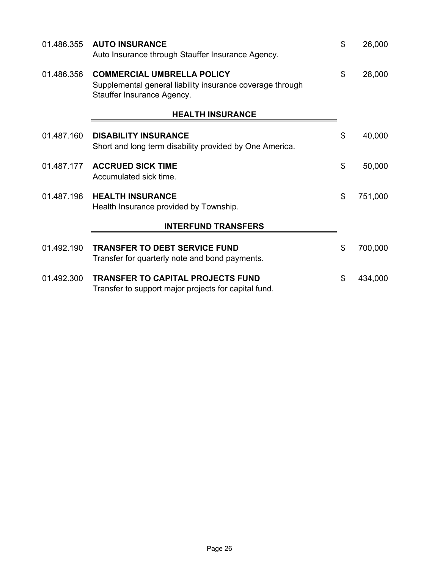| 01.486.355 | <b>AUTO INSURANCE</b><br>Auto Insurance through Stauffer Insurance Agency.                                                   | \$<br>26,000  |
|------------|------------------------------------------------------------------------------------------------------------------------------|---------------|
| 01.486.356 | <b>COMMERCIAL UMBRELLA POLICY</b><br>Supplemental general liability insurance coverage through<br>Stauffer Insurance Agency. | \$<br>28,000  |
|            | <b>HEALTH INSURANCE</b>                                                                                                      |               |
| 01.487.160 | <b>DISABILITY INSURANCE</b><br>Short and long term disability provided by One America.                                       | \$<br>40,000  |
| 01.487.177 | <b>ACCRUED SICK TIME</b><br>Accumulated sick time.                                                                           | \$<br>50,000  |
| 01.487.196 | <b>HEALTH INSURANCE</b><br>Health Insurance provided by Township.                                                            | \$<br>751,000 |
|            | <b>INTERFUND TRANSFERS</b>                                                                                                   |               |
| 01.492.190 | <b>TRANSFER TO DEBT SERVICE FUND</b><br>Transfer for quarterly note and bond payments.                                       | \$<br>700,000 |
| 01.492.300 | <b>TRANSFER TO CAPITAL PROJECTS FUND</b><br>Transfer to support major projects for capital fund.                             | \$<br>434,000 |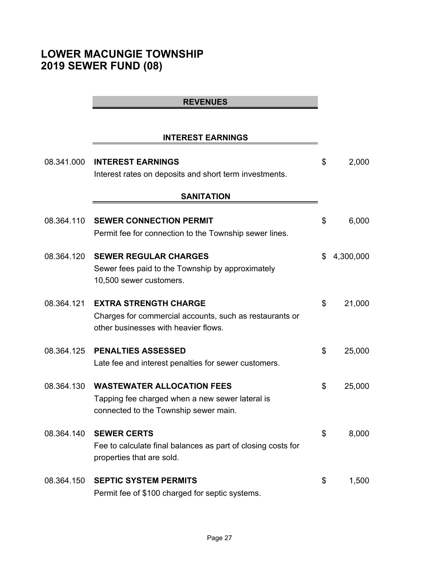# **LOWER MACUNGIE TOWNSHIP 2019 SEWER FUND (08)**

# **REVENUES**

### **INTEREST EARNINGS**

| 08.341.000 | <b>INTEREST EARNINGS</b><br>Interest rates on deposits and short term investments.                                              | \$<br>2,000     |
|------------|---------------------------------------------------------------------------------------------------------------------------------|-----------------|
|            | <b>SANITATION</b>                                                                                                               |                 |
| 08.364.110 | <b>SEWER CONNECTION PERMIT</b><br>Permit fee for connection to the Township sewer lines.                                        | \$<br>6,000     |
| 08.364.120 | <b>SEWER REGULAR CHARGES</b><br>Sewer fees paid to the Township by approximately<br>10,500 sewer customers.                     | \$<br>4,300,000 |
| 08.364.121 | <b>EXTRA STRENGTH CHARGE</b><br>Charges for commercial accounts, such as restaurants or<br>other businesses with heavier flows. | \$<br>21,000    |
| 08.364.125 | <b>PENALTIES ASSESSED</b><br>Late fee and interest penalties for sewer customers.                                               | \$<br>25,000    |
| 08.364.130 | <b>WASTEWATER ALLOCATION FEES</b><br>Tapping fee charged when a new sewer lateral is<br>connected to the Township sewer main.   | \$<br>25,000    |
| 08.364.140 | <b>SEWER CERTS</b><br>Fee to calculate final balances as part of closing costs for<br>properties that are sold.                 | \$<br>8,000     |
| 08.364.150 | <b>SEPTIC SYSTEM PERMITS</b><br>Permit fee of \$100 charged for septic systems.                                                 | \$<br>1,500     |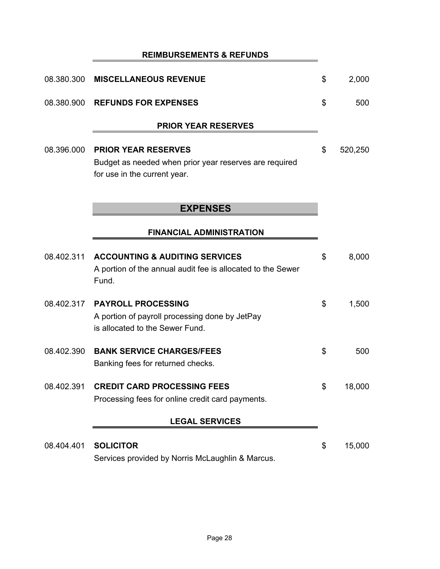|            | <b>REIMBURSEMENTS &amp; REFUNDS</b>                                                                                  |               |
|------------|----------------------------------------------------------------------------------------------------------------------|---------------|
| 08.380.300 | <b>MISCELLANEOUS REVENUE</b>                                                                                         | \$<br>2,000   |
| 08.380.900 | <b>REFUNDS FOR EXPENSES</b>                                                                                          | \$<br>500     |
|            | <b>PRIOR YEAR RESERVES</b>                                                                                           |               |
| 08.396.000 | <b>PRIOR YEAR RESERVES</b><br>Budget as needed when prior year reserves are required<br>for use in the current year. | \$<br>520,250 |
|            | <b>EXPENSES</b>                                                                                                      |               |
|            | <b>FINANCIAL ADMINISTRATION</b>                                                                                      |               |
| 08.402.311 | <b>ACCOUNTING &amp; AUDITING SERVICES</b><br>A portion of the annual audit fee is allocated to the Sewer<br>Fund.    | \$<br>8,000   |
| 08.402.317 | <b>PAYROLL PROCESSING</b><br>A portion of payroll processing done by JetPay<br>is allocated to the Sewer Fund.       | \$<br>1,500   |
| 08.402.390 | <b>BANK SERVICE CHARGES/FEES</b><br>Banking fees for returned checks.                                                | \$<br>500     |
| 08.402.391 | <b>CREDIT CARD PROCESSING FEES</b><br>Processing fees for online credit card payments.                               | \$<br>18,000  |
|            | <b>LEGAL SERVICES</b>                                                                                                |               |
| 08.404.401 | <b>SOLICITOR</b><br>Services provided by Norris McLaughlin & Marcus.                                                 | \$<br>15,000  |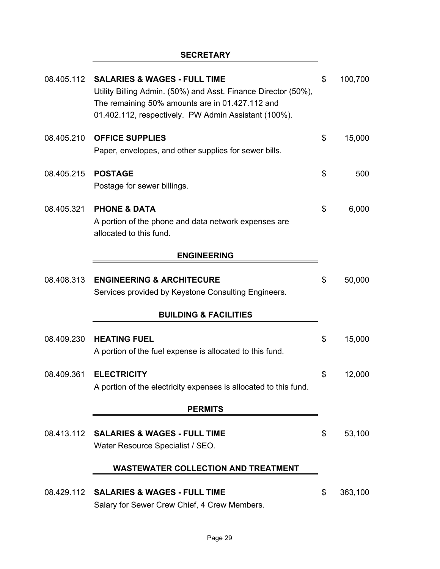# **SECRETARY**

| 08.405.112 | <b>SALARIES &amp; WAGES - FULL TIME</b><br>Utility Billing Admin. (50%) and Asst. Finance Director (50%),<br>The remaining 50% amounts are in 01.427.112 and<br>01.402.112, respectively. PW Admin Assistant (100%). | \$<br>100,700 |
|------------|----------------------------------------------------------------------------------------------------------------------------------------------------------------------------------------------------------------------|---------------|
| 08.405.210 | <b>OFFICE SUPPLIES</b><br>Paper, envelopes, and other supplies for sewer bills.                                                                                                                                      | \$<br>15,000  |
| 08.405.215 | <b>POSTAGE</b><br>Postage for sewer billings.                                                                                                                                                                        | \$<br>500     |
| 08.405.321 | <b>PHONE &amp; DATA</b><br>A portion of the phone and data network expenses are<br>allocated to this fund.                                                                                                           | \$<br>6,000   |
|            | <b>ENGINEERING</b>                                                                                                                                                                                                   |               |
| 08.408.313 | <b>ENGINEERING &amp; ARCHITECURE</b><br>Services provided by Keystone Consulting Engineers.                                                                                                                          | \$<br>50,000  |
|            | <b>BUILDING &amp; FACILITIES</b>                                                                                                                                                                                     |               |
| 08.409.230 | <b>HEATING FUEL</b><br>A portion of the fuel expense is allocated to this fund.                                                                                                                                      | \$<br>15,000  |
| 08.409.361 | <b>ELECTRICITY</b><br>A portion of the electricity expenses is allocated to this fund.                                                                                                                               | \$<br>12,000  |
|            | <b>PERMITS</b>                                                                                                                                                                                                       |               |
| 08.413.112 | <b>SALARIES &amp; WAGES - FULL TIME</b><br>Water Resource Specialist / SEO.                                                                                                                                          | \$<br>53,100  |
|            | <b>WASTEWATER COLLECTION AND TREATMENT</b>                                                                                                                                                                           |               |
| 08.429.112 | <b>SALARIES &amp; WAGES - FULL TIME</b><br>Salary for Sewer Crew Chief, 4 Crew Members.                                                                                                                              | \$<br>363,100 |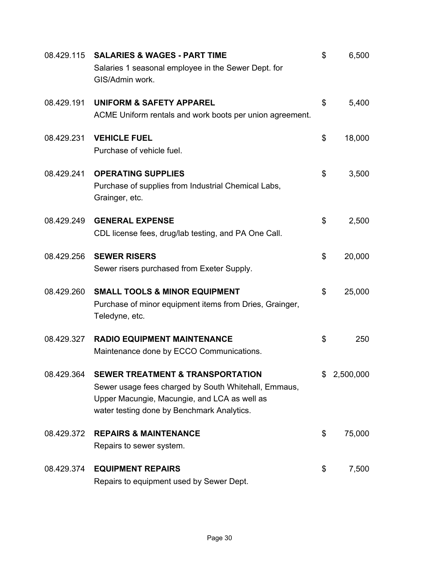| 08.429.115 | <b>SALARIES &amp; WAGES - PART TIME</b><br>Salaries 1 seasonal employee in the Sewer Dept. for<br>GIS/Admin work.                                                                                 | \$<br>6,500  |
|------------|---------------------------------------------------------------------------------------------------------------------------------------------------------------------------------------------------|--------------|
| 08.429.191 | <b>UNIFORM &amp; SAFETY APPAREL</b><br>ACME Uniform rentals and work boots per union agreement.                                                                                                   | \$<br>5,400  |
| 08.429.231 | <b>VEHICLE FUEL</b><br>Purchase of vehicle fuel.                                                                                                                                                  | \$<br>18,000 |
| 08.429.241 | <b>OPERATING SUPPLIES</b><br>Purchase of supplies from Industrial Chemical Labs,<br>Grainger, etc.                                                                                                | \$<br>3,500  |
| 08.429.249 | <b>GENERAL EXPENSE</b><br>CDL license fees, drug/lab testing, and PA One Call.                                                                                                                    | \$<br>2,500  |
| 08.429.256 | <b>SEWER RISERS</b><br>Sewer risers purchased from Exeter Supply.                                                                                                                                 | \$<br>20,000 |
| 08.429.260 | <b>SMALL TOOLS &amp; MINOR EQUIPMENT</b><br>Purchase of minor equipment items from Dries, Grainger,<br>Teledyne, etc.                                                                             | \$<br>25,000 |
| 08.429.327 | <b>RADIO EQUIPMENT MAINTENANCE</b><br>Maintenance done by ECCO Communications.                                                                                                                    | \$<br>250    |
| 08.429.364 | <b>SEWER TREATMENT &amp; TRANSPORTATION</b><br>Sewer usage fees charged by South Whitehall, Emmaus,<br>Upper Macungie, Macungie, and LCA as well as<br>water testing done by Benchmark Analytics. | 2,500,000    |
| 08.429.372 | <b>REPAIRS &amp; MAINTENANCE</b><br>Repairs to sewer system.                                                                                                                                      | \$<br>75,000 |
| 08.429.374 | <b>EQUIPMENT REPAIRS</b><br>Repairs to equipment used by Sewer Dept.                                                                                                                              | \$<br>7,500  |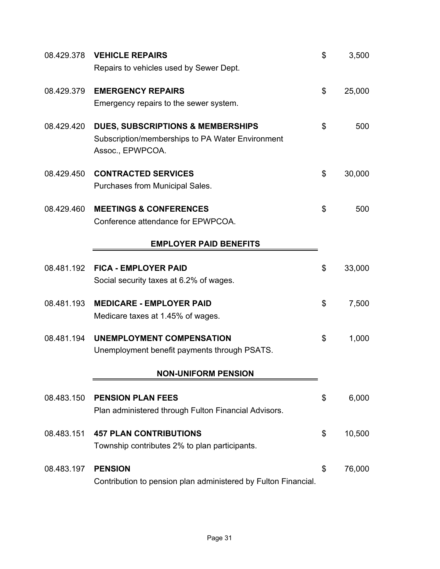| 08.429.378 | <b>VEHICLE REPAIRS</b>                                         | \$<br>3,500  |
|------------|----------------------------------------------------------------|--------------|
|            | Repairs to vehicles used by Sewer Dept.                        |              |
| 08.429.379 | <b>EMERGENCY REPAIRS</b>                                       | \$<br>25,000 |
|            | Emergency repairs to the sewer system.                         |              |
| 08.429.420 | <b>DUES, SUBSCRIPTIONS &amp; MEMBERSHIPS</b>                   | \$<br>500    |
|            | Subscription/memberships to PA Water Environment               |              |
|            | Assoc., EPWPCOA.                                               |              |
| 08.429.450 | <b>CONTRACTED SERVICES</b>                                     | \$<br>30,000 |
|            | Purchases from Municipal Sales.                                |              |
| 08.429.460 | <b>MEETINGS &amp; CONFERENCES</b>                              | \$<br>500    |
|            | Conference attendance for EPWPCOA.                             |              |
|            | <b>EMPLOYER PAID BENEFITS</b>                                  |              |
|            |                                                                |              |
| 08.481.192 | <b>FICA - EMPLOYER PAID</b>                                    | \$<br>33,000 |
|            | Social security taxes at 6.2% of wages.                        |              |
| 08.481.193 | <b>MEDICARE - EMPLOYER PAID</b>                                | \$<br>7,500  |
|            | Medicare taxes at 1.45% of wages.                              |              |
| 08.481.194 | <b>UNEMPLOYMENT COMPENSATION</b>                               | \$<br>1,000  |
|            | Unemployment benefit payments through PSATS.                   |              |
|            |                                                                |              |
|            | <b>NON-UNIFORM PENSION</b>                                     |              |
| 08.483.150 | <b>PENSION PLAN FEES</b>                                       | \$<br>6,000  |
|            | Plan administered through Fulton Financial Advisors.           |              |
| 08.483.151 | <b>457 PLAN CONTRIBUTIONS</b>                                  | \$<br>10,500 |
|            | Township contributes 2% to plan participants.                  |              |
|            |                                                                |              |
| 08.483.197 | <b>PENSION</b>                                                 | \$<br>76,000 |
|            | Contribution to pension plan administered by Fulton Financial. |              |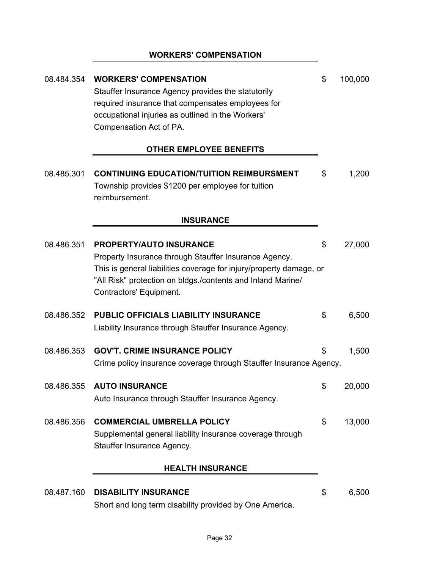# **WORKERS' COMPENSATION**

| 08.484.354 | <b>WORKERS' COMPENSATION</b><br>Stauffer Insurance Agency provides the statutorily<br>required insurance that compensates employees for<br>occupational injuries as outlined in the Workers'<br>Compensation Act of PA.                                  | \$<br>100,000 |
|------------|----------------------------------------------------------------------------------------------------------------------------------------------------------------------------------------------------------------------------------------------------------|---------------|
|            | <b>OTHER EMPLOYEE BENEFITS</b>                                                                                                                                                                                                                           |               |
| 08.485.301 | <b>CONTINUING EDUCATION/TUITION REIMBURSMENT</b><br>Township provides \$1200 per employee for tuition<br>reimbursement.                                                                                                                                  | \$<br>1,200   |
|            | <b>INSURANCE</b>                                                                                                                                                                                                                                         |               |
| 08.486.351 | <b>PROPERTY/AUTO INSURANCE</b><br>Property Insurance through Stauffer Insurance Agency.<br>This is general liabilities coverage for injury/property damage, or<br>"All Risk" protection on bldgs./contents and Inland Marine/<br>Contractors' Equipment. | \$<br>27,000  |
| 08.486.352 | <b>PUBLIC OFFICIALS LIABILITY INSURANCE</b><br>Liability Insurance through Stauffer Insurance Agency.                                                                                                                                                    | \$<br>6,500   |
| 08.486.353 | <b>GOV'T. CRIME INSURANCE POLICY</b><br>Crime policy insurance coverage through Stauffer Insurance Agency.                                                                                                                                               | \$<br>1,500   |
| 08.486.355 | <b>AUTO INSURANCE</b><br>Auto Insurance through Stauffer Insurance Agency.                                                                                                                                                                               | \$<br>20,000  |
| 08.486.356 | <b>COMMERCIAL UMBRELLA POLICY</b><br>Supplemental general liability insurance coverage through<br>Stauffer Insurance Agency.                                                                                                                             | \$<br>13,000  |
|            | <b>HEALTH INSURANCE</b>                                                                                                                                                                                                                                  |               |
| 08.487.160 | <b>DISABILITY INSURANCE</b><br>Short and long term disability provided by One America.                                                                                                                                                                   | \$<br>6,500   |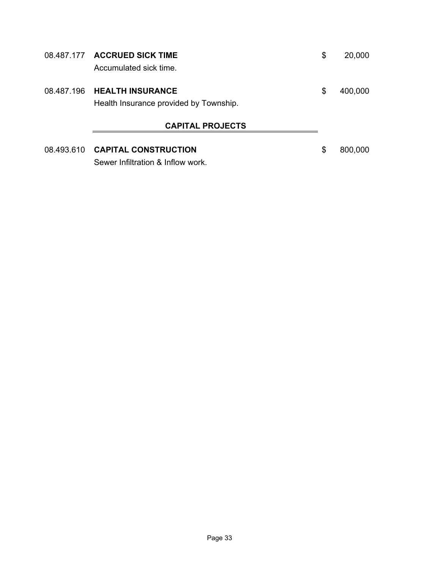|            | 08.487.177 ACCRUED SICK TIME<br>Accumulated sick time.            | \$<br>20,000  |
|------------|-------------------------------------------------------------------|---------------|
| 08.487.196 | <b>HEALTH INSURANCE</b><br>Health Insurance provided by Township. | \$<br>400,000 |
|            | <b>CAPITAL PROJECTS</b>                                           |               |
| 08.493.610 | <b>CAPITAL CONSTRUCTION</b><br>Sewer Infiltration & Inflow work.  | \$<br>800,000 |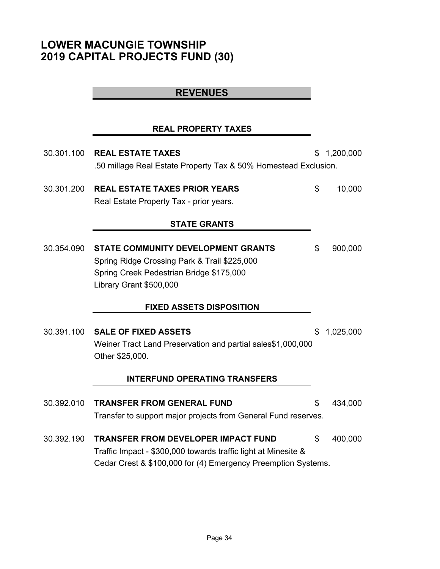# **LOWER MACUNGIE TOWNSHIP 2019 CAPITAL PROJECTS FUND (30)**

# **REVENUES**

# **REAL PROPERTY TAXES**

| 30.301.100                           | <b>REAL ESTATE TAXES</b>                                        | \$ | 1,200,000 |  |  |
|--------------------------------------|-----------------------------------------------------------------|----|-----------|--|--|
|                                      | .50 millage Real Estate Property Tax & 50% Homestead Exclusion. |    |           |  |  |
| 30.301.200                           | <b>REAL ESTATE TAXES PRIOR YEARS</b>                            | \$ | 10,000    |  |  |
|                                      | Real Estate Property Tax - prior years.                         |    |           |  |  |
|                                      | <b>STATE GRANTS</b>                                             |    |           |  |  |
|                                      |                                                                 |    |           |  |  |
| 30.354.090                           | <b>STATE COMMUNITY DEVELOPMENT GRANTS</b>                       | \$ | 900,000   |  |  |
|                                      | Spring Ridge Crossing Park & Trail \$225,000                    |    |           |  |  |
|                                      | Spring Creek Pedestrian Bridge \$175,000                        |    |           |  |  |
|                                      | Library Grant \$500,000                                         |    |           |  |  |
|                                      | <b>FIXED ASSETS DISPOSITION</b>                                 |    |           |  |  |
|                                      |                                                                 |    |           |  |  |
| 30.391.100                           | <b>SALE OF FIXED ASSETS</b>                                     | \$ | 1,025,000 |  |  |
|                                      | Weiner Tract Land Preservation and partial sales\$1,000,000     |    |           |  |  |
|                                      | Other \$25,000.                                                 |    |           |  |  |
| <b>INTERFUND OPERATING TRANSFERS</b> |                                                                 |    |           |  |  |
|                                      |                                                                 |    |           |  |  |
| 30.392.010                           | <b>TRANSFER FROM GENERAL FUND</b>                               | \$ | 434,000   |  |  |
|                                      | Transfer to support major projects from General Fund reserves.  |    |           |  |  |
| 30.392.190                           | <b>TRANSFER FROM DEVELOPER IMPACT FUND</b>                      | \$ | 400,000   |  |  |
|                                      | Traffic Impact - \$300,000 towards traffic light at Minesite &  |    |           |  |  |
|                                      | Cedar Crest & \$100,000 for (4) Emergency Preemption Systems.   |    |           |  |  |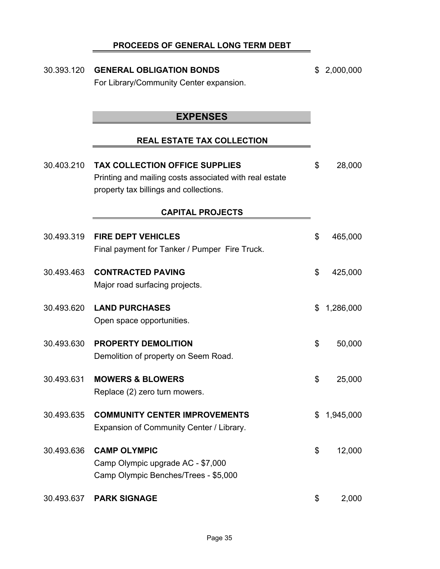# **PROCEEDS OF GENERAL LONG TERM DEBT**

| 30.393.120 | <b>GENERAL OBLIGATION BONDS</b><br>For Library/Community Center expansion.                                                                | \$<br>2,000,000 |
|------------|-------------------------------------------------------------------------------------------------------------------------------------------|-----------------|
|            | <b>EXPENSES</b>                                                                                                                           |                 |
|            | <b>REAL ESTATE TAX COLLECTION</b>                                                                                                         |                 |
| 30.403.210 | <b>TAX COLLECTION OFFICE SUPPLIES</b><br>Printing and mailing costs associated with real estate<br>property tax billings and collections. | \$<br>28,000    |
|            | <b>CAPITAL PROJECTS</b>                                                                                                                   |                 |
| 30.493.319 | <b>FIRE DEPT VEHICLES</b><br>Final payment for Tanker / Pumper Fire Truck.                                                                | \$<br>465,000   |
| 30.493.463 | <b>CONTRACTED PAVING</b><br>Major road surfacing projects.                                                                                | \$<br>425,000   |
| 30.493.620 | <b>LAND PURCHASES</b><br>Open space opportunities.                                                                                        | \$<br>1,286,000 |
| 30.493.630 | <b>PROPERTY DEMOLITION</b><br>Demolition of property on Seem Road.                                                                        | \$<br>50,000    |
| 30.493.631 | <b>MOWERS &amp; BLOWERS</b><br>Replace (2) zero turn mowers.                                                                              | \$<br>25,000    |
| 30.493.635 | <b>COMMUNITY CENTER IMPROVEMENTS</b><br>Expansion of Community Center / Library.                                                          | \$<br>1,945,000 |
| 30.493.636 | <b>CAMP OLYMPIC</b><br>Camp Olympic upgrade AC - \$7,000<br>Camp Olympic Benches/Trees - \$5,000                                          | \$<br>12,000    |
| 30.493.637 | <b>PARK SIGNAGE</b>                                                                                                                       | \$<br>2,000     |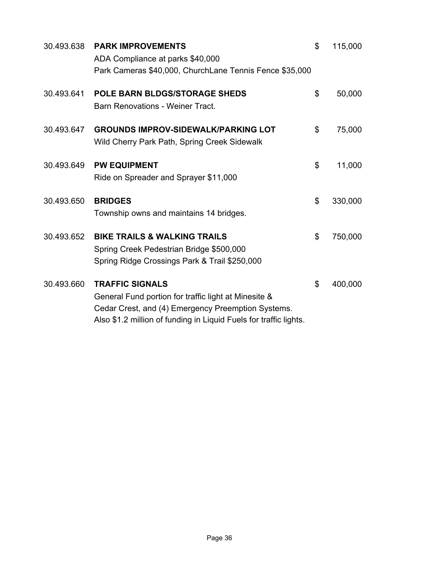| 30.493.638 | <b>PARK IMPROVEMENTS</b><br>ADA Compliance at parks \$40,000                                                                                                                                              | \$<br>115,000 |
|------------|-----------------------------------------------------------------------------------------------------------------------------------------------------------------------------------------------------------|---------------|
|            | Park Cameras \$40,000, ChurchLane Tennis Fence \$35,000                                                                                                                                                   |               |
| 30.493.641 | <b>POLE BARN BLDGS/STORAGE SHEDS</b><br><b>Barn Renovations - Weiner Tract.</b>                                                                                                                           | \$<br>50,000  |
| 30.493.647 | <b>GROUNDS IMPROV-SIDEWALK/PARKING LOT</b><br>Wild Cherry Park Path, Spring Creek Sidewalk                                                                                                                | \$<br>75,000  |
| 30.493.649 | <b>PW EQUIPMENT</b><br>Ride on Spreader and Sprayer \$11,000                                                                                                                                              | \$<br>11,000  |
| 30.493.650 | <b>BRIDGES</b><br>Township owns and maintains 14 bridges.                                                                                                                                                 | \$<br>330,000 |
| 30.493.652 | <b>BIKE TRAILS &amp; WALKING TRAILS</b><br>Spring Creek Pedestrian Bridge \$500,000<br>Spring Ridge Crossings Park & Trail \$250,000                                                                      | \$<br>750,000 |
| 30.493.660 | <b>TRAFFIC SIGNALS</b><br>General Fund portion for traffic light at Minesite &<br>Cedar Crest, and (4) Emergency Preemption Systems.<br>Also \$1.2 million of funding in Liquid Fuels for traffic lights. | \$<br>400,000 |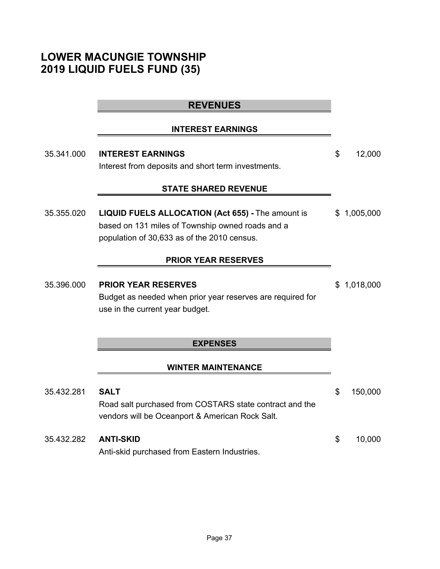# **LOWER MACUNGIE TOWNSHIP 2019 LIQUID FUELS FUND (35)**

# **REVENUES**

#### **INTEREST EARNINGS**

35.341.000 **INTEREST EARNINGS** \$ 12,000 Interest from deposits and short term investments.

### **STATE SHARED REVENUE**

35.355.020 **LIQUID FUELS ALLOCATION (Act 655) -** The amount is \$ 1,005,000 based on 131 miles of Township owned roads and a population of 30,633 as of the 2010 census.

# **PRIOR YEAR RESERVES**

35.396.000 **PRIOR YEAR RESERVES** \$ 1,018,000 Budget as needed when prior year reserves are required for use in the current year budget.

#### **EXPENSES**

#### **WINTER MAINTENANCE**

| 35.432.281 | <b>SALT</b>                                                                                                | \$. | 150,000 |
|------------|------------------------------------------------------------------------------------------------------------|-----|---------|
|            | Road salt purchased from COSTARS state contract and the<br>vendors will be Oceanport & American Rock Salt. |     |         |
| 35.432.282 | ANTI-SKID<br>Anti-skid purchased from Eastern Industries.                                                  | \$. | 10.000  |